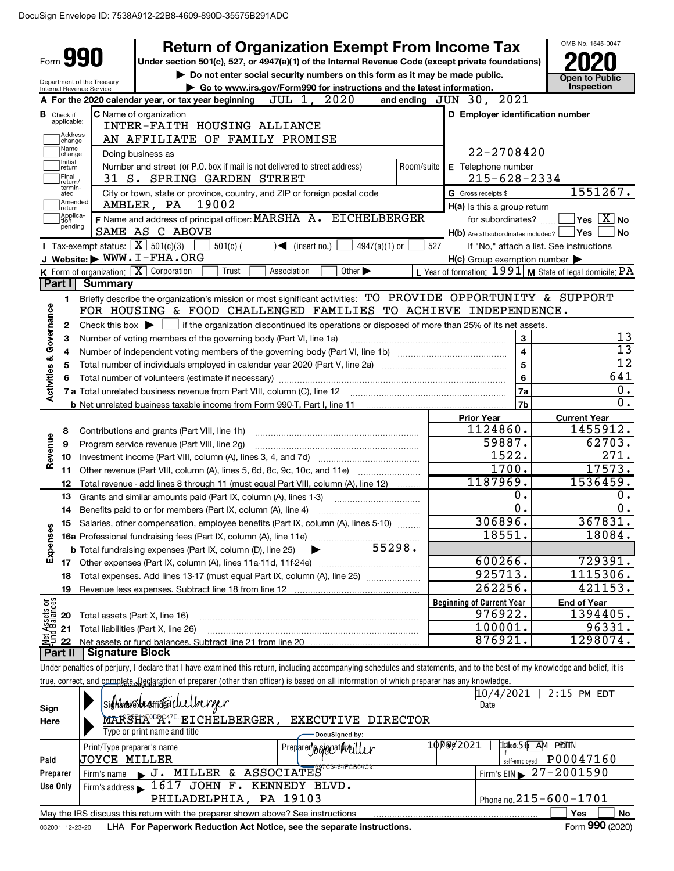|                                    |                                                                                                    |                                                   | <b>Return of Organization Exempt From Income Tax</b>                                                                                                                       |            |                                                     | OMB No. 1545-0047                                         |
|------------------------------------|----------------------------------------------------------------------------------------------------|---------------------------------------------------|----------------------------------------------------------------------------------------------------------------------------------------------------------------------------|------------|-----------------------------------------------------|-----------------------------------------------------------|
| Form <b>990</b>                    |                                                                                                    |                                                   | Under section 501(c), 527, or 4947(a)(1) of the Internal Revenue Code (except private foundations)                                                                         |            |                                                     |                                                           |
|                                    |                                                                                                    | Department of the Treasury                        | Do not enter social security numbers on this form as it may be made public.                                                                                                |            |                                                     | <b>Open to Public</b>                                     |
|                                    | Go to www.irs.gov/Form990 for instructions and the latest information.<br>Internal Revenue Service |                                                   |                                                                                                                                                                            |            |                                                     | Inspection                                                |
|                                    |                                                                                                    |                                                   | 2020<br>JUL 1,<br>A For the 2020 calendar year, or tax year beginning                                                                                                      |            | and ending JUN 30, 2021                             |                                                           |
|                                    | <b>B</b> Check if<br>applicable:                                                                   |                                                   | <b>C</b> Name of organization<br>INTER-FAITH HOUSING ALLIANCE                                                                                                              |            | D Employer identification number                    |                                                           |
|                                    | Address<br>change                                                                                  |                                                   | AN AFFILIATE OF FAMILY PROMISE                                                                                                                                             |            |                                                     |                                                           |
|                                    | Name<br>change                                                                                     |                                                   | Doing business as                                                                                                                                                          |            | 22-2708420                                          |                                                           |
|                                    | Initial<br>return                                                                                  |                                                   | Number and street (or P.O. box if mail is not delivered to street address)                                                                                                 | Room/suite | E Telephone number                                  |                                                           |
|                                    | Final<br>return/                                                                                   |                                                   | 31 S. SPRING GARDEN STREET                                                                                                                                                 |            | $215 - 628 - 2334$                                  |                                                           |
|                                    | termin-<br>ated                                                                                    |                                                   | City or town, state or province, country, and ZIP or foreign postal code                                                                                                   |            | G Gross receipts \$                                 | 1551267.                                                  |
|                                    | Amended<br>return                                                                                  |                                                   | 19002<br>AMBLER, PA                                                                                                                                                        |            | H(a) Is this a group return                         |                                                           |
|                                    | Applica-<br>tion<br>pending                                                                        |                                                   | F Name and address of principal officer: MARSHA A. EICHELBERGER                                                                                                            |            | for subordinates?                                   | $Yes \ \boxed{X}$ No                                      |
|                                    |                                                                                                    |                                                   | SAME AS C ABOVE                                                                                                                                                            |            | H(b) Are all subordinates included? Ves             | <b>No</b>                                                 |
|                                    |                                                                                                    | Tax-exempt status: $\boxed{\mathbf{X}}$ 501(c)(3) | $\blacktriangleleft$ (insert no.)<br>$501(c)$ (<br>$4947(a)(1)$ or                                                                                                         | 527        |                                                     | If "No," attach a list. See instructions                  |
|                                    |                                                                                                    |                                                   | J Website: WWW.I-FHA.ORG                                                                                                                                                   |            | $H(c)$ Group exemption number $\blacktriangleright$ |                                                           |
|                                    |                                                                                                    |                                                   | K Form of organization: X Corporation<br>Trust<br>Association<br>Other $\blacktriangleright$                                                                               |            |                                                     | L Year of formation: 1991   M State of legal domicile: PA |
|                                    | Part I                                                                                             | <b>Summary</b>                                    |                                                                                                                                                                            |            |                                                     |                                                           |
|                                    | 1                                                                                                  |                                                   | Briefly describe the organization's mission or most significant activities: TO PROVIDE OPPORTUNITY & SUPPORT                                                               |            |                                                     |                                                           |
| <b>Activities &amp; Governance</b> |                                                                                                    |                                                   | FOR HOUSING & FOOD CHALLENGED FAMILIES TO ACHIEVE INDEPENDENCE.                                                                                                            |            |                                                     |                                                           |
|                                    | 2                                                                                                  |                                                   | Check this box $\blacktriangleright$ $\Box$ if the organization discontinued its operations or disposed of more than 25% of its net assets.                                |            |                                                     |                                                           |
|                                    | 3                                                                                                  |                                                   | Number of voting members of the governing body (Part VI, line 1a)                                                                                                          |            | 3                                                   | 13<br>$\overline{13}$                                     |
|                                    | 4                                                                                                  |                                                   |                                                                                                                                                                            |            | 4                                                   | $\overline{12}$                                           |
|                                    | 5                                                                                                  |                                                   |                                                                                                                                                                            |            | 5                                                   | 641                                                       |
|                                    | 6                                                                                                  |                                                   | Total number of volunteers (estimate if necessary)                                                                                                                         |            | 6                                                   | 0.                                                        |
|                                    |                                                                                                    |                                                   | 7 a Total unrelated business revenue from Part VIII, column (C), line 12                                                                                                   |            | 7a                                                  | $\overline{0}$ .                                          |
|                                    |                                                                                                    |                                                   |                                                                                                                                                                            |            | 7b                                                  |                                                           |
|                                    | 8                                                                                                  |                                                   |                                                                                                                                                                            |            | <b>Prior Year</b><br>1124860.                       | <b>Current Year</b><br>1455912.                           |
|                                    | 9                                                                                                  |                                                   | Contributions and grants (Part VIII, line 1h)<br>Program service revenue (Part VIII, line 2g)                                                                              |            | 59887.                                              | 62703.                                                    |
| Revenue                            | 10                                                                                                 |                                                   |                                                                                                                                                                            |            | 1522.                                               | 271.                                                      |
|                                    | 11                                                                                                 |                                                   | Other revenue (Part VIII, column (A), lines 5, 6d, 8c, 9c, 10c, and 11e)                                                                                                   |            | 1700.                                               | 17573.                                                    |
|                                    | 12                                                                                                 |                                                   | Total revenue - add lines 8 through 11 (must equal Part VIII, column (A), line 12)                                                                                         |            | 1187969.                                            | 1536459.                                                  |
|                                    | 13                                                                                                 |                                                   | Grants and similar amounts paid (Part IX, column (A), lines 1-3)                                                                                                           |            | 0.                                                  | 0.                                                        |
|                                    | 14                                                                                                 |                                                   | Benefits paid to or for members (Part IX, column (A), line 4)                                                                                                              |            | 0.                                                  | 0.                                                        |
| n                                  | 15                                                                                                 |                                                   | Salaries, other compensation, employee benefits (Part IX, column (A), lines 5-10)                                                                                          |            | 306896.                                             | 367831.                                                   |
|                                    |                                                                                                    |                                                   |                                                                                                                                                                            |            | 18551.                                              | 18084.                                                    |
| Expense                            |                                                                                                    |                                                   | 55298.<br><b>b</b> Total fundraising expenses (Part IX, column (D), line 25)                                                                                               |            |                                                     |                                                           |
|                                    | 17                                                                                                 |                                                   |                                                                                                                                                                            |            | 600266.                                             | 729391.                                                   |
|                                    | 18                                                                                                 |                                                   | Total expenses. Add lines 13-17 (must equal Part IX, column (A), line 25) [                                                                                                |            | 925713.                                             | 1115306.                                                  |
|                                    | 19                                                                                                 |                                                   |                                                                                                                                                                            |            | 262256.                                             | 421153.                                                   |
|                                    |                                                                                                    |                                                   |                                                                                                                                                                            |            | <b>Beginning of Current Year</b>                    | <b>End of Year</b>                                        |
| Net Assets or<br>Fund Balances     | 20                                                                                                 | Total assets (Part X, line 16)                    |                                                                                                                                                                            |            | 976922.                                             | 1394405.                                                  |
|                                    | 21                                                                                                 |                                                   | Total liabilities (Part X, line 26)                                                                                                                                        |            | 100001.                                             | 96331.                                                    |
|                                    | 22                                                                                                 |                                                   |                                                                                                                                                                            |            | 876921.                                             | 1298074.                                                  |
|                                    | Part II                                                                                            | <b>Signature Block</b>                            |                                                                                                                                                                            |            |                                                     |                                                           |
|                                    |                                                                                                    |                                                   | Under penalties of perjury, I declare that I have examined this return, including accompanying schedules and statements, and to the best of my knowledge and belief, it is |            |                                                     |                                                           |
|                                    |                                                                                                    |                                                   | true, correct, and complete, Reclaration of preparer (other than officer) is based on all information of which preparer has any knowledge.                                 |            |                                                     |                                                           |
|                                    |                                                                                                    |                                                   |                                                                                                                                                                            |            | 10/4/2021                                           | 2:15 PM EDT                                               |
| Sign                               |                                                                                                    |                                                   | sighten restraint Eichelberger                                                                                                                                             |            | Date                                                |                                                           |
| Here                               |                                                                                                    |                                                   | MARSHA <sup>GB</sup> R <sup>47E</sup> EICHELBERGER, EXECUTIVE DIRECTOR                                                                                                     |            |                                                     |                                                           |
|                                    |                                                                                                    |                                                   | Type or print name and title<br>DocuSigned by:                                                                                                                             |            |                                                     |                                                           |

|          | Type or print name and the                                                                   | -DocuSianed bv:                                |                                                                      |  |  |  |  |  |  |
|----------|----------------------------------------------------------------------------------------------|------------------------------------------------|----------------------------------------------------------------------|--|--|--|--|--|--|
|          | Print/Type preparer's name                                                                   | <sup>1</sup> Preplarer <b>)36jgnat/Neille/</b> | 100802021<br>10 <sup>th</sup> ck <sub>5</sub> 6 AN<br><b>PIDITIN</b> |  |  |  |  |  |  |
| Paid     | <b>JOYCE MILLER</b>                                                                          |                                                | P00047160<br>self-employed                                           |  |  |  |  |  |  |
| Preparer | Firm's name                                                                                  | MILLER & ASSOCIATES <sup>97C9484FCB64C9</sup>  | $\frac{1}{2}$ Firm's EIN $\geq 27 - 2001590$                         |  |  |  |  |  |  |
| Use Only | Firm's address 1617 JOHN F. KENNEDY BLVD.                                                    |                                                |                                                                      |  |  |  |  |  |  |
|          | PHILADELPHIA, PA 19103                                                                       |                                                | Phone no. $215 - 600 - 1701$                                         |  |  |  |  |  |  |
|          | May the IRS discuss this return with the preparer shown above? See instructions<br>Yes<br>No |                                                |                                                                      |  |  |  |  |  |  |
|          | $000 \times 0.00$<br>-<br>.<br>.                                                             |                                                |                                                                      |  |  |  |  |  |  |

032001 12-23-20 LHA **For Paperwork Reduction Act Notice, see the separate instructions.** Form 990 (2020)

Form **990** (2020)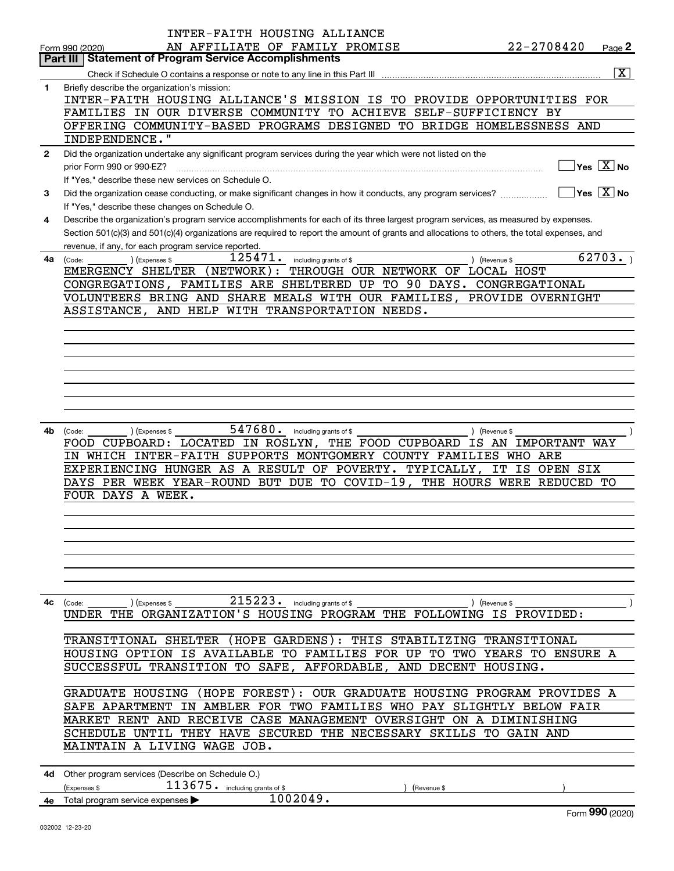|                | INTER-FAITH HOUSING ALLIANCE                                                                                                                 |               |                                           |
|----------------|----------------------------------------------------------------------------------------------------------------------------------------------|---------------|-------------------------------------------|
|                | AN AFFILIATE OF FAMILY PROMISE<br>Form 990 (2020)                                                                                            | 22-2708420    | Page $2$                                  |
|                | <b>Part III   Statement of Program Service Accomplishments</b>                                                                               |               |                                           |
|                |                                                                                                                                              |               | $ \overline{\mathrm{X}} $                 |
| 1              | Briefly describe the organization's mission:                                                                                                 |               |                                           |
|                | INTER-FAITH HOUSING ALLIANCE'S MISSION IS TO PROVIDE OPPORTUNITIES FOR                                                                       |               |                                           |
|                | FAMILIES IN OUR DIVERSE COMMUNITY TO ACHIEVE SELF-SUFFICIENCY BY                                                                             |               |                                           |
|                | OFFERING COMMUNITY-BASED PROGRAMS DESIGNED TO BRIDGE HOMELESSNESS AND                                                                        |               |                                           |
|                | INDEPENDENCE."                                                                                                                               |               |                                           |
| $\overline{2}$ | Did the organization undertake any significant program services during the year which were not listed on the                                 |               |                                           |
|                | prior Form 990 or 990-EZ?                                                                                                                    |               | $\overline{\ }$ Yes $\overline{\rm X}$ No |
|                | If "Yes," describe these new services on Schedule O.                                                                                         |               |                                           |
| 3              | Did the organization cease conducting, or make significant changes in how it conducts, any program services?                                 |               | $\sqrt{}$ Yes $\sqrt{X}$ No               |
|                | If "Yes," describe these changes on Schedule O.                                                                                              |               |                                           |
| 4              | Describe the organization's program service accomplishments for each of its three largest program services, as measured by expenses.         |               |                                           |
|                | Section 501(c)(3) and 501(c)(4) organizations are required to report the amount of grants and allocations to others, the total expenses, and |               |                                           |
|                | revenue, if any, for each program service reported.                                                                                          |               |                                           |
| 4a             | $\overline{1}\overline{2}\overline{5}\overline{4}\overline{7}\overline{1}$ . including grants of \$<br>(Expenses \$<br>(Code:                | ) (Revenue \$ | 62703.                                    |
|                | EMERGENCY SHELTER (NETWORK): THROUGH OUR NETWORK OF LOCAL HOST                                                                               |               |                                           |
|                | CONGREGATIONS, FAMILIES ARE SHELTERED UP TO 90 DAYS. CONGREGATIONAL                                                                          |               |                                           |
|                | VOLUNTEERS BRING AND SHARE MEALS WITH OUR FAMILIES, PROVIDE OVERNIGHT                                                                        |               |                                           |
|                | ASSISTANCE, AND HELP WITH TRANSPORTATION NEEDS.                                                                                              |               |                                           |
|                |                                                                                                                                              |               |                                           |
|                |                                                                                                                                              |               |                                           |
|                |                                                                                                                                              |               |                                           |
|                |                                                                                                                                              |               |                                           |
|                |                                                                                                                                              |               |                                           |
|                |                                                                                                                                              |               |                                           |
|                |                                                                                                                                              |               |                                           |
|                |                                                                                                                                              |               |                                           |
|                |                                                                                                                                              |               |                                           |
| 4b             | 547680. including grants of \$<br>) (Expenses \$<br>(Code:                                                                                   | ) (Revenue \$ |                                           |
|                | FOOD CUPBOARD: LOCATED IN ROSLYN, THE FOOD CUPBOARD IS AN IMPORTANT WAY                                                                      |               |                                           |
|                | IN WHICH INTER-FAITH SUPPORTS MONTGOMERY COUNTY FAMILIES WHO ARE                                                                             |               |                                           |
|                | EXPERIENCING HUNGER AS A RESULT OF POVERTY. TYPICALLY, IT IS OPEN SIX                                                                        |               |                                           |
|                | DAYS PER WEEK YEAR-ROUND BUT DUE TO COVID-19, THE HOURS WERE REDUCED TO                                                                      |               |                                           |
|                | FOUR DAYS A WEEK.                                                                                                                            |               |                                           |
|                |                                                                                                                                              |               |                                           |
|                |                                                                                                                                              |               |                                           |
|                |                                                                                                                                              |               |                                           |
|                |                                                                                                                                              |               |                                           |
|                |                                                                                                                                              |               |                                           |
|                |                                                                                                                                              |               |                                           |
|                |                                                                                                                                              |               |                                           |
|                | 215223. including grants of \$<br>4c (Code:<br>(Expenses \$                                                                                  | ) (Revenue \$ |                                           |
|                | UNDER THE ORGANIZATION'S HOUSING PROGRAM THE FOLLOWING IS PROVIDED:                                                                          |               |                                           |
|                |                                                                                                                                              |               |                                           |
|                | TRANSITIONAL SHELTER (HOPE GARDENS): THIS STABILIZING TRANSITIONAL                                                                           |               |                                           |
|                | HOUSING OPTION IS AVAILABLE TO FAMILIES FOR UP TO TWO YEARS TO ENSURE A                                                                      |               |                                           |
|                | SUCCESSFUL TRANSITION TO SAFE, AFFORDABLE, AND DECENT HOUSING.                                                                               |               |                                           |
|                |                                                                                                                                              |               |                                           |
|                |                                                                                                                                              |               |                                           |
|                | GRADUATE HOUSING (HOPE FOREST): OUR GRADUATE HOUSING PROGRAM PROVIDES A                                                                      |               |                                           |
|                | SAFE APARTMENT IN AMBLER FOR TWO FAMILIES WHO PAY SLIGHTLY BELOW FAIR                                                                        |               |                                           |
|                | MARKET RENT AND RECEIVE CASE MANAGEMENT OVERSIGHT ON A DIMINISHING                                                                           |               |                                           |
|                | SCHEDULE UNTIL THEY HAVE SECURED THE NECESSARY SKILLS TO GAIN AND                                                                            |               |                                           |
|                | MAINTAIN A LIVING WAGE JOB.                                                                                                                  |               |                                           |
|                |                                                                                                                                              |               |                                           |
|                | 4d Other program services (Describe on Schedule O.)                                                                                          |               |                                           |
|                | $113675$ $\cdot$ including grants of \$<br>Expenses \$<br>(Revenue \$                                                                        |               |                                           |
|                | 1002049.<br>4e Total program service expenses >                                                                                              |               |                                           |

Form (2020) **990**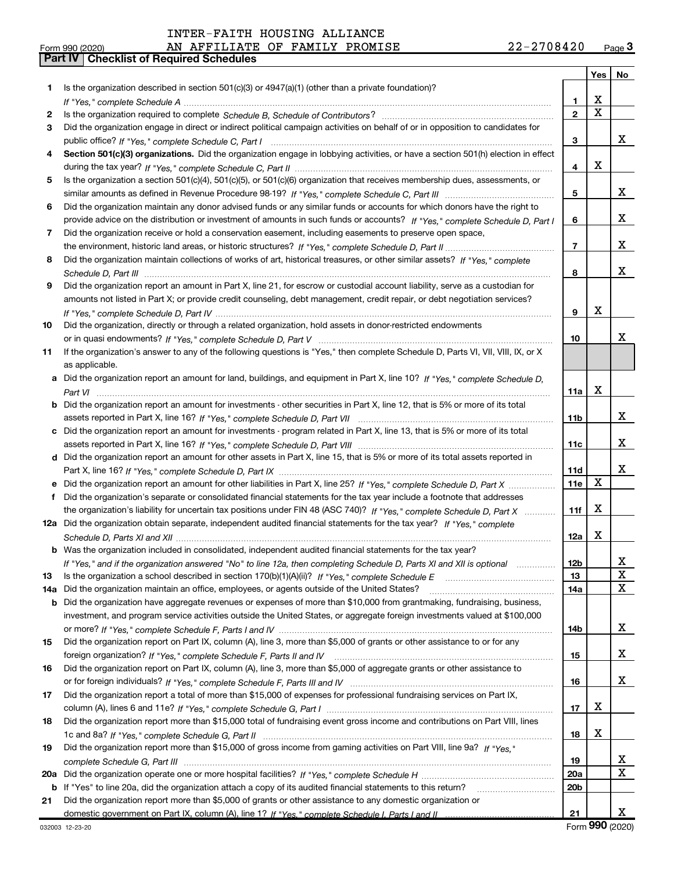**Porm 990 (2020)**<br>**Part IV | Checklist of Required Schedules** 

|     |                                                                                                                                  |                 | Yes | No          |
|-----|----------------------------------------------------------------------------------------------------------------------------------|-----------------|-----|-------------|
| 1   | Is the organization described in section $501(c)(3)$ or $4947(a)(1)$ (other than a private foundation)?                          |                 |     |             |
|     |                                                                                                                                  | 1               | х   |             |
| 2   |                                                                                                                                  | $\mathbf{2}$    | X   |             |
| 3   | Did the organization engage in direct or indirect political campaign activities on behalf of or in opposition to candidates for  |                 |     |             |
|     |                                                                                                                                  | 3               |     | х           |
| 4   | Section 501(c)(3) organizations. Did the organization engage in lobbying activities, or have a section 501(h) election in effect |                 |     |             |
|     |                                                                                                                                  | 4               | х   |             |
| 5   | Is the organization a section 501(c)(4), 501(c)(5), or 501(c)(6) organization that receives membership dues, assessments, or     |                 |     |             |
|     |                                                                                                                                  | 5               |     | x           |
| 6   | Did the organization maintain any donor advised funds or any similar funds or accounts for which donors have the right to        |                 |     |             |
|     | provide advice on the distribution or investment of amounts in such funds or accounts? If "Yes," complete Schedule D, Part I     | 6               |     | х           |
| 7   | Did the organization receive or hold a conservation easement, including easements to preserve open space,                        |                 |     |             |
|     |                                                                                                                                  | 7               |     | X           |
| 8   | Did the organization maintain collections of works of art, historical treasures, or other similar assets? If "Yes," complete     |                 |     |             |
|     |                                                                                                                                  | 8               |     | х           |
| 9   | Did the organization report an amount in Part X, line 21, for escrow or custodial account liability, serve as a custodian for    |                 |     |             |
|     | amounts not listed in Part X; or provide credit counseling, debt management, credit repair, or debt negotiation services?        |                 |     |             |
|     |                                                                                                                                  | 9               | X   |             |
| 10  | Did the organization, directly or through a related organization, hold assets in donor-restricted endowments                     |                 |     |             |
|     |                                                                                                                                  | 10              |     | x           |
| 11  | If the organization's answer to any of the following questions is "Yes," then complete Schedule D, Parts VI, VII, VIII, IX, or X |                 |     |             |
|     | as applicable.                                                                                                                   |                 |     |             |
|     | a Did the organization report an amount for land, buildings, and equipment in Part X, line 10? If "Yes," complete Schedule D,    |                 |     |             |
|     |                                                                                                                                  | 11a             | Х   |             |
| b   | Did the organization report an amount for investments - other securities in Part X, line 12, that is 5% or more of its total     |                 |     |             |
|     |                                                                                                                                  | 11 <sub>b</sub> |     | X           |
|     | c Did the organization report an amount for investments - program related in Part X, line 13, that is 5% or more of its total    |                 |     |             |
|     |                                                                                                                                  |                 |     | X           |
|     |                                                                                                                                  | 11c             |     |             |
|     | d Did the organization report an amount for other assets in Part X, line 15, that is 5% or more of its total assets reported in  |                 |     | х           |
|     |                                                                                                                                  | 11d             | X   |             |
|     | Did the organization report an amount for other liabilities in Part X, line 25? If "Yes," complete Schedule D, Part X            | 11e             |     |             |
| f   | Did the organization's separate or consolidated financial statements for the tax year include a footnote that addresses          |                 |     |             |
|     | the organization's liability for uncertain tax positions under FIN 48 (ASC 740)? If "Yes," complete Schedule D, Part X           | 11f             | х   |             |
|     | 12a Did the organization obtain separate, independent audited financial statements for the tax year? If "Yes," complete          |                 |     |             |
|     |                                                                                                                                  | 12a             | х   |             |
|     | <b>b</b> Was the organization included in consolidated, independent audited financial statements for the tax year?               |                 |     |             |
|     | If "Yes," and if the organization answered "No" to line 12a, then completing Schedule D, Parts XI and XII is optional            | 12 <sub>b</sub> |     |             |
| 13  | Is the organization a school described in section $170(b)(1)(A)(ii)?$ If "Yes," complete Schedule E                              | 13              |     | $\mathbf X$ |
| 14a | Did the organization maintain an office, employees, or agents outside of the United States?                                      | 14a             |     | x           |
|     | <b>b</b> Did the organization have aggregate revenues or expenses of more than \$10,000 from grantmaking, fundraising, business, |                 |     |             |
|     | investment, and program service activities outside the United States, or aggregate foreign investments valued at \$100,000       |                 |     |             |
|     |                                                                                                                                  | 14b             |     | х           |
| 15  | Did the organization report on Part IX, column (A), line 3, more than \$5,000 of grants or other assistance to or for any        |                 |     |             |
|     |                                                                                                                                  | 15              |     | x           |
| 16  | Did the organization report on Part IX, column (A), line 3, more than \$5,000 of aggregate grants or other assistance to         |                 |     |             |
|     |                                                                                                                                  | 16              |     | x           |
| 17  | Did the organization report a total of more than \$15,000 of expenses for professional fundraising services on Part IX,          |                 |     |             |
|     |                                                                                                                                  | 17              | х   |             |
| 18  | Did the organization report more than \$15,000 total of fundraising event gross income and contributions on Part VIII, lines     |                 |     |             |
|     |                                                                                                                                  | 18              | х   |             |
| 19  | Did the organization report more than \$15,000 of gross income from gaming activities on Part VIII, line 9a? If "Yes."           |                 |     |             |
|     |                                                                                                                                  | 19              |     | х           |
| 20a |                                                                                                                                  | <b>20a</b>      |     | X           |
| b   | If "Yes" to line 20a, did the organization attach a copy of its audited financial statements to this return?                     | 20 <sub>b</sub> |     |             |
| 21  | Did the organization report more than \$5,000 of grants or other assistance to any domestic organization or                      |                 |     |             |
|     |                                                                                                                                  | 21              |     | х           |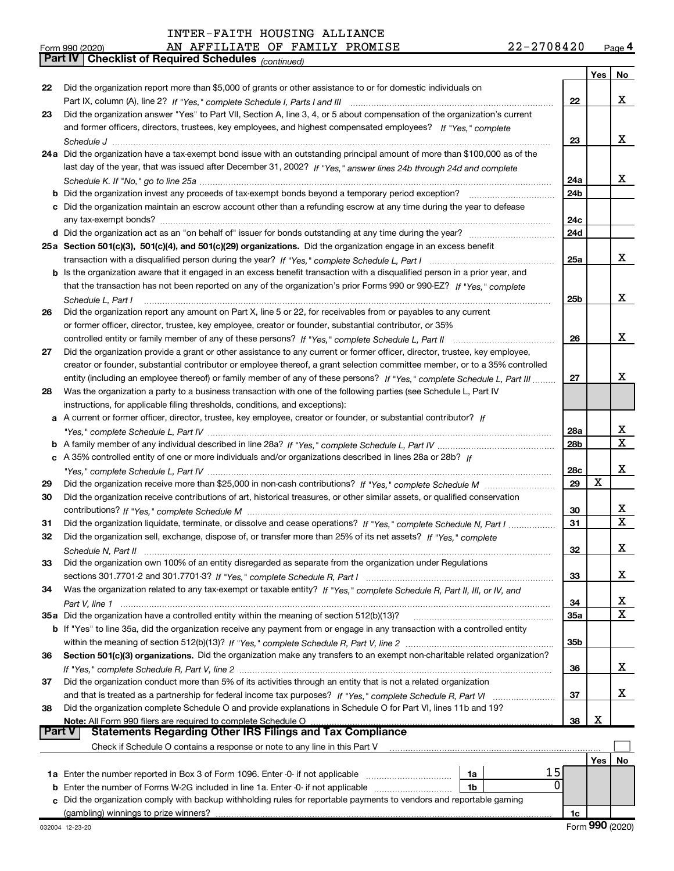Part IV Checklist of Required Schedules (continued)

| Form 990 (2020) | PROMISE<br>AFFILIATE<br><b>FAMILY</b><br>AN<br>OF. | າາ<br>. C<br><b>U844</b><br>Page<br><b>A</b><br>$\epsilon$ |
|-----------------|----------------------------------------------------|------------------------------------------------------------|
|-----------------|----------------------------------------------------|------------------------------------------------------------|

|               |                                                                                                                                                                                                                                                         |                 | Yes           | No                      |
|---------------|---------------------------------------------------------------------------------------------------------------------------------------------------------------------------------------------------------------------------------------------------------|-----------------|---------------|-------------------------|
| 22            | Did the organization report more than \$5,000 of grants or other assistance to or for domestic individuals on                                                                                                                                           |                 |               |                         |
|               |                                                                                                                                                                                                                                                         | 22              |               | x                       |
| 23            | Did the organization answer "Yes" to Part VII, Section A, line 3, 4, or 5 about compensation of the organization's current                                                                                                                              |                 |               |                         |
|               | and former officers, directors, trustees, key employees, and highest compensated employees? If "Yes," complete                                                                                                                                          |                 |               |                         |
|               |                                                                                                                                                                                                                                                         | 23              |               | x                       |
|               | 24a Did the organization have a tax-exempt bond issue with an outstanding principal amount of more than \$100,000 as of the                                                                                                                             |                 |               |                         |
|               | last day of the year, that was issued after December 31, 2002? If "Yes," answer lines 24b through 24d and complete                                                                                                                                      |                 |               |                         |
|               |                                                                                                                                                                                                                                                         | 24a             |               | x                       |
|               |                                                                                                                                                                                                                                                         | 24 <sub>b</sub> |               |                         |
|               | c Did the organization maintain an escrow account other than a refunding escrow at any time during the year to defease                                                                                                                                  | 24c             |               |                         |
|               |                                                                                                                                                                                                                                                         | 24d             |               |                         |
|               | 25a Section 501(c)(3), 501(c)(4), and 501(c)(29) organizations. Did the organization engage in an excess benefit                                                                                                                                        |                 |               |                         |
|               |                                                                                                                                                                                                                                                         | 25a             |               | x                       |
|               | b Is the organization aware that it engaged in an excess benefit transaction with a disqualified person in a prior year, and                                                                                                                            |                 |               |                         |
|               | that the transaction has not been reported on any of the organization's prior Forms 990 or 990-EZ? If "Yes," complete                                                                                                                                   |                 |               |                         |
|               | Schedule L, Part I                                                                                                                                                                                                                                      | 25b             |               | x                       |
| 26            | Did the organization report any amount on Part X, line 5 or 22, for receivables from or payables to any current                                                                                                                                         |                 |               |                         |
|               | or former officer, director, trustee, key employee, creator or founder, substantial contributor, or 35%                                                                                                                                                 |                 |               |                         |
|               |                                                                                                                                                                                                                                                         | 26              |               | X.                      |
| 27            | Did the organization provide a grant or other assistance to any current or former officer, director, trustee, key employee,                                                                                                                             |                 |               |                         |
|               | creator or founder, substantial contributor or employee thereof, a grant selection committee member, or to a 35% controlled<br>entity (including an employee thereof) or family member of any of these persons? If "Yes," complete Schedule L, Part III | 27              |               | x                       |
| 28            | Was the organization a party to a business transaction with one of the following parties (see Schedule L, Part IV                                                                                                                                       |                 |               |                         |
|               | instructions, for applicable filing thresholds, conditions, and exceptions):                                                                                                                                                                            |                 |               |                         |
|               | a A current or former officer, director, trustee, key employee, creator or founder, or substantial contributor? If                                                                                                                                      |                 |               |                         |
|               |                                                                                                                                                                                                                                                         | 28a             |               | x                       |
|               |                                                                                                                                                                                                                                                         | 28b             |               | $\overline{\mathbf{x}}$ |
|               | c A 35% controlled entity of one or more individuals and/or organizations described in lines 28a or 28b? If                                                                                                                                             |                 |               |                         |
|               |                                                                                                                                                                                                                                                         | 28c             |               | x                       |
| 29            |                                                                                                                                                                                                                                                         | 29              | X             |                         |
| 30            | Did the organization receive contributions of art, historical treasures, or other similar assets, or qualified conservation                                                                                                                             |                 |               |                         |
|               |                                                                                                                                                                                                                                                         | 30              |               | x                       |
| 31            | Did the organization liquidate, terminate, or dissolve and cease operations? If "Yes," complete Schedule N, Part I                                                                                                                                      | 31              |               | $\mathbf{x}$            |
| 32            | Did the organization sell, exchange, dispose of, or transfer more than 25% of its net assets? If "Yes," complete                                                                                                                                        |                 |               | x                       |
|               |                                                                                                                                                                                                                                                         | 32              |               |                         |
| 33            | Did the organization own 100% of an entity disregarded as separate from the organization under Regulations                                                                                                                                              | 33              |               | х                       |
| 34            | Was the organization related to any tax-exempt or taxable entity? If "Yes," complete Schedule R, Part II, III, or IV, and                                                                                                                               |                 |               |                         |
|               |                                                                                                                                                                                                                                                         | 34              |               | x                       |
|               | 35a Did the organization have a controlled entity within the meaning of section 512(b)(13)?                                                                                                                                                             | 35a             |               | X                       |
|               | <b>b</b> If "Yes" to line 35a, did the organization receive any payment from or engage in any transaction with a controlled entity                                                                                                                      |                 |               |                         |
|               |                                                                                                                                                                                                                                                         | 35 <sub>b</sub> |               |                         |
| 36            | Section 501(c)(3) organizations. Did the organization make any transfers to an exempt non-charitable related organization?                                                                                                                              |                 |               |                         |
|               |                                                                                                                                                                                                                                                         | 36              |               | х                       |
| 37            | Did the organization conduct more than 5% of its activities through an entity that is not a related organization                                                                                                                                        |                 |               |                         |
|               |                                                                                                                                                                                                                                                         | 37              |               | х                       |
| 38            | Did the organization complete Schedule O and provide explanations in Schedule O for Part VI, lines 11b and 19?                                                                                                                                          |                 | X             |                         |
| <b>Part V</b> | Note: All Form 990 filers are required to complete Schedule O<br><b>Statements Regarding Other IRS Filings and Tax Compliance</b>                                                                                                                       | 38              |               |                         |
|               | Check if Schedule O contains a response or note to any line in this Part V                                                                                                                                                                              |                 |               |                         |
|               |                                                                                                                                                                                                                                                         |                 | Yes           | No                      |
|               | 15<br>1a                                                                                                                                                                                                                                                |                 |               |                         |
|               | 0<br><b>b</b> Enter the number of Forms W-2G included in line 1a. Enter -0- if not applicable<br>1b                                                                                                                                                     |                 |               |                         |
|               | c Did the organization comply with backup withholding rules for reportable payments to vendors and reportable gaming                                                                                                                                    |                 |               |                         |
|               | (gambling) winnings to prize winners?                                                                                                                                                                                                                   | 1c              | $000 \approx$ |                         |
|               |                                                                                                                                                                                                                                                         |                 |               |                         |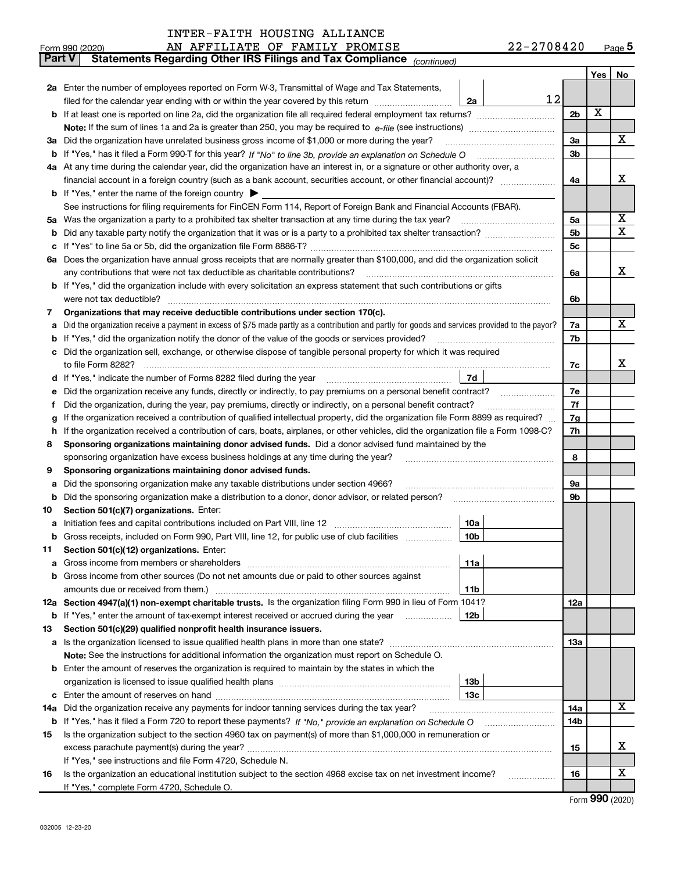| <b>Part V</b> | Statements Regarding Other IRS Filings and Tax Compliance (continued)                                                                                                                      |                |     |    |  |
|---------------|--------------------------------------------------------------------------------------------------------------------------------------------------------------------------------------------|----------------|-----|----|--|
|               |                                                                                                                                                                                            |                | Yes | No |  |
|               | 2a Enter the number of employees reported on Form W-3, Transmittal of Wage and Tax Statements,                                                                                             |                |     |    |  |
|               | 12<br>filed for the calendar year ending with or within the year covered by this return [111] [11] filed for the calendar year ending with or within the year covered by this return<br>2a |                |     |    |  |
|               |                                                                                                                                                                                            | 2 <sub>b</sub> | X   |    |  |
|               |                                                                                                                                                                                            |                |     |    |  |
|               | 3a Did the organization have unrelated business gross income of \$1,000 or more during the year?                                                                                           | 3a             |     | x  |  |
| b             |                                                                                                                                                                                            | 3 <sub>b</sub> |     |    |  |
|               | 4a At any time during the calendar year, did the organization have an interest in, or a signature or other authority over, a                                                               |                |     |    |  |
|               | financial account in a foreign country (such as a bank account, securities account, or other financial account)?                                                                           | 4a             |     | х  |  |
|               | <b>b</b> If "Yes," enter the name of the foreign country $\triangleright$                                                                                                                  |                |     |    |  |
|               | See instructions for filing requirements for FinCEN Form 114, Report of Foreign Bank and Financial Accounts (FBAR).                                                                        |                |     |    |  |
|               |                                                                                                                                                                                            | 5a             |     | X  |  |
| b             |                                                                                                                                                                                            | 5b             |     | х  |  |
| c             |                                                                                                                                                                                            | 5 <sub>c</sub> |     |    |  |
|               | 6a Does the organization have annual gross receipts that are normally greater than \$100,000, and did the organization solicit                                                             |                |     |    |  |
|               |                                                                                                                                                                                            | 6a             |     | х  |  |
|               | b If "Yes," did the organization include with every solicitation an express statement that such contributions or gifts                                                                     |                |     |    |  |
|               | were not tax deductible?                                                                                                                                                                   | 6b             |     |    |  |
| 7             | Organizations that may receive deductible contributions under section 170(c).                                                                                                              |                |     |    |  |
| а             | Did the organization receive a payment in excess of \$75 made partly as a contribution and partly for goods and services provided to the payor?                                            | 7a             |     | x  |  |
| b             | If "Yes," did the organization notify the donor of the value of the goods or services provided?                                                                                            | 7b             |     |    |  |
| c             | Did the organization sell, exchange, or otherwise dispose of tangible personal property for which it was required                                                                          |                |     |    |  |
|               |                                                                                                                                                                                            | 7c             |     | x  |  |
|               | 7d<br>d If "Yes," indicate the number of Forms 8282 filed during the year manufactured in the second of the New York                                                                       |                |     |    |  |
| е             | Did the organization receive any funds, directly or indirectly, to pay premiums on a personal benefit contract?                                                                            |                |     |    |  |
| f             | Did the organization, during the year, pay premiums, directly or indirectly, on a personal benefit contract?                                                                               |                |     |    |  |
| g             | If the organization received a contribution of qualified intellectual property, did the organization file Form 8899 as required?                                                           |                |     |    |  |
| h             | If the organization received a contribution of cars, boats, airplanes, or other vehicles, did the organization file a Form 1098-C?                                                         |                |     |    |  |
| 8             | Sponsoring organizations maintaining donor advised funds. Did a donor advised fund maintained by the                                                                                       |                |     |    |  |
|               | sponsoring organization have excess business holdings at any time during the year?                                                                                                         |                |     |    |  |
| 9             | Sponsoring organizations maintaining donor advised funds.                                                                                                                                  |                |     |    |  |
| а             | Did the sponsoring organization make any taxable distributions under section 4966?                                                                                                         | <b>9a</b>      |     |    |  |
| b             | Did the sponsoring organization make a distribution to a donor, donor advisor, or related person?                                                                                          | 9b             |     |    |  |
| 10            | Section 501(c)(7) organizations. Enter:                                                                                                                                                    |                |     |    |  |
| а             | 10a                                                                                                                                                                                        |                |     |    |  |
| b             | 10 <sub>b</sub><br>Gross receipts, included on Form 990, Part VIII, line 12, for public use of club facilities                                                                             |                |     |    |  |
| 11            | Section 501(c)(12) organizations. Enter:                                                                                                                                                   |                |     |    |  |
| а             | 11a<br>Gross income from members or shareholders                                                                                                                                           |                |     |    |  |
| b             | Gross income from other sources (Do not net amounts due or paid to other sources against                                                                                                   |                |     |    |  |
|               | 11 <sub>b</sub><br>amounts due or received from them.)                                                                                                                                     |                |     |    |  |
|               | 12a Section 4947(a)(1) non-exempt charitable trusts. Is the organization filing Form 990 in lieu of Form 1041?                                                                             | 12a            |     |    |  |
| b             | If "Yes," enter the amount of tax-exempt interest received or accrued during the year<br>12b                                                                                               |                |     |    |  |
| 13            | Section 501(c)(29) qualified nonprofit health insurance issuers.                                                                                                                           |                |     |    |  |
| a             | Is the organization licensed to issue qualified health plans in more than one state?                                                                                                       | 13a            |     |    |  |
|               | Note: See the instructions for additional information the organization must report on Schedule O.                                                                                          |                |     |    |  |
|               | <b>b</b> Enter the amount of reserves the organization is required to maintain by the states in which the                                                                                  |                |     |    |  |
|               | 13b                                                                                                                                                                                        |                |     |    |  |
| c             | 13с                                                                                                                                                                                        |                |     |    |  |
| 14a           | Did the organization receive any payments for indoor tanning services during the tax year?                                                                                                 | 14a            |     | x  |  |
| b             | If "Yes," has it filed a Form 720 to report these payments? If "No," provide an explanation on Schedule O                                                                                  | 14b            |     |    |  |
| 15            | Is the organization subject to the section 4960 tax on payment(s) of more than \$1,000,000 in remuneration or                                                                              |                |     |    |  |
|               |                                                                                                                                                                                            | 15             |     | х  |  |
|               | If "Yes," see instructions and file Form 4720, Schedule N.                                                                                                                                 |                |     | х  |  |
| 16            | Is the organization an educational institution subject to the section 4968 excise tax on net investment income?                                                                            | 16             |     |    |  |
|               | If "Yes," complete Form 4720, Schedule O.                                                                                                                                                  |                |     |    |  |

Form 990 (2020)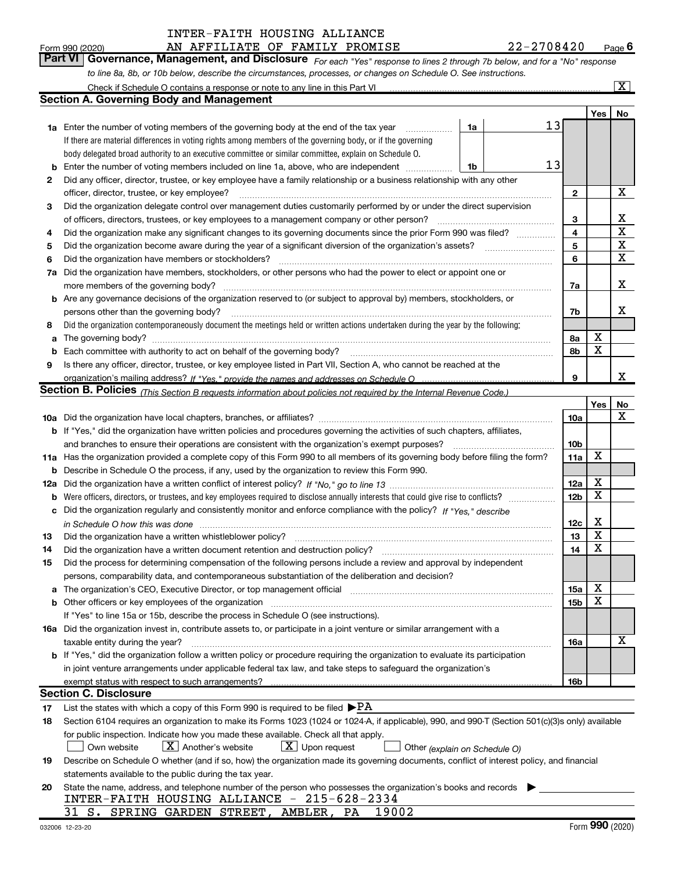Form 990 (2020) Page AN AFFILIATE OF FAMILY PROMISE 22-2708420  $Page 6$ 

| <b>Part VI   Governance, Management, and Disclosure</b> For each "Yes" response to lines 2 through 7b below, and for a "No" responsr |  |  |
|--------------------------------------------------------------------------------------------------------------------------------------|--|--|
| to line 8a, 8b, or 10b below, describe the circumstances, processes, or changes on Schedule O. See instructions.                     |  |  |

|     | Check if Schedule O contains a response or note to any line in this Part VI                                                                      |                 |             | $\overline{\text{X}}$ |
|-----|--------------------------------------------------------------------------------------------------------------------------------------------------|-----------------|-------------|-----------------------|
|     | <b>Section A. Governing Body and Management</b>                                                                                                  |                 |             |                       |
|     |                                                                                                                                                  |                 | Yes         | No                    |
|     | 13<br>1a<br><b>1a</b> Enter the number of voting members of the governing body at the end of the tax year                                        |                 |             |                       |
|     | If there are material differences in voting rights among members of the governing body, or if the governing                                      |                 |             |                       |
|     | body delegated broad authority to an executive committee or similar committee, explain on Schedule O.                                            |                 |             |                       |
| b   | 13<br>Enter the number of voting members included on line 1a, above, who are independent<br>1b                                                   |                 |             |                       |
| 2   | Did any officer, director, trustee, or key employee have a family relationship or a business relationship with any other                         |                 |             |                       |
|     | officer, director, trustee, or key employee?                                                                                                     | $\mathbf{2}$    |             | х                     |
| 3   | Did the organization delegate control over management duties customarily performed by or under the direct supervision                            |                 |             |                       |
|     | of officers, directors, trustees, or key employees to a management company or other person?                                                      | 3               |             | х                     |
| 4   | Did the organization make any significant changes to its governing documents since the prior Form 990 was filed?                                 | 4               |             | $\mathbf X$           |
| 5   | Did the organization become aware during the year of a significant diversion of the organization's assets?                                       | 5               |             | $\mathbf X$           |
| 6   | Did the organization have members or stockholders?                                                                                               | 6               |             | $\mathbf X$           |
| 7а  | Did the organization have members, stockholders, or other persons who had the power to elect or appoint one or                                   |                 |             |                       |
|     |                                                                                                                                                  | 7a              |             | х                     |
|     | <b>b</b> Are any governance decisions of the organization reserved to (or subject to approval by) members, stockholders, or                      |                 |             |                       |
|     | persons other than the governing body?                                                                                                           | 7b              |             | x                     |
| 8   | Did the organization contemporaneously document the meetings held or written actions undertaken during the year by the following:                |                 |             |                       |
| a   |                                                                                                                                                  | 8а              | X           |                       |
| b   |                                                                                                                                                  | 8b              | X           |                       |
| 9   | Is there any officer, director, trustee, or key employee listed in Part VII, Section A, who cannot be reached at the                             |                 |             |                       |
|     |                                                                                                                                                  | 9               |             | x                     |
|     | Section B. Policies (This Section B requests information about policies not required by the Internal Revenue Code.)                              |                 |             |                       |
|     |                                                                                                                                                  |                 | Yes         | No                    |
|     |                                                                                                                                                  | 10a             |             | $\mathbf X$           |
|     | b If "Yes," did the organization have written policies and procedures governing the activities of such chapters, affiliates,                     |                 |             |                       |
|     | and branches to ensure their operations are consistent with the organization's exempt purposes?                                                  | 10 <sub>b</sub> |             |                       |
|     | 11a Has the organization provided a complete copy of this Form 990 to all members of its governing body before filing the form?                  | 11a             | X           |                       |
| b   | Describe in Schedule O the process, if any, used by the organization to review this Form 990.                                                    |                 |             |                       |
| 12a |                                                                                                                                                  | 12a             | X           |                       |
| b   |                                                                                                                                                  | 12 <sub>b</sub> | X           |                       |
| c   | Did the organization regularly and consistently monitor and enforce compliance with the policy? If "Yes," describe                               |                 |             |                       |
|     |                                                                                                                                                  | 12c             | X           |                       |
| 13  | Did the organization have a written whistleblower policy?                                                                                        | 13              | X           |                       |
| 14  |                                                                                                                                                  | 14              | $\mathbf X$ |                       |
| 15  | Did the process for determining compensation of the following persons include a review and approval by independent                               |                 |             |                       |
|     | persons, comparability data, and contemporaneous substantiation of the deliberation and decision?                                                |                 |             |                       |
|     | a The organization's CEO, Executive Director, or top management official manufactured content content of the o                                   | 15a             | х           |                       |
|     |                                                                                                                                                  | 15b             | Χ           |                       |
|     | If "Yes" to line 15a or 15b, describe the process in Schedule O (see instructions).                                                              |                 |             |                       |
|     | 16a Did the organization invest in, contribute assets to, or participate in a joint venture or similar arrangement with a                        |                 |             |                       |
|     | taxable entity during the year?                                                                                                                  | 16a             |             | х                     |
|     | b If "Yes," did the organization follow a written policy or procedure requiring the organization to evaluate its participation                   |                 |             |                       |
|     | in joint venture arrangements under applicable federal tax law, and take steps to safeguard the organization's                                   |                 |             |                       |
|     | exempt status with respect to such arrangements?                                                                                                 | 16b             |             |                       |
|     | <b>Section C. Disclosure</b>                                                                                                                     |                 |             |                       |
| 17  | List the states with which a copy of this Form 990 is required to be filed $\blacktriangleright$ PA                                              |                 |             |                       |
| 18  | Section 6104 requires an organization to make its Forms 1023 (1024 or 1024-A, if applicable), 990, and 990-T (Section 501(c)(3)s only) available |                 |             |                       |
|     | for public inspection. Indicate how you made these available. Check all that apply.                                                              |                 |             |                       |
|     | $X$ Another's website<br>$X$ Upon request<br>Own website<br>Other (explain on Schedule O)                                                        |                 |             |                       |
| 19  | Describe on Schedule O whether (and if so, how) the organization made its governing documents, conflict of interest policy, and financial        |                 |             |                       |
|     | statements available to the public during the tax year.                                                                                          |                 |             |                       |
| 20  | State the name, address, and telephone number of the person who possesses the organization's books and records                                   |                 |             |                       |
|     | INTER-FAITH HOUSING ALLIANCE - 215-628-2334                                                                                                      |                 |             |                       |
|     | 31 S. SPRING GARDEN STREET, AMBLER, PA 19002                                                                                                     |                 |             |                       |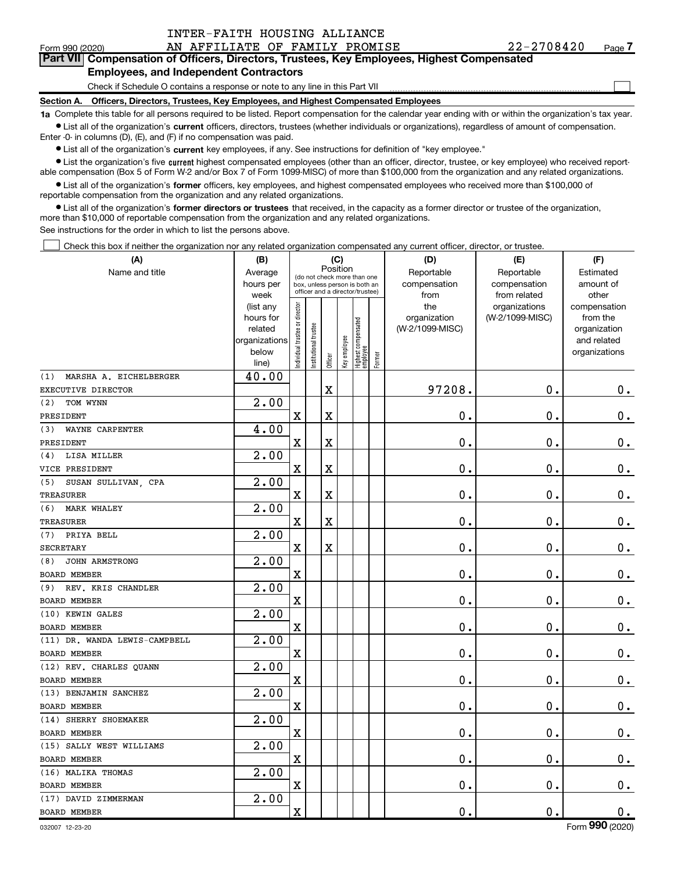Form 990 (2020) Page AN AFFILIATE OF FAMILY PROMISE 22-2708420 Part VII Compensation of Officers, Directors, Trustees, Key Employees, Highest Compensated

## Employees, and Independent Contractors

Check if Schedule O contains a response or note to any line in this Part VII

Section A. Officers, Directors, Trustees, Key Employees, and Highest Compensated Employees

1a Complete this table for all persons required to be listed. Report compensation for the calendar year ending with or within the organization's tax year. Ist all of the organization's current officers, directors, trustees (whether individuals or organizations), regardless of amount of compensation.

Enter -0- in columns (D), (E), and (F) if no compensation was paid.

**•** List all of the organization's current key employees, if any. See instructions for definition of "key employee."

● List the organization's five current highest compensated employees (other than an officer, director, trustee, or key employee) who received reportable compensation (Box 5 of Form W-2 and/or Box 7 of Form 1099-MISC) of more than \$100,000 from the organization and any related organizations.

List all of the organization's former officers, key employees, and highest compensated employees who received more than \$100,000 of reportable compensation from the organization and any related organizations.

• List all of the organization's former directors or trustees that received, in the capacity as a former director or trustee of the organization, more than \$10,000 of reportable compensation from the organization and any related organizations.

See instructions for the order in which to list the persons above.

Check this box if neither the organization nor any related organization compensated any current officer, director, or trustee.  $\Box$ 

| (A)                           | (B)                      |                               |                                                                  |                         | (C)          |                                 |        | (D)             | (E)             | (F)                         |
|-------------------------------|--------------------------|-------------------------------|------------------------------------------------------------------|-------------------------|--------------|---------------------------------|--------|-----------------|-----------------|-----------------------------|
| Name and title                | Average                  |                               | (do not check more than one                                      | Position                |              |                                 |        | Reportable      | Reportable      | Estimated                   |
|                               | hours per                |                               | box, unless person is both an<br>officer and a director/trustee) |                         |              |                                 |        | compensation    | compensation    | amount of                   |
|                               | week                     |                               |                                                                  |                         |              |                                 |        | from            | from related    | other                       |
|                               | (list any                |                               |                                                                  |                         |              |                                 |        | the             | organizations   | compensation                |
|                               | hours for                |                               |                                                                  |                         |              |                                 |        | organization    | (W-2/1099-MISC) | from the                    |
|                               | related<br>organizations |                               |                                                                  |                         |              |                                 |        | (W-2/1099-MISC) |                 | organization<br>and related |
|                               | below                    |                               |                                                                  |                         |              |                                 |        |                 |                 | organizations               |
|                               | line)                    | ndividual trustee or director | nstitutional trustee                                             | Officer                 | key employee | Highest compensated<br>employee | Former |                 |                 |                             |
| MARSHA A. EICHELBERGER<br>(1) | 40.00                    |                               |                                                                  |                         |              |                                 |        |                 |                 |                             |
| EXECUTIVE DIRECTOR            |                          |                               |                                                                  | $\mathbf X$             |              |                                 |        | 97208.          | 0.              | 0.                          |
| (2)<br>TOM WYNN               | $\overline{2.00}$        |                               |                                                                  |                         |              |                                 |        |                 |                 |                             |
| PRESIDENT                     |                          | $\mathbf X$                   |                                                                  | X                       |              |                                 |        | 0.              | $\mathbf 0$ .   | $0$ .                       |
| WAYNE CARPENTER<br>(3)        | 4.00                     |                               |                                                                  |                         |              |                                 |        |                 |                 |                             |
| PRESIDENT                     |                          | X                             |                                                                  | $\mathbf X$             |              |                                 |        | 0.              | $\mathbf 0$ .   | $0$ .                       |
| LISA MILLER<br>(4)            | 2.00                     |                               |                                                                  |                         |              |                                 |        |                 |                 |                             |
| VICE PRESIDENT                |                          | X                             |                                                                  | $\mathbf X$             |              |                                 |        | 0.              | $\mathbf 0$ .   | 0.                          |
| SUSAN SULLIVAN, CPA<br>(5)    | $\overline{2.00}$        |                               |                                                                  |                         |              |                                 |        |                 |                 |                             |
| TREASURER                     |                          | X                             |                                                                  | X                       |              |                                 |        | 0.              | $\mathbf 0$ .   | 0.                          |
| <b>MARK WHALEY</b><br>(6)     | 2.00                     |                               |                                                                  |                         |              |                                 |        |                 |                 |                             |
| <b>TREASURER</b>              |                          | X                             |                                                                  | $\overline{\textbf{X}}$ |              |                                 |        | 0.              | $\mathbf 0$ .   | 0.                          |
| PRIYA BELL<br>(7)             | 2.00                     |                               |                                                                  |                         |              |                                 |        |                 |                 |                             |
| <b>SECRETARY</b>              |                          | X                             |                                                                  | X                       |              |                                 |        | $\mathbf{0}$ .  | $\mathbf 0$ .   | 0.                          |
| <b>JOHN ARMSTRONG</b><br>(8)  | 2.00                     |                               |                                                                  |                         |              |                                 |        |                 |                 |                             |
| BOARD MEMBER                  |                          | X                             |                                                                  |                         |              |                                 |        | 0.              | 0.              | 0.                          |
| (9) REV. KRIS CHANDLER        | 2.00                     |                               |                                                                  |                         |              |                                 |        |                 |                 |                             |
| <b>BOARD MEMBER</b>           |                          | X                             |                                                                  |                         |              |                                 |        | 0.              | 0.              | 0.                          |
| (10) KEWIN GALES              | 2.00                     |                               |                                                                  |                         |              |                                 |        |                 |                 |                             |
| <b>BOARD MEMBER</b>           |                          | $\mathbf X$                   |                                                                  |                         |              |                                 |        | 0.              | 0.              | $\mathbf 0$ .               |
| (11) DR. WANDA LEWIS-CAMPBELL | 2.00                     |                               |                                                                  |                         |              |                                 |        |                 |                 |                             |
| <b>BOARD MEMBER</b>           |                          | $\mathbf X$                   |                                                                  |                         |              |                                 |        | $\mathbf 0$ .   | $\mathbf 0$ .   | 0.                          |
| (12) REV. CHARLES QUANN       | 2.00                     |                               |                                                                  |                         |              |                                 |        |                 |                 |                             |
| BOARD MEMBER                  |                          | $\mathbf X$                   |                                                                  |                         |              |                                 |        | 0.              | $\mathbf 0$ .   | 0.                          |
| (13) BENJAMIN SANCHEZ         | 2.00                     |                               |                                                                  |                         |              |                                 |        |                 |                 |                             |
| <b>BOARD MEMBER</b>           |                          | $\mathbf x$                   |                                                                  |                         |              |                                 |        | 0.              | 0.              | 0.                          |
| (14) SHERRY SHOEMAKER         | 2.00                     |                               |                                                                  |                         |              |                                 |        |                 |                 |                             |
| <b>BOARD MEMBER</b>           |                          | $\mathbf X$                   |                                                                  |                         |              |                                 |        | $\mathbf 0$ .   | $\mathbf 0$ .   | $\mathbf 0$ .               |
| (15) SALLY WEST WILLIAMS      | 2.00                     |                               |                                                                  |                         |              |                                 |        |                 |                 |                             |
| <b>BOARD MEMBER</b>           |                          | $\mathbf X$                   |                                                                  |                         |              |                                 |        | $\mathbf 0$ .   | $\mathbf 0$ .   | 0.                          |
| (16) MALIKA THOMAS            | $\overline{2.00}$        |                               |                                                                  |                         |              |                                 |        |                 |                 |                             |
| <b>BOARD MEMBER</b>           |                          | Χ                             |                                                                  |                         |              |                                 |        | 0.              | $\mathbf 0$ .   | 0.                          |
| (17) DAVID ZIMMERMAN          | 2.00                     |                               |                                                                  |                         |              |                                 |        |                 |                 |                             |
| <b>BOARD MEMBER</b>           |                          | X                             |                                                                  |                         |              |                                 |        | $\mathbf 0$ .   | 0.              | 0.                          |

 $\Box$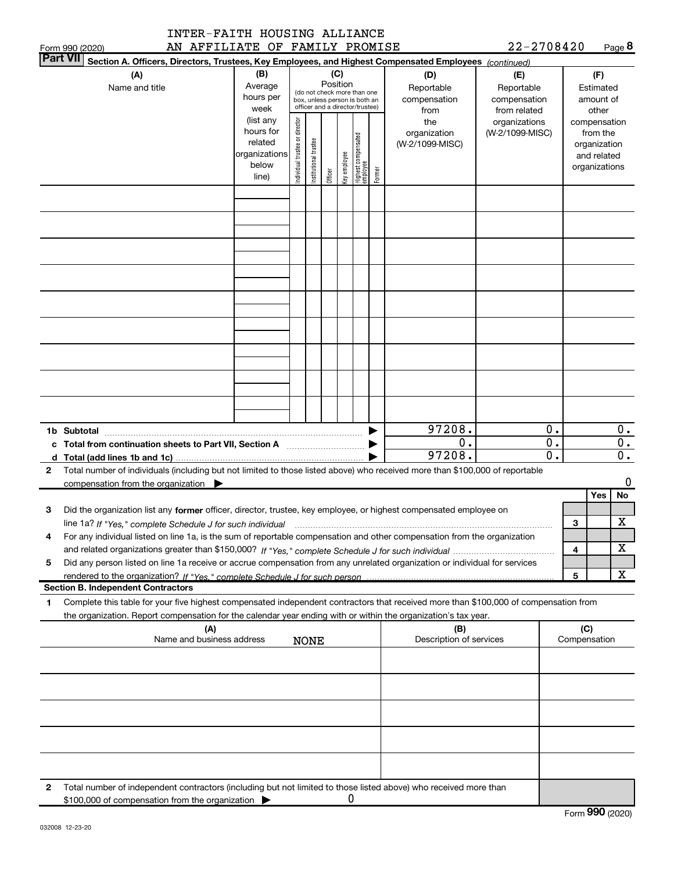|                 | AN AFFILIATE OF FAMILY PROMISE<br>Form 990 (2020)                                                                                                                                                                                                      |                                                                      |                                |                       |          |              |                                                                                                 |        |                                                | $22 - 2708420$                                   |                             |     | Page $8$                                                                          |
|-----------------|--------------------------------------------------------------------------------------------------------------------------------------------------------------------------------------------------------------------------------------------------------|----------------------------------------------------------------------|--------------------------------|-----------------------|----------|--------------|-------------------------------------------------------------------------------------------------|--------|------------------------------------------------|--------------------------------------------------|-----------------------------|-----|-----------------------------------------------------------------------------------|
| <b>Part VII</b> | Section A. Officers, Directors, Trustees, Key Employees, and Highest Compensated Employees (continued)                                                                                                                                                 |                                                                      |                                |                       |          |              |                                                                                                 |        |                                                |                                                  |                             |     |                                                                                   |
|                 | (A)<br>Name and title                                                                                                                                                                                                                                  | (B)<br>Average<br>hours per<br>week                                  |                                |                       | Position | (C)          | (do not check more than one<br>box, unless person is both an<br>officer and a director/trustee) |        | (D)<br>Reportable<br>compensation              | (E)<br>Reportable<br>compensation                |                             |     | (F)<br>Estimated<br>amount of                                                     |
|                 |                                                                                                                                                                                                                                                        | (list any<br>hours for<br>related<br>organizations<br>below<br>line) | Individual trustee or director | Institutional trustee | Officer  | Key employee | Highest compensated<br>employee                                                                 | Former | from<br>the<br>organization<br>(W-2/1099-MISC) | from related<br>organizations<br>(W-2/1099-MISC) |                             |     | other<br>compensation<br>from the<br>organization<br>and related<br>organizations |
|                 |                                                                                                                                                                                                                                                        |                                                                      |                                |                       |          |              |                                                                                                 |        |                                                |                                                  |                             |     |                                                                                   |
|                 |                                                                                                                                                                                                                                                        |                                                                      |                                |                       |          |              |                                                                                                 |        |                                                |                                                  |                             |     |                                                                                   |
|                 |                                                                                                                                                                                                                                                        |                                                                      |                                |                       |          |              |                                                                                                 |        |                                                |                                                  |                             |     |                                                                                   |
|                 |                                                                                                                                                                                                                                                        |                                                                      |                                |                       |          |              |                                                                                                 |        |                                                |                                                  |                             |     |                                                                                   |
|                 |                                                                                                                                                                                                                                                        |                                                                      |                                |                       |          |              |                                                                                                 |        |                                                |                                                  |                             |     |                                                                                   |
|                 |                                                                                                                                                                                                                                                        |                                                                      |                                |                       |          |              |                                                                                                 |        |                                                |                                                  |                             |     |                                                                                   |
|                 |                                                                                                                                                                                                                                                        |                                                                      |                                |                       |          |              |                                                                                                 |        |                                                |                                                  |                             |     |                                                                                   |
|                 |                                                                                                                                                                                                                                                        |                                                                      |                                |                       |          |              |                                                                                                 |        |                                                |                                                  |                             |     |                                                                                   |
|                 |                                                                                                                                                                                                                                                        |                                                                      |                                |                       |          |              |                                                                                                 |        |                                                |                                                  | 0.                          |     |                                                                                   |
|                 | 1b Subtotal<br>c Total from continuation sheets to Part VII, Section A <b>manual</b> contains the Total from continuum                                                                                                                                 |                                                                      |                                |                       |          |              |                                                                                                 |        | 97208.<br>$\overline{0}$ .                     |                                                  | $\overline{\mathbf{0}}$ .   |     | 0.<br>$\overline{0}$ .                                                            |
|                 | d $Total (add lines 1b and 1c)$ .                                                                                                                                                                                                                      |                                                                      |                                |                       |          |              |                                                                                                 |        | 97208.                                         |                                                  | $\overline{\mathfrak{o}}$ . |     | $\overline{0}$ .                                                                  |
| 2               | Total number of individuals (including but not limited to those listed above) who received more than \$100,000 of reportable<br>compensation from the organization                                                                                     |                                                                      |                                |                       |          |              |                                                                                                 |        |                                                |                                                  |                             |     | 0                                                                                 |
|                 |                                                                                                                                                                                                                                                        |                                                                      |                                |                       |          |              |                                                                                                 |        |                                                |                                                  |                             |     | No<br>Yes                                                                         |
| 3               | Did the organization list any former officer, director, trustee, key employee, or highest compensated employee on                                                                                                                                      |                                                                      |                                |                       |          |              |                                                                                                 |        |                                                |                                                  |                             |     |                                                                                   |
|                 | line 1a? If "Yes," complete Schedule J for such individual manufactured contained and the Yes," complete Schedule J for such individual                                                                                                                |                                                                      |                                |                       |          |              |                                                                                                 |        |                                                |                                                  |                             | 3   | X                                                                                 |
| 4               | For any individual listed on line 1a, is the sum of reportable compensation and other compensation from the organization                                                                                                                               |                                                                      |                                |                       |          |              |                                                                                                 |        |                                                |                                                  |                             | 4   | х                                                                                 |
| 5               | Did any person listed on line 1a receive or accrue compensation from any unrelated organization or individual for services                                                                                                                             |                                                                      |                                |                       |          |              |                                                                                                 |        |                                                |                                                  |                             | 5   | X                                                                                 |
|                 | <b>Section B. Independent Contractors</b>                                                                                                                                                                                                              |                                                                      |                                |                       |          |              |                                                                                                 |        |                                                |                                                  |                             |     |                                                                                   |
| 1               | Complete this table for your five highest compensated independent contractors that received more than \$100,000 of compensation from<br>the organization. Report compensation for the calendar year ending with or within the organization's tax year. |                                                                      |                                |                       |          |              |                                                                                                 |        |                                                |                                                  |                             |     |                                                                                   |
|                 | (A)<br>Name and business address                                                                                                                                                                                                                       |                                                                      |                                | <b>NONE</b>           |          |              |                                                                                                 |        | (B)<br>Description of services                 |                                                  |                             | (C) | Compensation                                                                      |
|                 |                                                                                                                                                                                                                                                        |                                                                      |                                |                       |          |              |                                                                                                 |        |                                                |                                                  |                             |     |                                                                                   |
|                 |                                                                                                                                                                                                                                                        |                                                                      |                                |                       |          |              |                                                                                                 |        |                                                |                                                  |                             |     |                                                                                   |
|                 |                                                                                                                                                                                                                                                        |                                                                      |                                |                       |          |              |                                                                                                 |        |                                                |                                                  |                             |     |                                                                                   |
|                 |                                                                                                                                                                                                                                                        |                                                                      |                                |                       |          |              |                                                                                                 |        |                                                |                                                  |                             |     |                                                                                   |
|                 |                                                                                                                                                                                                                                                        |                                                                      |                                |                       |          |              |                                                                                                 |        |                                                |                                                  |                             |     |                                                                                   |
| 2               | Total number of independent contractors (including but not limited to those listed above) who received more than<br>\$100,000 of compensation from the organization                                                                                    |                                                                      |                                |                       |          | 0            |                                                                                                 |        |                                                |                                                  |                             |     |                                                                                   |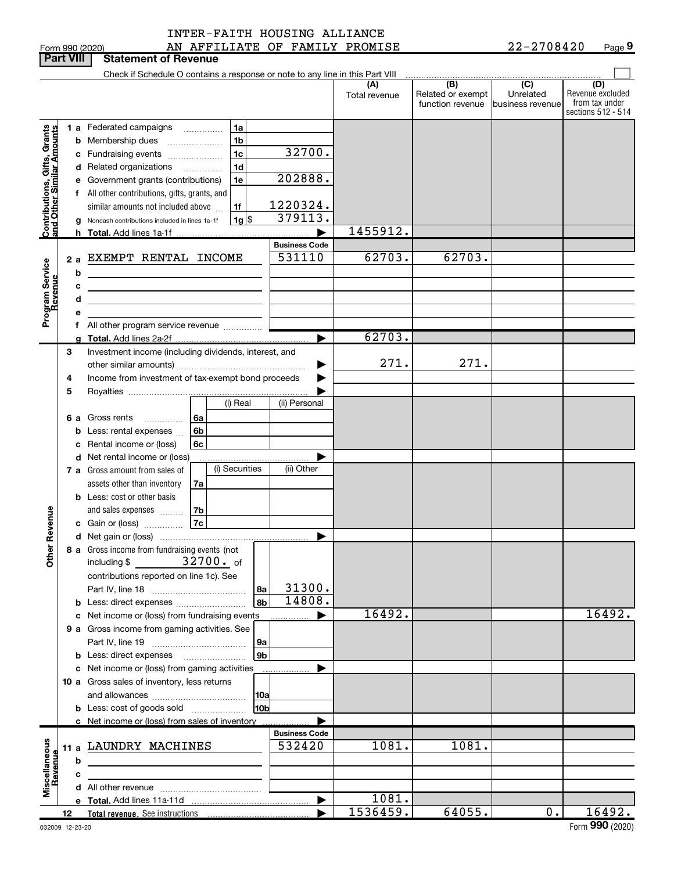| INTER-FAITH HOUSING ALLIANCE |  |
|------------------------------|--|
|                              |  |

|                                                           |                  |                                 | AN AFFILIATE OF FAMILY PROMISE<br>Form 990 (2020)                             |                      |                      |                          | 22-2708420                    | Page 9                               |
|-----------------------------------------------------------|------------------|---------------------------------|-------------------------------------------------------------------------------|----------------------|----------------------|--------------------------|-------------------------------|--------------------------------------|
|                                                           | <b>Part VIII</b> |                                 | <b>Statement of Revenue</b>                                                   |                      |                      |                          |                               |                                      |
|                                                           |                  |                                 | Check if Schedule O contains a response or note to any line in this Part VIII |                      |                      |                          |                               |                                      |
|                                                           |                  |                                 |                                                                               |                      | (A)<br>Total revenue | (B)<br>Related or exempt | $\overline{(C)}$<br>Unrelated | (D)<br>Revenue excluded              |
|                                                           |                  |                                 |                                                                               |                      |                      | function revenue         | business revenue              | from tax under<br>sections 512 - 514 |
|                                                           |                  |                                 | 1a<br>1 a Federated campaigns                                                 |                      |                      |                          |                               |                                      |
|                                                           |                  |                                 | 1b<br><b>b</b> Membership dues                                                |                      |                      |                          |                               |                                      |
|                                                           |                  |                                 | $\overline{\phantom{a}}$<br>1 <sub>c</sub><br>c Fundraising events            | 32700.               |                      |                          |                               |                                      |
|                                                           |                  |                                 | 1 <sub>d</sub><br>d Related organizations                                     |                      |                      |                          |                               |                                      |
|                                                           |                  |                                 | e Government grants (contributions)<br>1e                                     | 202888.              |                      |                          |                               |                                      |
|                                                           |                  |                                 | f All other contributions, gifts, grants, and                                 |                      |                      |                          |                               |                                      |
|                                                           |                  |                                 | similar amounts not included above<br>1f                                      | 1220324.             |                      |                          |                               |                                      |
|                                                           |                  |                                 | 1g  \$<br>g Noncash contributions included in lines 1a-1f                     | 379113.              |                      |                          |                               |                                      |
| Contributions, Gifts, Grants<br>and Other Similar Amounts |                  |                                 | h Total. Add lines 1a-1f                                                      |                      | 1455912.             |                          |                               |                                      |
|                                                           |                  |                                 |                                                                               | <b>Business Code</b> |                      |                          |                               |                                      |
|                                                           |                  | 2а                              | EXEMPT RENTAL INCOME                                                          | 531110               | 62703.               | 62703.                   |                               |                                      |
|                                                           |                  | b                               | <u> 1989 - Johann Stoff, Amerikaansk politiker (</u>                          |                      |                      |                          |                               |                                      |
|                                                           |                  | c                               | <u> 1999 - Johann Barbara, martin amerikan personal (</u>                     |                      |                      |                          |                               |                                      |
|                                                           |                  | d                               | the control of the control of the control of the control of the control of    |                      |                      |                          |                               |                                      |
| Program Service<br>Revenue                                |                  | е                               |                                                                               |                      |                      |                          |                               |                                      |
|                                                           |                  |                                 |                                                                               |                      | 62703.               |                          |                               |                                      |
|                                                           |                  |                                 |                                                                               |                      |                      |                          |                               |                                      |
|                                                           | 3                |                                 | Investment income (including dividends, interest, and                         |                      | 271.                 | 271.                     |                               |                                      |
|                                                           | 4                |                                 | Income from investment of tax-exempt bond proceeds                            |                      |                      |                          |                               |                                      |
|                                                           | 5                |                                 |                                                                               |                      |                      |                          |                               |                                      |
|                                                           |                  |                                 | (i) Real                                                                      | (ii) Personal        |                      |                          |                               |                                      |
|                                                           |                  |                                 | 6 a Gross rents<br>___________________ <u>  6a</u>                            |                      |                      |                          |                               |                                      |
|                                                           |                  |                                 | 6 <sub>b</sub><br>Less: rental expenses                                       |                      |                      |                          |                               |                                      |
|                                                           |                  | 6c<br>c Rental income or (loss) |                                                                               |                      |                      |                          |                               |                                      |
|                                                           |                  |                                 | d Net rental income or (loss)                                                 |                      |                      |                          |                               |                                      |
|                                                           |                  |                                 | (i) Securities<br>7 a Gross amount from sales of                              | (ii) Other           |                      |                          |                               |                                      |
|                                                           |                  |                                 | assets other than inventory<br>7a                                             |                      |                      |                          |                               |                                      |
|                                                           |                  |                                 | <b>b</b> Less: cost or other basis                                            |                      |                      |                          |                               |                                      |
|                                                           |                  |                                 | 7b<br>and sales expenses                                                      |                      |                      |                          |                               |                                      |
|                                                           |                  |                                 | 7c<br>c Gain or (loss)                                                        |                      |                      |                          |                               |                                      |
|                                                           |                  |                                 |                                                                               |                      |                      |                          |                               |                                      |
| <b>Other Revenue</b>                                      |                  |                                 | 8 a Gross income from fundraising events (not                                 |                      |                      |                          |                               |                                      |
|                                                           |                  |                                 | $32700.$ of<br>including \$                                                   |                      |                      |                          |                               |                                      |
|                                                           |                  |                                 | contributions reported on line 1c). See                                       | 31300.               |                      |                          |                               |                                      |
|                                                           |                  |                                 |                                                                               | 8a<br>14808.<br>8b   |                      |                          |                               |                                      |
|                                                           |                  |                                 | c Net income or (loss) from fundraising events                                |                      | 16492.               |                          |                               | 16492.                               |
|                                                           |                  |                                 | 9 a Gross income from gaming activities. See                                  |                      |                      |                          |                               |                                      |
|                                                           |                  |                                 |                                                                               | 9а                   |                      |                          |                               |                                      |
|                                                           |                  |                                 | <b>b</b> Less: direct expenses <b>manually</b>                                | 9 <sub>b</sub>       |                      |                          |                               |                                      |
|                                                           |                  |                                 | c Net income or (loss) from gaming activities                                 |                      |                      |                          |                               |                                      |
|                                                           |                  |                                 | 10 a Gross sales of inventory, less returns                                   |                      |                      |                          |                               |                                      |
|                                                           |                  |                                 |                                                                               | 10a                  |                      |                          |                               |                                      |
|                                                           |                  |                                 |                                                                               | 10 <sub>b</sub>      |                      |                          |                               |                                      |
|                                                           |                  |                                 | c Net income or (loss) from sales of inventory                                |                      |                      |                          |                               |                                      |
|                                                           |                  |                                 |                                                                               | <b>Business Code</b> |                      |                          |                               |                                      |
| Miscellaneous                                             |                  |                                 | 11 a LAUNDRY MACHINES                                                         | 532420               | 1081.                | 1081.                    |                               |                                      |
| Revenue                                                   |                  | b                               |                                                                               |                      |                      |                          |                               |                                      |
|                                                           |                  | c                               |                                                                               |                      |                      |                          |                               |                                      |
|                                                           |                  |                                 |                                                                               |                      |                      |                          |                               |                                      |
|                                                           |                  |                                 |                                                                               | ▶                    | 1081.<br>1536459.    | 64055.                   | 0.                            | 16492.                               |
|                                                           | 12               |                                 | Total revenue. See instructions                                               |                      |                      |                          |                               |                                      |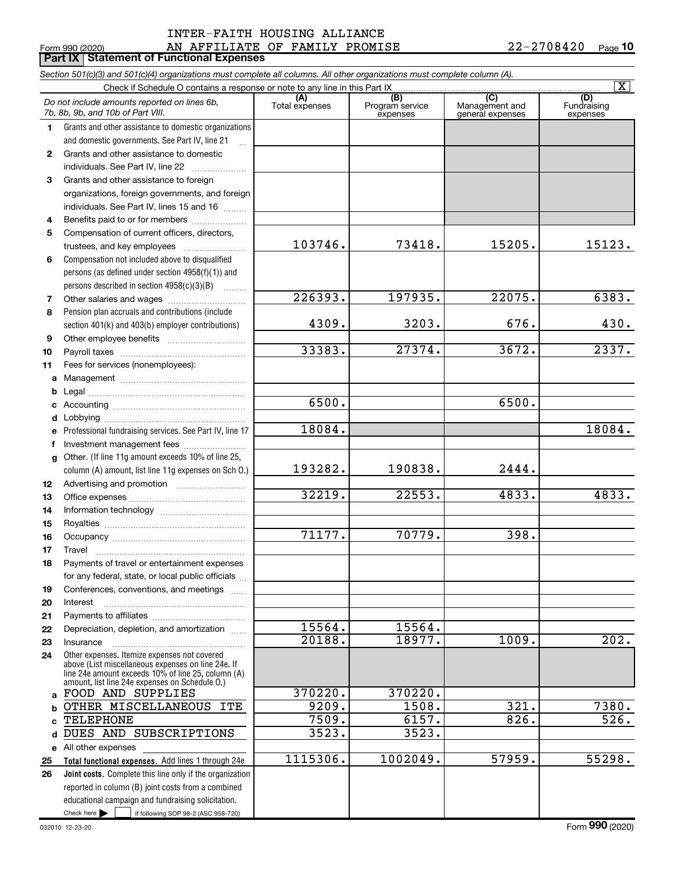## AN AFFILIATE OF FAMILY PROMISE 22-2708420 INTER-FAITH HOUSING ALLIANCE

|              | Form 990 (2020)<br>AN AFFILIATE OF FAMILY PROMISE<br><b>Part IX   Statement of Functional Expenses</b>                                                                                                     |                       |                                    |                                           | 22-2708420<br>Page 10          |
|--------------|------------------------------------------------------------------------------------------------------------------------------------------------------------------------------------------------------------|-----------------------|------------------------------------|-------------------------------------------|--------------------------------|
|              | Section 501(c)(3) and 501(c)(4) organizations must complete all columns. All other organizations must complete column (A).                                                                                 |                       |                                    |                                           |                                |
|              | Check if Schedule O contains a response or note to any line in this Part IX                                                                                                                                |                       |                                    |                                           | $\overline{\mathtt{x}}$        |
|              | Do not include amounts reported on lines 6b,<br>7b, 8b, 9b, and 10b of Part VIII.                                                                                                                          | (A)<br>Total expenses | (B)<br>Program service<br>expenses | (C)<br>Management and<br>general expenses | (D)<br>Fundraising<br>expenses |
| 1.           | Grants and other assistance to domestic organizations                                                                                                                                                      |                       |                                    |                                           |                                |
|              | and domestic governments. See Part IV, line 21                                                                                                                                                             |                       |                                    |                                           |                                |
| $\mathbf{2}$ | Grants and other assistance to domestic                                                                                                                                                                    |                       |                                    |                                           |                                |
|              | individuals. See Part IV, line 22                                                                                                                                                                          |                       |                                    |                                           |                                |
| 3            | Grants and other assistance to foreign                                                                                                                                                                     |                       |                                    |                                           |                                |
|              | organizations, foreign governments, and foreign                                                                                                                                                            |                       |                                    |                                           |                                |
|              | individuals. See Part IV, lines 15 and 16                                                                                                                                                                  |                       |                                    |                                           |                                |
| 4            | Benefits paid to or for members                                                                                                                                                                            |                       |                                    |                                           |                                |
| 5            | Compensation of current officers, directors,                                                                                                                                                               | 103746.               | 73418.                             | 15205.                                    | 15123.                         |
|              |                                                                                                                                                                                                            |                       |                                    |                                           |                                |
| 6            | Compensation not included above to disqualified<br>persons (as defined under section 4958(f)(1)) and                                                                                                       |                       |                                    |                                           |                                |
|              | persons described in section $4958(c)(3)(B)$                                                                                                                                                               |                       |                                    |                                           |                                |
| 7            | 1.1.1.1.1.1.1                                                                                                                                                                                              | 226393.               | 197935.                            | 22075.                                    | 6383.                          |
| 8            | Pension plan accruals and contributions (include                                                                                                                                                           |                       |                                    |                                           |                                |
|              | section 401(k) and 403(b) employer contributions)                                                                                                                                                          | 4309.                 | 3203.                              | 676.                                      | 430.                           |
| 9            |                                                                                                                                                                                                            |                       |                                    |                                           |                                |
| 10           |                                                                                                                                                                                                            | 33383.                | 27374.                             | 3672.                                     | 2337.                          |
| 11           | Fees for services (nonemployees):                                                                                                                                                                          |                       |                                    |                                           |                                |
| a            |                                                                                                                                                                                                            |                       |                                    |                                           |                                |
| b            |                                                                                                                                                                                                            |                       |                                    |                                           |                                |
| c            |                                                                                                                                                                                                            | 6500.                 |                                    | 6500.                                     |                                |
| d            |                                                                                                                                                                                                            |                       |                                    |                                           |                                |
| е            | Professional fundraising services. See Part IV, line 17                                                                                                                                                    | 18084.                |                                    |                                           | 18084.                         |
| f            | Investment management fees                                                                                                                                                                                 |                       |                                    |                                           |                                |
| g            | Other. (If line 11g amount exceeds 10% of line 25,                                                                                                                                                         |                       |                                    |                                           |                                |
|              | column (A) amount, list line 11g expenses on Sch O.)                                                                                                                                                       | 193282.               | 190838.                            | 2444.                                     |                                |
| 12           |                                                                                                                                                                                                            |                       |                                    |                                           |                                |
| 13           |                                                                                                                                                                                                            | 32219.                | 22553.                             | 4833.                                     | 4833.                          |
| 14           |                                                                                                                                                                                                            |                       |                                    |                                           |                                |
| 15           |                                                                                                                                                                                                            |                       |                                    |                                           |                                |
| 16           | Occupancy                                                                                                                                                                                                  | 71177.                | 70779.                             | 398.                                      |                                |
| 17           | Travel                                                                                                                                                                                                     |                       |                                    |                                           |                                |
| 18           | Payments of travel or entertainment expenses                                                                                                                                                               |                       |                                    |                                           |                                |
|              | for any federal, state, or local public officials                                                                                                                                                          |                       |                                    |                                           |                                |
| 19<br>20     | Conferences, conventions, and meetings<br>Interest                                                                                                                                                         |                       |                                    |                                           |                                |
| 21           |                                                                                                                                                                                                            |                       |                                    |                                           |                                |
| 22           | Depreciation, depletion, and amortization                                                                                                                                                                  | 15564.                | 15564.                             |                                           |                                |
| 23           | Insurance                                                                                                                                                                                                  | 20188.                | 18977.                             | 1009.                                     | 202.                           |
| 24           | Other expenses. Itemize expenses not covered<br>above (List miscellaneous expenses on line 24e. If<br>line 24e amount exceeds 10% of line 25, column (A)<br>amount, list line 24e expenses on Schedule O.) |                       |                                    |                                           |                                |
| a            | FOOD AND SUPPLIES                                                                                                                                                                                          | 370220.               | 370220.                            |                                           |                                |
| b            | OTHER MISCELLANEOUS ITE                                                                                                                                                                                    | 9209.                 | 1508.                              | 321.                                      | 7380.                          |
|              | TELEPHONE                                                                                                                                                                                                  | 7509.                 | 6157.                              | 826.                                      | 526.                           |
| d            | DUES AND SUBSCRIPTIONS                                                                                                                                                                                     | 3523.                 | 3523.                              |                                           |                                |
|              | e All other expenses                                                                                                                                                                                       |                       |                                    |                                           |                                |
| 25           | Total functional expenses. Add lines 1 through 24e                                                                                                                                                         | 1115306.              | 1002049.                           | 57959.                                    | 55298.                         |
| 26           | Joint costs. Complete this line only if the organization                                                                                                                                                   |                       |                                    |                                           |                                |
|              | reported in column (B) joint costs from a combined                                                                                                                                                         |                       |                                    |                                           |                                |
|              | educational campaign and fundraising solicitation.<br>Check here $\blacktriangleright$<br>if following SOP 98-2 (ASC 958-720)                                                                              |                       |                                    |                                           |                                |
|              |                                                                                                                                                                                                            |                       |                                    |                                           |                                |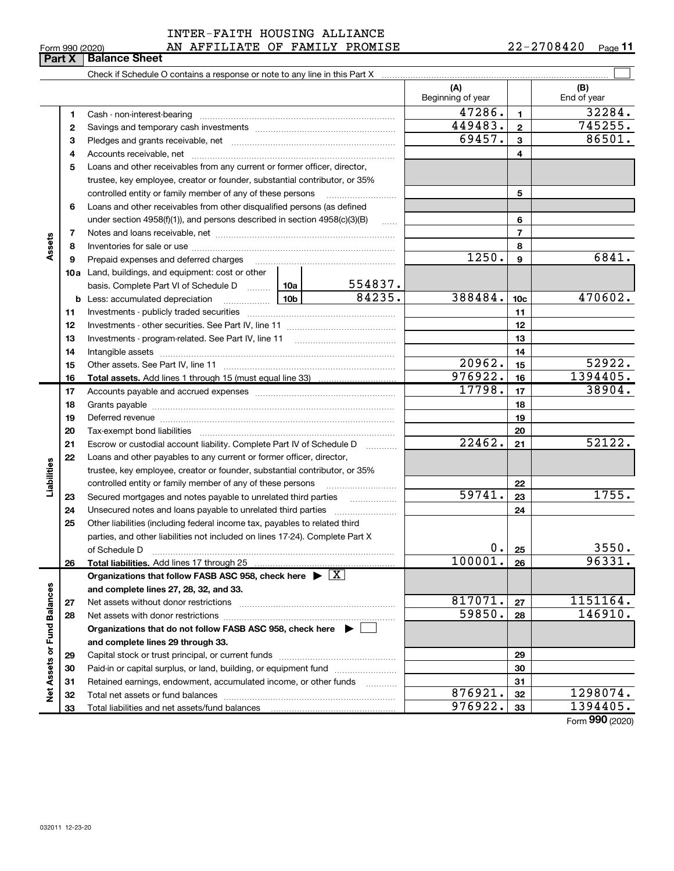### 032011 12-23-20

|                             |                |                                                                                    |       |         | (A)<br>Beginning of year |                  | (B)<br>End of year |
|-----------------------------|----------------|------------------------------------------------------------------------------------|-------|---------|--------------------------|------------------|--------------------|
|                             | 1              |                                                                                    |       |         | 47286.                   | $\mathbf{1}$     | 32284.             |
|                             | 2              |                                                                                    |       |         | 449483.                  | $\mathbf{2}$     | 745255.            |
|                             | з              |                                                                                    |       |         | 69457.                   | 3                | 86501.             |
|                             | 4              |                                                                                    |       |         |                          | 4                |                    |
|                             | 5              | Loans and other receivables from any current or former officer, director,          |       |         |                          |                  |                    |
|                             |                | trustee, key employee, creator or founder, substantial contributor, or 35%         |       |         |                          |                  |                    |
|                             |                | controlled entity or family member of any of these persons                         |       |         |                          | 5                |                    |
|                             | 6              | Loans and other receivables from other disqualified persons (as defined            |       |         |                          |                  |                    |
|                             |                | under section $4958(f)(1)$ , and persons described in section $4958(c)(3)(B)$      |       | .       |                          | 6                |                    |
|                             | $\overline{7}$ |                                                                                    |       |         |                          | $\overline{7}$   |                    |
| Assets                      | 8              |                                                                                    |       |         |                          | 8                |                    |
|                             | 9              | Prepaid expenses and deferred charges                                              |       |         | 1250.                    | $\boldsymbol{9}$ | 6841.              |
|                             |                | <b>10a</b> Land, buildings, and equipment: cost or other                           |       |         |                          |                  |                    |
|                             |                | basis. Complete Part VI of Schedule D  10a                                         |       | 554837. |                          |                  |                    |
|                             |                | $\frac{10b}{10b}$<br><b>b</b> Less: accumulated depreciation                       |       | 84235.  | 388484.                  | 10 <sub>c</sub>  | 470602.            |
|                             | 11             |                                                                                    |       |         |                          | 11               |                    |
|                             | 12             |                                                                                    |       |         |                          | 12               |                    |
|                             | 13             |                                                                                    |       | 13      |                          |                  |                    |
|                             | 14             |                                                                                    |       | 14      |                          |                  |                    |
|                             | 15             |                                                                                    |       |         | 20962.                   | 15               | 52922.             |
|                             | 16             | Total assets. Add lines 1 through 15 (must equal line 33)                          |       |         | 976922.                  | 16               | 1394405.           |
|                             | 17             |                                                                                    |       |         | 17798.                   | 17               | 38904.             |
|                             | 18             |                                                                                    |       |         |                          | 18               |                    |
|                             | 19             |                                                                                    |       | 19      |                          |                  |                    |
|                             | 20             |                                                                                    |       | 20      |                          |                  |                    |
|                             | 21             | Escrow or custodial account liability. Complete Part IV of Schedule D              |       |         | 22462.                   | 21               | 52122.             |
|                             | 22             | Loans and other payables to any current or former officer, director,               |       |         |                          |                  |                    |
| Liabilities                 |                | trustee, key employee, creator or founder, substantial contributor, or 35%         |       |         |                          |                  |                    |
|                             |                | controlled entity or family member of any of these persons                         |       |         |                          | 22               |                    |
|                             | 23             | Secured mortgages and notes payable to unrelated third parties                     |       |         | 59741.                   | 23               | 1755.              |
|                             | 24             |                                                                                    |       |         |                          | 24               |                    |
|                             | 25             | Other liabilities (including federal income tax, payables to related third         |       |         |                          |                  |                    |
|                             |                | parties, and other liabilities not included on lines 17-24). Complete Part X       |       |         |                          |                  |                    |
|                             |                | of Schedule D                                                                      | $0$ . | 25      | 3550.                    |                  |                    |
|                             | 26             | <b>Total liabilities.</b> Add lines 17 through 25                                  |       |         | 100001.                  | 26               | 96331.             |
|                             |                | Organizations that follow FASB ASC 958, check here $\blacktriangleright \boxed{X}$ |       |         |                          |                  |                    |
|                             |                | and complete lines 27, 28, 32, and 33.                                             |       |         |                          |                  |                    |
|                             | 27             | Net assets without donor restrictions                                              |       |         | 817071.                  | 27               | 1151164.           |
|                             | 28             |                                                                                    |       |         | 59850.                   | 28               | 146910.            |
|                             |                | Organizations that do not follow FASB ASC 958, check here $\blacktriangleright$    |       |         |                          |                  |                    |
|                             |                | and complete lines 29 through 33.                                                  |       |         |                          |                  |                    |
|                             | 29             |                                                                                    |       |         |                          | 29               |                    |
|                             | 30             | Paid-in or capital surplus, or land, building, or equipment fund                   |       |         |                          | 30               |                    |
| Net Assets or Fund Balances | 31             | Retained earnings, endowment, accumulated income, or other funds                   |       |         | 876921.                  | 31               | 1298074.           |
|                             | 32             |                                                                                    |       |         | 976922.                  | 32               | 1394405.           |
|                             | 33             | Total liabilities and net assets/fund balances                                     |       |         |                          | 33               |                    |

# $_{\rm Form}$  990 (2020) AN AFFILIATE OF FAMILY PROMISE 22-2708420  $_{\rm Page}$ INTER-FAITH HOUSING ALLIANCE

Check if Schedule O contains a response or note to any line in this Part X

22-2708420 Page 11

 $\boxed{\phantom{1}}$ 

Form 990 (2020)

# Form 990 (2020)<br>**Part X | Balance Sheet**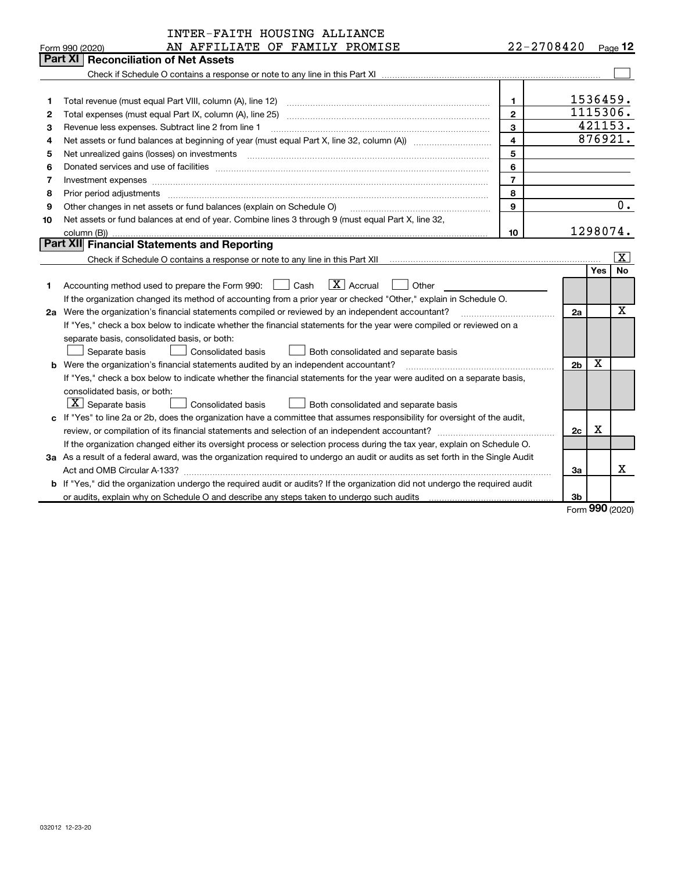|    | INTER-FAITH HOUSING ALLIANCE                                                                                                                                                                                                                                                                                                                                                                                                                                                 |                         |                |            |             |
|----|------------------------------------------------------------------------------------------------------------------------------------------------------------------------------------------------------------------------------------------------------------------------------------------------------------------------------------------------------------------------------------------------------------------------------------------------------------------------------|-------------------------|----------------|------------|-------------|
|    | AN AFFILIATE OF FAMILY PROMISE<br>Form 990 (2020)                                                                                                                                                                                                                                                                                                                                                                                                                            |                         | $22 - 2708420$ |            | Page 12     |
|    | <b>Reconciliation of Net Assets</b><br>Part XI                                                                                                                                                                                                                                                                                                                                                                                                                               |                         |                |            |             |
|    |                                                                                                                                                                                                                                                                                                                                                                                                                                                                              |                         |                |            |             |
|    |                                                                                                                                                                                                                                                                                                                                                                                                                                                                              |                         |                |            |             |
| 1  |                                                                                                                                                                                                                                                                                                                                                                                                                                                                              | 1.                      |                | 1536459.   |             |
| 2  | Total expenses (must equal Part IX, column (A), line 25) [11] manufactured expenses (must equal Part IX, column (A), line 25)                                                                                                                                                                                                                                                                                                                                                | $\overline{2}$          |                | 1115306.   |             |
| 3  | Revenue less expenses. Subtract line 2 from line 1                                                                                                                                                                                                                                                                                                                                                                                                                           | $\mathbf{3}$            |                |            | 421153.     |
| 4  |                                                                                                                                                                                                                                                                                                                                                                                                                                                                              | $\overline{\mathbf{4}}$ |                |            | 876921.     |
| 5  |                                                                                                                                                                                                                                                                                                                                                                                                                                                                              | 5                       |                |            |             |
| 6  |                                                                                                                                                                                                                                                                                                                                                                                                                                                                              | 6                       |                |            |             |
| 7  | Investment expenses www.communication.com/www.communication.com/www.communication.com/www.com                                                                                                                                                                                                                                                                                                                                                                                | $\overline{7}$          |                |            |             |
| 8  | Prior period adjustments<br>$\begin{minipage}{0.5\textwidth} \begin{tabular}{ l l l } \hline \multicolumn{1}{ l l l } \hline \multicolumn{1}{ l l } \hline \multicolumn{1}{ l } \multicolumn{1}{ l } \hline \multicolumn{1}{ l } \multicolumn{1}{ l } \multicolumn{1}{ l } \hline \multicolumn{1}{ l } \multicolumn{1}{ l } \multicolumn{1}{ l } \hline \multicolumn{1}{ l } \multicolumn{1}{ l } \hline \multicolumn{1}{ l } \multicolumn{1}{ l } \hline \multicolumn{1}{ $ | 8                       |                |            |             |
| 9  | Other changes in net assets or fund balances (explain on Schedule O)                                                                                                                                                                                                                                                                                                                                                                                                         | 9                       |                |            | 0.          |
| 10 | Net assets or fund balances at end of year. Combine lines 3 through 9 (must equal Part X, line 32,                                                                                                                                                                                                                                                                                                                                                                           |                         |                |            |             |
|    | column (B))                                                                                                                                                                                                                                                                                                                                                                                                                                                                  | 10                      |                | 1298074.   |             |
|    | Part XII Financial Statements and Reporting                                                                                                                                                                                                                                                                                                                                                                                                                                  |                         |                |            |             |
|    |                                                                                                                                                                                                                                                                                                                                                                                                                                                                              |                         |                |            | X           |
|    |                                                                                                                                                                                                                                                                                                                                                                                                                                                                              |                         |                | <b>Yes</b> | No          |
| 1  | $\boxed{\mathbf{X}}$ Accrual<br>Other<br>Accounting method used to prepare the Form 990: <u>[16</u> ] Cash                                                                                                                                                                                                                                                                                                                                                                   |                         |                |            |             |
|    | If the organization changed its method of accounting from a prior year or checked "Other," explain in Schedule O.                                                                                                                                                                                                                                                                                                                                                            |                         |                |            |             |
|    | 2a Were the organization's financial statements compiled or reviewed by an independent accountant?                                                                                                                                                                                                                                                                                                                                                                           |                         | 2a             |            | $\mathbf X$ |
|    | If "Yes," check a box below to indicate whether the financial statements for the year were compiled or reviewed on a                                                                                                                                                                                                                                                                                                                                                         |                         |                |            |             |
|    | separate basis, consolidated basis, or both:                                                                                                                                                                                                                                                                                                                                                                                                                                 |                         |                |            |             |
|    | Consolidated basis<br>Both consolidated and separate basis<br>Separate basis                                                                                                                                                                                                                                                                                                                                                                                                 |                         |                |            |             |
|    | <b>b</b> Were the organization's financial statements audited by an independent accountant?                                                                                                                                                                                                                                                                                                                                                                                  |                         | 2 <sub>b</sub> | X          |             |
|    | If "Yes," check a box below to indicate whether the financial statements for the year were audited on a separate basis,                                                                                                                                                                                                                                                                                                                                                      |                         |                |            |             |
|    | consolidated basis, or both:                                                                                                                                                                                                                                                                                                                                                                                                                                                 |                         |                |            |             |
|    | $X$ Separate basis<br><b>Consolidated basis</b><br>Both consolidated and separate basis                                                                                                                                                                                                                                                                                                                                                                                      |                         |                |            |             |
|    | c If "Yes" to line 2a or 2b, does the organization have a committee that assumes responsibility for oversight of the audit,                                                                                                                                                                                                                                                                                                                                                  |                         |                |            |             |
|    |                                                                                                                                                                                                                                                                                                                                                                                                                                                                              |                         | 2c             | x          |             |
|    | If the organization changed either its oversight process or selection process during the tax year, explain on Schedule O.                                                                                                                                                                                                                                                                                                                                                    |                         |                |            |             |
|    | 3a As a result of a federal award, was the organization required to undergo an audit or audits as set forth in the Single Audit                                                                                                                                                                                                                                                                                                                                              |                         |                |            |             |
|    |                                                                                                                                                                                                                                                                                                                                                                                                                                                                              |                         | 3a             |            | x           |
|    | b If "Yes," did the organization undergo the required audit or audits? If the organization did not undergo the required audit                                                                                                                                                                                                                                                                                                                                                |                         |                |            |             |
|    |                                                                                                                                                                                                                                                                                                                                                                                                                                                                              |                         | 3b             |            |             |
|    |                                                                                                                                                                                                                                                                                                                                                                                                                                                                              |                         |                |            | QQQ         |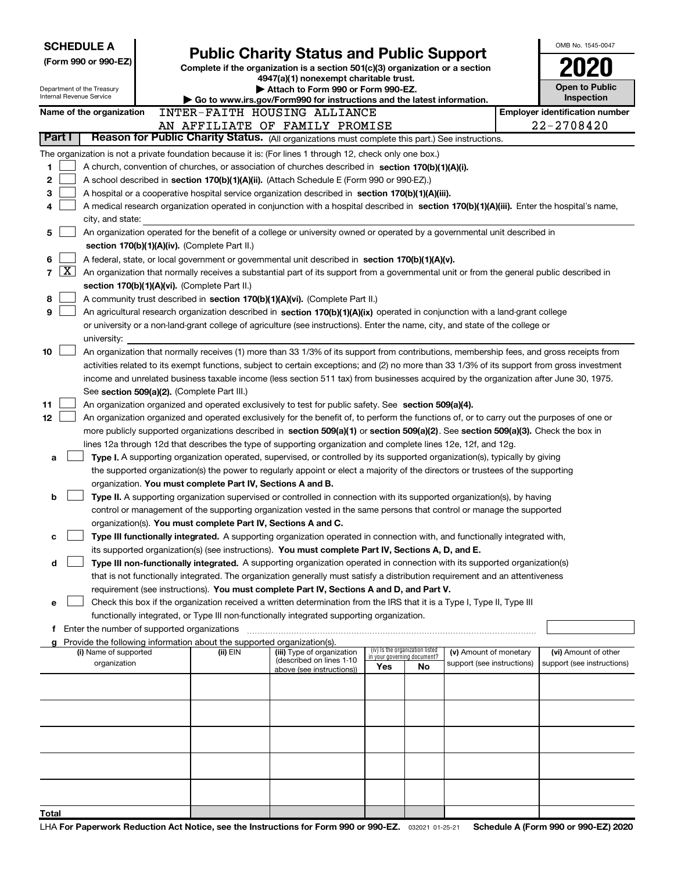|       |          | <b>SCHEDULE A</b>                                      |                                                                                    |                                                                                                                                                                                                                                               |                                    |                                 |                            | OMB No. 1545-0047                     |
|-------|----------|--------------------------------------------------------|------------------------------------------------------------------------------------|-----------------------------------------------------------------------------------------------------------------------------------------------------------------------------------------------------------------------------------------------|------------------------------------|---------------------------------|----------------------------|---------------------------------------|
|       |          | (Form 990 or 990-EZ)                                   |                                                                                    | <b>Public Charity Status and Public Support</b><br>Complete if the organization is a section 501(c)(3) organization or a section                                                                                                              |                                    |                                 |                            |                                       |
|       |          |                                                        |                                                                                    | 4947(a)(1) nonexempt charitable trust.                                                                                                                                                                                                        |                                    |                                 |                            |                                       |
|       |          | Department of the Treasury<br>Internal Revenue Service |                                                                                    | Attach to Form 990 or Form 990-EZ.<br>► Go to www.irs.gov/Form990 for instructions and the latest information.                                                                                                                                |                                    |                                 |                            | Open to Public<br>Inspection          |
|       |          | Name of the organization                               |                                                                                    | INTER-FAITH HOUSING ALLIANCE                                                                                                                                                                                                                  |                                    |                                 |                            | <b>Employer identification number</b> |
|       |          |                                                        |                                                                                    | AN AFFILIATE OF FAMILY PROMISE                                                                                                                                                                                                                |                                    |                                 |                            | 22-2708420                            |
|       | Part I   |                                                        |                                                                                    | Reason for Public Charity Status. (All organizations must complete this part.) See instructions.                                                                                                                                              |                                    |                                 |                            |                                       |
|       |          |                                                        |                                                                                    | The organization is not a private foundation because it is: (For lines 1 through 12, check only one box.)                                                                                                                                     |                                    |                                 |                            |                                       |
| 1     |          |                                                        |                                                                                    | A church, convention of churches, or association of churches described in section 170(b)(1)(A)(i).                                                                                                                                            |                                    |                                 |                            |                                       |
| 2     |          |                                                        |                                                                                    | A school described in section 170(b)(1)(A)(ii). (Attach Schedule E (Form 990 or 990-EZ).)                                                                                                                                                     |                                    |                                 |                            |                                       |
| 3     |          |                                                        |                                                                                    | A hospital or a cooperative hospital service organization described in section 170(b)(1)(A)(iii).                                                                                                                                             |                                    |                                 |                            |                                       |
| 4     |          | city, and state:                                       |                                                                                    | A medical research organization operated in conjunction with a hospital described in section 170(b)(1)(A)(iii). Enter the hospital's name,                                                                                                    |                                    |                                 |                            |                                       |
| 5     |          |                                                        |                                                                                    | An organization operated for the benefit of a college or university owned or operated by a governmental unit described in                                                                                                                     |                                    |                                 |                            |                                       |
|       |          |                                                        | section 170(b)(1)(A)(iv). (Complete Part II.)                                      |                                                                                                                                                                                                                                               |                                    |                                 |                            |                                       |
| 6     |          |                                                        |                                                                                    | A federal, state, or local government or governmental unit described in section 170(b)(1)(A)(v).                                                                                                                                              |                                    |                                 |                            |                                       |
| 7     | <u>x</u> |                                                        |                                                                                    | An organization that normally receives a substantial part of its support from a governmental unit or from the general public described in                                                                                                     |                                    |                                 |                            |                                       |
|       |          |                                                        | section 170(b)(1)(A)(vi). (Complete Part II.)                                      |                                                                                                                                                                                                                                               |                                    |                                 |                            |                                       |
| 8     |          |                                                        |                                                                                    | A community trust described in section 170(b)(1)(A)(vi). (Complete Part II.)                                                                                                                                                                  |                                    |                                 |                            |                                       |
| 9     |          |                                                        |                                                                                    | An agricultural research organization described in section 170(b)(1)(A)(ix) operated in conjunction with a land-grant college                                                                                                                 |                                    |                                 |                            |                                       |
|       |          |                                                        |                                                                                    | or university or a non-land-grant college of agriculture (see instructions). Enter the name, city, and state of the college or                                                                                                                |                                    |                                 |                            |                                       |
| 10    |          | university:                                            |                                                                                    | An organization that normally receives (1) more than 33 1/3% of its support from contributions, membership fees, and gross receipts from                                                                                                      |                                    |                                 |                            |                                       |
|       |          |                                                        |                                                                                    | activities related to its exempt functions, subject to certain exceptions; and (2) no more than 33 1/3% of its support from gross investment                                                                                                  |                                    |                                 |                            |                                       |
|       |          |                                                        |                                                                                    | income and unrelated business taxable income (less section 511 tax) from businesses acquired by the organization after June 30, 1975.                                                                                                         |                                    |                                 |                            |                                       |
|       |          |                                                        | See section 509(a)(2). (Complete Part III.)                                        |                                                                                                                                                                                                                                               |                                    |                                 |                            |                                       |
| 11    |          |                                                        |                                                                                    | An organization organized and operated exclusively to test for public safety. See section 509(a)(4).                                                                                                                                          |                                    |                                 |                            |                                       |
| 12    |          |                                                        |                                                                                    | An organization organized and operated exclusively for the benefit of, to perform the functions of, or to carry out the purposes of one or                                                                                                    |                                    |                                 |                            |                                       |
|       |          |                                                        |                                                                                    | more publicly supported organizations described in section 509(a)(1) or section 509(a)(2). See section 509(a)(3). Check the box in                                                                                                            |                                    |                                 |                            |                                       |
| a     |          |                                                        |                                                                                    | lines 12a through 12d that describes the type of supporting organization and complete lines 12e, 12f, and 12g.<br>Type I. A supporting organization operated, supervised, or controlled by its supported organization(s), typically by giving |                                    |                                 |                            |                                       |
|       |          |                                                        |                                                                                    | the supported organization(s) the power to regularly appoint or elect a majority of the directors or trustees of the supporting                                                                                                               |                                    |                                 |                            |                                       |
|       |          |                                                        | organization. You must complete Part IV, Sections A and B.                         |                                                                                                                                                                                                                                               |                                    |                                 |                            |                                       |
| b     |          |                                                        |                                                                                    | Type II. A supporting organization supervised or controlled in connection with its supported organization(s), by having                                                                                                                       |                                    |                                 |                            |                                       |
|       |          |                                                        |                                                                                    | control or management of the supporting organization vested in the same persons that control or manage the supported                                                                                                                          |                                    |                                 |                            |                                       |
|       |          |                                                        | organization(s). You must complete Part IV, Sections A and C.                      |                                                                                                                                                                                                                                               |                                    |                                 |                            |                                       |
| с     |          |                                                        |                                                                                    | Type III functionally integrated. A supporting organization operated in connection with, and functionally integrated with,                                                                                                                    |                                    |                                 |                            |                                       |
| d     |          |                                                        |                                                                                    | its supported organization(s) (see instructions). You must complete Part IV, Sections A, D, and E.<br>Type III non-functionally integrated. A supporting organization operated in connection with its supported organization(s)               |                                    |                                 |                            |                                       |
|       |          |                                                        |                                                                                    | that is not functionally integrated. The organization generally must satisfy a distribution requirement and an attentiveness                                                                                                                  |                                    |                                 |                            |                                       |
|       |          |                                                        |                                                                                    | requirement (see instructions). You must complete Part IV, Sections A and D, and Part V.                                                                                                                                                      |                                    |                                 |                            |                                       |
| е     |          |                                                        |                                                                                    | Check this box if the organization received a written determination from the IRS that it is a Type I, Type II, Type III                                                                                                                       |                                    |                                 |                            |                                       |
|       |          |                                                        |                                                                                    | functionally integrated, or Type III non-functionally integrated supporting organization.                                                                                                                                                     |                                    |                                 |                            |                                       |
|       |          | f Enter the number of supported organizations          |                                                                                    |                                                                                                                                                                                                                                               |                                    |                                 |                            |                                       |
|       |          | (i) Name of supported                                  | Provide the following information about the supported organization(s).<br>(ii) EIN | (iii) Type of organization                                                                                                                                                                                                                    |                                    | (iv) Is the organization listed | (v) Amount of monetary     | (vi) Amount of other                  |
|       |          | organization                                           |                                                                                    | (described on lines 1-10<br>above (see instructions))                                                                                                                                                                                         | in your governing document?<br>Yes | <b>No</b>                       | support (see instructions) | support (see instructions)            |
|       |          |                                                        |                                                                                    |                                                                                                                                                                                                                                               |                                    |                                 |                            |                                       |
|       |          |                                                        |                                                                                    |                                                                                                                                                                                                                                               |                                    |                                 |                            |                                       |
|       |          |                                                        |                                                                                    |                                                                                                                                                                                                                                               |                                    |                                 |                            |                                       |
|       |          |                                                        |                                                                                    |                                                                                                                                                                                                                                               |                                    |                                 |                            |                                       |
|       |          |                                                        |                                                                                    |                                                                                                                                                                                                                                               |                                    |                                 |                            |                                       |
|       |          |                                                        |                                                                                    |                                                                                                                                                                                                                                               |                                    |                                 |                            |                                       |
|       |          |                                                        |                                                                                    |                                                                                                                                                                                                                                               |                                    |                                 |                            |                                       |
|       |          |                                                        |                                                                                    |                                                                                                                                                                                                                                               |                                    |                                 |                            |                                       |
|       |          |                                                        |                                                                                    |                                                                                                                                                                                                                                               |                                    |                                 |                            |                                       |
| Total |          |                                                        |                                                                                    |                                                                                                                                                                                                                                               |                                    |                                 |                            |                                       |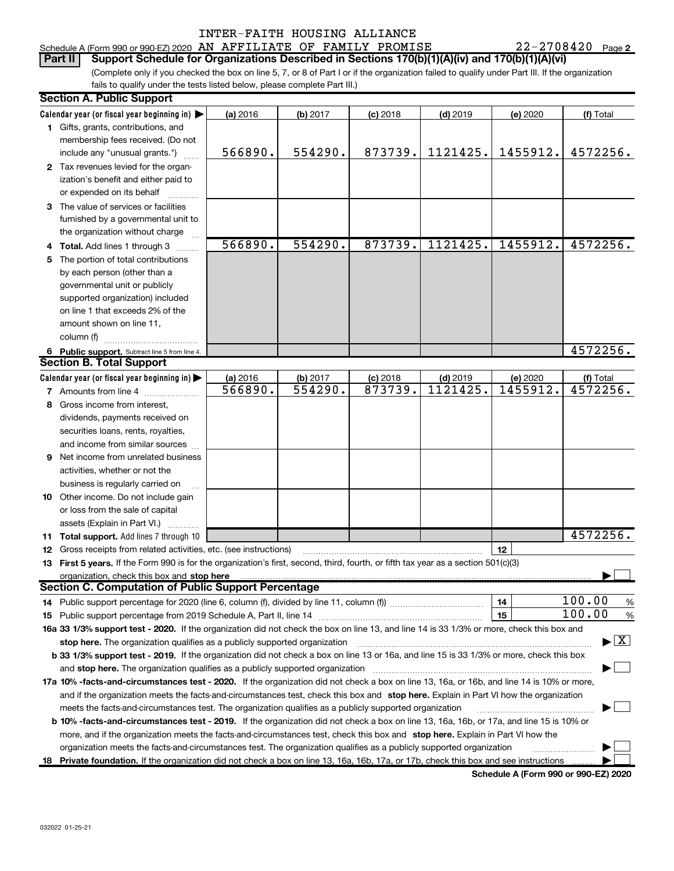### Schedule A (Form 990 or 990-EZ) 2020 AN AFFILIATE OF FAMILY PROMISE  $22-2708420$  Page Part II | Support Schedule for Organizations Described in Sections 170(b)(1)(A)(iv) and 170(b)(1)(A)(vi)

22-2708420 Page 2

(Complete only if you checked the box on line 5, 7, or 8 of Part I or if the organization failed to qualify under Part III. If the organization fails to qualify under the tests listed below, please complete Part III.)

| Calendar year (or fiscal year beginning in) $\blacktriangleright$<br>(a) 2016<br>(b) 2017<br>$(c)$ 2018<br>$(d)$ 2019<br>(e) 2020<br>(f) Total<br>1 Gifts, grants, contributions, and<br>membership fees received. (Do not<br>1455912.<br>566890.<br>554290.<br>873739.<br>1121425.<br>include any "unusual grants.")<br>2 Tax revenues levied for the organ-<br>ization's benefit and either paid to<br>or expended on its behalf<br>3 The value of services or facilities<br>furnished by a governmental unit to<br>the organization without charge<br>873739.<br>1455912.<br>566890.<br>554290.<br>1121425.<br>4 Total. Add lines 1 through 3<br>The portion of total contributions<br>5<br>by each person (other than a<br>governmental unit or publicly<br>supported organization) included<br>on line 1 that exceeds 2% of the<br>amount shown on line 11.<br>column (f)<br>6 Public support. Subtract line 5 from line 4.<br><b>Section B. Total Support</b><br>Calendar year (or fiscal year beginning in)<br>(a) 2016<br>(b) 2017<br>$(c)$ 2018<br>(d) 2019<br>(e) 2020<br>(f) Total<br>873739.<br>1121425.<br>1455912.<br>566890.<br>554290.<br>7 Amounts from line 4 [11, 11]<br>Gross income from interest,<br>8<br>dividends, payments received on<br>securities loans, rents, royalties,<br>and income from similar sources<br>Net income from unrelated business<br>9<br>activities, whether or not the<br>business is regularly carried on<br>10 Other income. Do not include gain<br>or loss from the sale of capital<br>assets (Explain in Part VI.)<br>11 Total support. Add lines 7 through 10<br>12<br>12 Gross receipts from related activities, etc. (see instructions)<br>13 First 5 years. If the Form 990 is for the organization's first, second, third, fourth, or fifth tax year as a section 501(c)(3)<br>organization, check this box and stop here<br><b>Section C. Computation of Public Support Percentage</b><br>100.00<br>14<br>14 Public support percentage for 2020 (line 6, column (f), divided by line 11, column (f)) <i>mumment</i> management | <b>Section A. Public Support</b> |  |  |  |  |  |                                          |  |  |  |  |
|------------------------------------------------------------------------------------------------------------------------------------------------------------------------------------------------------------------------------------------------------------------------------------------------------------------------------------------------------------------------------------------------------------------------------------------------------------------------------------------------------------------------------------------------------------------------------------------------------------------------------------------------------------------------------------------------------------------------------------------------------------------------------------------------------------------------------------------------------------------------------------------------------------------------------------------------------------------------------------------------------------------------------------------------------------------------------------------------------------------------------------------------------------------------------------------------------------------------------------------------------------------------------------------------------------------------------------------------------------------------------------------------------------------------------------------------------------------------------------------------------------------------------------------------------------------------------------------------------------------------------------------------------------------------------------------------------------------------------------------------------------------------------------------------------------------------------------------------------------------------------------------------------------------------------------------------------------------------------------------------------------------------------------------------------------------------------------------|----------------------------------|--|--|--|--|--|------------------------------------------|--|--|--|--|
|                                                                                                                                                                                                                                                                                                                                                                                                                                                                                                                                                                                                                                                                                                                                                                                                                                                                                                                                                                                                                                                                                                                                                                                                                                                                                                                                                                                                                                                                                                                                                                                                                                                                                                                                                                                                                                                                                                                                                                                                                                                                                          |                                  |  |  |  |  |  |                                          |  |  |  |  |
|                                                                                                                                                                                                                                                                                                                                                                                                                                                                                                                                                                                                                                                                                                                                                                                                                                                                                                                                                                                                                                                                                                                                                                                                                                                                                                                                                                                                                                                                                                                                                                                                                                                                                                                                                                                                                                                                                                                                                                                                                                                                                          |                                  |  |  |  |  |  |                                          |  |  |  |  |
|                                                                                                                                                                                                                                                                                                                                                                                                                                                                                                                                                                                                                                                                                                                                                                                                                                                                                                                                                                                                                                                                                                                                                                                                                                                                                                                                                                                                                                                                                                                                                                                                                                                                                                                                                                                                                                                                                                                                                                                                                                                                                          |                                  |  |  |  |  |  |                                          |  |  |  |  |
|                                                                                                                                                                                                                                                                                                                                                                                                                                                                                                                                                                                                                                                                                                                                                                                                                                                                                                                                                                                                                                                                                                                                                                                                                                                                                                                                                                                                                                                                                                                                                                                                                                                                                                                                                                                                                                                                                                                                                                                                                                                                                          |                                  |  |  |  |  |  | 4572256.                                 |  |  |  |  |
|                                                                                                                                                                                                                                                                                                                                                                                                                                                                                                                                                                                                                                                                                                                                                                                                                                                                                                                                                                                                                                                                                                                                                                                                                                                                                                                                                                                                                                                                                                                                                                                                                                                                                                                                                                                                                                                                                                                                                                                                                                                                                          |                                  |  |  |  |  |  |                                          |  |  |  |  |
|                                                                                                                                                                                                                                                                                                                                                                                                                                                                                                                                                                                                                                                                                                                                                                                                                                                                                                                                                                                                                                                                                                                                                                                                                                                                                                                                                                                                                                                                                                                                                                                                                                                                                                                                                                                                                                                                                                                                                                                                                                                                                          |                                  |  |  |  |  |  |                                          |  |  |  |  |
|                                                                                                                                                                                                                                                                                                                                                                                                                                                                                                                                                                                                                                                                                                                                                                                                                                                                                                                                                                                                                                                                                                                                                                                                                                                                                                                                                                                                                                                                                                                                                                                                                                                                                                                                                                                                                                                                                                                                                                                                                                                                                          |                                  |  |  |  |  |  |                                          |  |  |  |  |
|                                                                                                                                                                                                                                                                                                                                                                                                                                                                                                                                                                                                                                                                                                                                                                                                                                                                                                                                                                                                                                                                                                                                                                                                                                                                                                                                                                                                                                                                                                                                                                                                                                                                                                                                                                                                                                                                                                                                                                                                                                                                                          |                                  |  |  |  |  |  |                                          |  |  |  |  |
|                                                                                                                                                                                                                                                                                                                                                                                                                                                                                                                                                                                                                                                                                                                                                                                                                                                                                                                                                                                                                                                                                                                                                                                                                                                                                                                                                                                                                                                                                                                                                                                                                                                                                                                                                                                                                                                                                                                                                                                                                                                                                          |                                  |  |  |  |  |  |                                          |  |  |  |  |
|                                                                                                                                                                                                                                                                                                                                                                                                                                                                                                                                                                                                                                                                                                                                                                                                                                                                                                                                                                                                                                                                                                                                                                                                                                                                                                                                                                                                                                                                                                                                                                                                                                                                                                                                                                                                                                                                                                                                                                                                                                                                                          |                                  |  |  |  |  |  |                                          |  |  |  |  |
|                                                                                                                                                                                                                                                                                                                                                                                                                                                                                                                                                                                                                                                                                                                                                                                                                                                                                                                                                                                                                                                                                                                                                                                                                                                                                                                                                                                                                                                                                                                                                                                                                                                                                                                                                                                                                                                                                                                                                                                                                                                                                          |                                  |  |  |  |  |  | 4572256.                                 |  |  |  |  |
|                                                                                                                                                                                                                                                                                                                                                                                                                                                                                                                                                                                                                                                                                                                                                                                                                                                                                                                                                                                                                                                                                                                                                                                                                                                                                                                                                                                                                                                                                                                                                                                                                                                                                                                                                                                                                                                                                                                                                                                                                                                                                          |                                  |  |  |  |  |  |                                          |  |  |  |  |
|                                                                                                                                                                                                                                                                                                                                                                                                                                                                                                                                                                                                                                                                                                                                                                                                                                                                                                                                                                                                                                                                                                                                                                                                                                                                                                                                                                                                                                                                                                                                                                                                                                                                                                                                                                                                                                                                                                                                                                                                                                                                                          |                                  |  |  |  |  |  |                                          |  |  |  |  |
|                                                                                                                                                                                                                                                                                                                                                                                                                                                                                                                                                                                                                                                                                                                                                                                                                                                                                                                                                                                                                                                                                                                                                                                                                                                                                                                                                                                                                                                                                                                                                                                                                                                                                                                                                                                                                                                                                                                                                                                                                                                                                          |                                  |  |  |  |  |  |                                          |  |  |  |  |
|                                                                                                                                                                                                                                                                                                                                                                                                                                                                                                                                                                                                                                                                                                                                                                                                                                                                                                                                                                                                                                                                                                                                                                                                                                                                                                                                                                                                                                                                                                                                                                                                                                                                                                                                                                                                                                                                                                                                                                                                                                                                                          |                                  |  |  |  |  |  |                                          |  |  |  |  |
|                                                                                                                                                                                                                                                                                                                                                                                                                                                                                                                                                                                                                                                                                                                                                                                                                                                                                                                                                                                                                                                                                                                                                                                                                                                                                                                                                                                                                                                                                                                                                                                                                                                                                                                                                                                                                                                                                                                                                                                                                                                                                          |                                  |  |  |  |  |  |                                          |  |  |  |  |
|                                                                                                                                                                                                                                                                                                                                                                                                                                                                                                                                                                                                                                                                                                                                                                                                                                                                                                                                                                                                                                                                                                                                                                                                                                                                                                                                                                                                                                                                                                                                                                                                                                                                                                                                                                                                                                                                                                                                                                                                                                                                                          |                                  |  |  |  |  |  |                                          |  |  |  |  |
|                                                                                                                                                                                                                                                                                                                                                                                                                                                                                                                                                                                                                                                                                                                                                                                                                                                                                                                                                                                                                                                                                                                                                                                                                                                                                                                                                                                                                                                                                                                                                                                                                                                                                                                                                                                                                                                                                                                                                                                                                                                                                          |                                  |  |  |  |  |  |                                          |  |  |  |  |
|                                                                                                                                                                                                                                                                                                                                                                                                                                                                                                                                                                                                                                                                                                                                                                                                                                                                                                                                                                                                                                                                                                                                                                                                                                                                                                                                                                                                                                                                                                                                                                                                                                                                                                                                                                                                                                                                                                                                                                                                                                                                                          |                                  |  |  |  |  |  | 4572256.                                 |  |  |  |  |
|                                                                                                                                                                                                                                                                                                                                                                                                                                                                                                                                                                                                                                                                                                                                                                                                                                                                                                                                                                                                                                                                                                                                                                                                                                                                                                                                                                                                                                                                                                                                                                                                                                                                                                                                                                                                                                                                                                                                                                                                                                                                                          |                                  |  |  |  |  |  |                                          |  |  |  |  |
|                                                                                                                                                                                                                                                                                                                                                                                                                                                                                                                                                                                                                                                                                                                                                                                                                                                                                                                                                                                                                                                                                                                                                                                                                                                                                                                                                                                                                                                                                                                                                                                                                                                                                                                                                                                                                                                                                                                                                                                                                                                                                          |                                  |  |  |  |  |  |                                          |  |  |  |  |
|                                                                                                                                                                                                                                                                                                                                                                                                                                                                                                                                                                                                                                                                                                                                                                                                                                                                                                                                                                                                                                                                                                                                                                                                                                                                                                                                                                                                                                                                                                                                                                                                                                                                                                                                                                                                                                                                                                                                                                                                                                                                                          |                                  |  |  |  |  |  | 4572256.                                 |  |  |  |  |
|                                                                                                                                                                                                                                                                                                                                                                                                                                                                                                                                                                                                                                                                                                                                                                                                                                                                                                                                                                                                                                                                                                                                                                                                                                                                                                                                                                                                                                                                                                                                                                                                                                                                                                                                                                                                                                                                                                                                                                                                                                                                                          |                                  |  |  |  |  |  |                                          |  |  |  |  |
|                                                                                                                                                                                                                                                                                                                                                                                                                                                                                                                                                                                                                                                                                                                                                                                                                                                                                                                                                                                                                                                                                                                                                                                                                                                                                                                                                                                                                                                                                                                                                                                                                                                                                                                                                                                                                                                                                                                                                                                                                                                                                          |                                  |  |  |  |  |  |                                          |  |  |  |  |
|                                                                                                                                                                                                                                                                                                                                                                                                                                                                                                                                                                                                                                                                                                                                                                                                                                                                                                                                                                                                                                                                                                                                                                                                                                                                                                                                                                                                                                                                                                                                                                                                                                                                                                                                                                                                                                                                                                                                                                                                                                                                                          |                                  |  |  |  |  |  |                                          |  |  |  |  |
|                                                                                                                                                                                                                                                                                                                                                                                                                                                                                                                                                                                                                                                                                                                                                                                                                                                                                                                                                                                                                                                                                                                                                                                                                                                                                                                                                                                                                                                                                                                                                                                                                                                                                                                                                                                                                                                                                                                                                                                                                                                                                          |                                  |  |  |  |  |  |                                          |  |  |  |  |
|                                                                                                                                                                                                                                                                                                                                                                                                                                                                                                                                                                                                                                                                                                                                                                                                                                                                                                                                                                                                                                                                                                                                                                                                                                                                                                                                                                                                                                                                                                                                                                                                                                                                                                                                                                                                                                                                                                                                                                                                                                                                                          |                                  |  |  |  |  |  |                                          |  |  |  |  |
|                                                                                                                                                                                                                                                                                                                                                                                                                                                                                                                                                                                                                                                                                                                                                                                                                                                                                                                                                                                                                                                                                                                                                                                                                                                                                                                                                                                                                                                                                                                                                                                                                                                                                                                                                                                                                                                                                                                                                                                                                                                                                          |                                  |  |  |  |  |  |                                          |  |  |  |  |
|                                                                                                                                                                                                                                                                                                                                                                                                                                                                                                                                                                                                                                                                                                                                                                                                                                                                                                                                                                                                                                                                                                                                                                                                                                                                                                                                                                                                                                                                                                                                                                                                                                                                                                                                                                                                                                                                                                                                                                                                                                                                                          |                                  |  |  |  |  |  |                                          |  |  |  |  |
|                                                                                                                                                                                                                                                                                                                                                                                                                                                                                                                                                                                                                                                                                                                                                                                                                                                                                                                                                                                                                                                                                                                                                                                                                                                                                                                                                                                                                                                                                                                                                                                                                                                                                                                                                                                                                                                                                                                                                                                                                                                                                          |                                  |  |  |  |  |  |                                          |  |  |  |  |
|                                                                                                                                                                                                                                                                                                                                                                                                                                                                                                                                                                                                                                                                                                                                                                                                                                                                                                                                                                                                                                                                                                                                                                                                                                                                                                                                                                                                                                                                                                                                                                                                                                                                                                                                                                                                                                                                                                                                                                                                                                                                                          |                                  |  |  |  |  |  |                                          |  |  |  |  |
|                                                                                                                                                                                                                                                                                                                                                                                                                                                                                                                                                                                                                                                                                                                                                                                                                                                                                                                                                                                                                                                                                                                                                                                                                                                                                                                                                                                                                                                                                                                                                                                                                                                                                                                                                                                                                                                                                                                                                                                                                                                                                          |                                  |  |  |  |  |  |                                          |  |  |  |  |
|                                                                                                                                                                                                                                                                                                                                                                                                                                                                                                                                                                                                                                                                                                                                                                                                                                                                                                                                                                                                                                                                                                                                                                                                                                                                                                                                                                                                                                                                                                                                                                                                                                                                                                                                                                                                                                                                                                                                                                                                                                                                                          |                                  |  |  |  |  |  | 4572256.                                 |  |  |  |  |
|                                                                                                                                                                                                                                                                                                                                                                                                                                                                                                                                                                                                                                                                                                                                                                                                                                                                                                                                                                                                                                                                                                                                                                                                                                                                                                                                                                                                                                                                                                                                                                                                                                                                                                                                                                                                                                                                                                                                                                                                                                                                                          |                                  |  |  |  |  |  |                                          |  |  |  |  |
|                                                                                                                                                                                                                                                                                                                                                                                                                                                                                                                                                                                                                                                                                                                                                                                                                                                                                                                                                                                                                                                                                                                                                                                                                                                                                                                                                                                                                                                                                                                                                                                                                                                                                                                                                                                                                                                                                                                                                                                                                                                                                          |                                  |  |  |  |  |  |                                          |  |  |  |  |
|                                                                                                                                                                                                                                                                                                                                                                                                                                                                                                                                                                                                                                                                                                                                                                                                                                                                                                                                                                                                                                                                                                                                                                                                                                                                                                                                                                                                                                                                                                                                                                                                                                                                                                                                                                                                                                                                                                                                                                                                                                                                                          |                                  |  |  |  |  |  |                                          |  |  |  |  |
|                                                                                                                                                                                                                                                                                                                                                                                                                                                                                                                                                                                                                                                                                                                                                                                                                                                                                                                                                                                                                                                                                                                                                                                                                                                                                                                                                                                                                                                                                                                                                                                                                                                                                                                                                                                                                                                                                                                                                                                                                                                                                          |                                  |  |  |  |  |  |                                          |  |  |  |  |
|                                                                                                                                                                                                                                                                                                                                                                                                                                                                                                                                                                                                                                                                                                                                                                                                                                                                                                                                                                                                                                                                                                                                                                                                                                                                                                                                                                                                                                                                                                                                                                                                                                                                                                                                                                                                                                                                                                                                                                                                                                                                                          |                                  |  |  |  |  |  | %                                        |  |  |  |  |
| 15                                                                                                                                                                                                                                                                                                                                                                                                                                                                                                                                                                                                                                                                                                                                                                                                                                                                                                                                                                                                                                                                                                                                                                                                                                                                                                                                                                                                                                                                                                                                                                                                                                                                                                                                                                                                                                                                                                                                                                                                                                                                                       |                                  |  |  |  |  |  | 100.00<br>%                              |  |  |  |  |
| 16a 33 1/3% support test - 2020. If the organization did not check the box on line 13, and line 14 is 33 1/3% or more, check this box and                                                                                                                                                                                                                                                                                                                                                                                                                                                                                                                                                                                                                                                                                                                                                                                                                                                                                                                                                                                                                                                                                                                                                                                                                                                                                                                                                                                                                                                                                                                                                                                                                                                                                                                                                                                                                                                                                                                                                |                                  |  |  |  |  |  |                                          |  |  |  |  |
| stop here. The organization qualifies as a publicly supported organization                                                                                                                                                                                                                                                                                                                                                                                                                                                                                                                                                                                                                                                                                                                                                                                                                                                                                                                                                                                                                                                                                                                                                                                                                                                                                                                                                                                                                                                                                                                                                                                                                                                                                                                                                                                                                                                                                                                                                                                                               |                                  |  |  |  |  |  | $\blacktriangleright$ $\boxed{\text{X}}$ |  |  |  |  |
| b 33 1/3% support test - 2019. If the organization did not check a box on line 13 or 16a, and line 15 is 33 1/3% or more, check this box                                                                                                                                                                                                                                                                                                                                                                                                                                                                                                                                                                                                                                                                                                                                                                                                                                                                                                                                                                                                                                                                                                                                                                                                                                                                                                                                                                                                                                                                                                                                                                                                                                                                                                                                                                                                                                                                                                                                                 |                                  |  |  |  |  |  |                                          |  |  |  |  |
| and stop here. The organization qualifies as a publicly supported organization                                                                                                                                                                                                                                                                                                                                                                                                                                                                                                                                                                                                                                                                                                                                                                                                                                                                                                                                                                                                                                                                                                                                                                                                                                                                                                                                                                                                                                                                                                                                                                                                                                                                                                                                                                                                                                                                                                                                                                                                           |                                  |  |  |  |  |  |                                          |  |  |  |  |
| 17a 10% -facts-and-circumstances test - 2020. If the organization did not check a box on line 13, 16a, or 16b, and line 14 is 10% or more,                                                                                                                                                                                                                                                                                                                                                                                                                                                                                                                                                                                                                                                                                                                                                                                                                                                                                                                                                                                                                                                                                                                                                                                                                                                                                                                                                                                                                                                                                                                                                                                                                                                                                                                                                                                                                                                                                                                                               |                                  |  |  |  |  |  |                                          |  |  |  |  |
| and if the organization meets the facts-and-circumstances test, check this box and stop here. Explain in Part VI how the organization                                                                                                                                                                                                                                                                                                                                                                                                                                                                                                                                                                                                                                                                                                                                                                                                                                                                                                                                                                                                                                                                                                                                                                                                                                                                                                                                                                                                                                                                                                                                                                                                                                                                                                                                                                                                                                                                                                                                                    |                                  |  |  |  |  |  |                                          |  |  |  |  |
| meets the facts-and-circumstances test. The organization qualifies as a publicly supported organization                                                                                                                                                                                                                                                                                                                                                                                                                                                                                                                                                                                                                                                                                                                                                                                                                                                                                                                                                                                                                                                                                                                                                                                                                                                                                                                                                                                                                                                                                                                                                                                                                                                                                                                                                                                                                                                                                                                                                                                  |                                  |  |  |  |  |  |                                          |  |  |  |  |
| <b>b 10% -facts-and-circumstances test - 2019.</b> If the organization did not check a box on line 13, 16a, 16b, or 17a, and line 15 is 10% or                                                                                                                                                                                                                                                                                                                                                                                                                                                                                                                                                                                                                                                                                                                                                                                                                                                                                                                                                                                                                                                                                                                                                                                                                                                                                                                                                                                                                                                                                                                                                                                                                                                                                                                                                                                                                                                                                                                                           |                                  |  |  |  |  |  |                                          |  |  |  |  |
| more, and if the organization meets the facts-and-circumstances test, check this box and stop here. Explain in Part VI how the                                                                                                                                                                                                                                                                                                                                                                                                                                                                                                                                                                                                                                                                                                                                                                                                                                                                                                                                                                                                                                                                                                                                                                                                                                                                                                                                                                                                                                                                                                                                                                                                                                                                                                                                                                                                                                                                                                                                                           |                                  |  |  |  |  |  |                                          |  |  |  |  |
| organization meets the facts-and-circumstances test. The organization qualifies as a publicly supported organization                                                                                                                                                                                                                                                                                                                                                                                                                                                                                                                                                                                                                                                                                                                                                                                                                                                                                                                                                                                                                                                                                                                                                                                                                                                                                                                                                                                                                                                                                                                                                                                                                                                                                                                                                                                                                                                                                                                                                                     |                                  |  |  |  |  |  |                                          |  |  |  |  |
| 18 Private foundation. If the organization did not check a box on line 13, 16a, 16b, 17a, or 17b, check this box and see instructions                                                                                                                                                                                                                                                                                                                                                                                                                                                                                                                                                                                                                                                                                                                                                                                                                                                                                                                                                                                                                                                                                                                                                                                                                                                                                                                                                                                                                                                                                                                                                                                                                                                                                                                                                                                                                                                                                                                                                    |                                  |  |  |  |  |  |                                          |  |  |  |  |

Schedule A (Form 990 or 990-EZ) 2020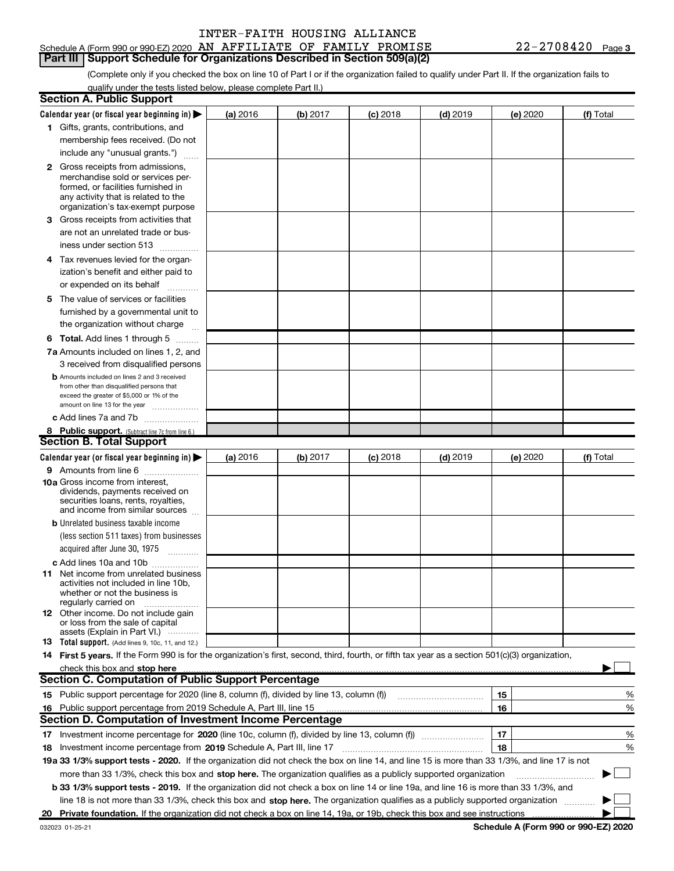### Schedule A (Form 990 or 990-EZ) 2020 AN AFFILIATE OF FAMILY PROMISE  $22-2708420$  Page **Part III | Support Schedule for Organizations Described in Section 509(a)(2)**

(Complete only if you checked the box on line 10 of Part I or if the organization failed to qualify under Part II. If the organization fails to qualify under the tests listed below, please complete Part II.)

| Calendar year (or fiscal year beginning in) $\blacktriangleright$<br>(a) 2016<br>$(d)$ 2019<br>(b) 2017<br>$(c)$ 2018<br>(e) 2020<br>(f) Total<br>1 Gifts, grants, contributions, and<br>membership fees received. (Do not<br>include any "unusual grants.")<br><b>2</b> Gross receipts from admissions,<br>merchandise sold or services per-<br>formed, or facilities furnished in<br>any activity that is related to the<br>organization's tax-exempt purpose<br>Gross receipts from activities that<br>З<br>are not an unrelated trade or bus-<br>iness under section 513<br>4 Tax revenues levied for the organ-<br>ization's benefit and either paid to<br>or expended on its behalf<br>$\overline{\phantom{a}}$<br>The value of services or facilities<br>5.<br>furnished by a governmental unit to<br>the organization without charge<br><b>6 Total.</b> Add lines 1 through 5 $\ldots$<br>7a Amounts included on lines 1, 2, and<br>3 received from disqualified persons<br><b>b</b> Amounts included on lines 2 and 3 received<br>from other than disqualified persons that<br>exceed the greater of \$5,000 or 1% of the<br>amount on line 13 for the year<br>c Add lines 7a and 7b<br>8 Public support. (Subtract line 7c from line 6.)<br><b>Section B. Total Support</b><br>Calendar year (or fiscal year beginning in)<br>(a) 2016<br>(b) 2017<br>$(c)$ 2018<br>$(d)$ 2019<br>(e) 2020<br>(f) Total<br>9 Amounts from line 6<br>10a Gross income from interest.<br>dividends, payments received on<br>securities loans, rents, royalties,<br>and income from similar sources<br><b>b</b> Unrelated business taxable income<br>(less section 511 taxes) from businesses<br>acquired after June 30, 1975<br>c Add lines 10a and 10b<br><b>11</b> Net income from unrelated business<br>activities not included in line 10b,<br>whether or not the business is<br>regularly carried on<br><b>12</b> Other income. Do not include gain<br>or loss from the sale of capital<br>assets (Explain in Part VI.)<br><b>13</b> Total support. (Add lines 9, 10c, 11, and 12.)<br>14 First 5 years. If the Form 990 is for the organization's first, second, third, fourth, or fifth tax year as a section 501(c)(3) organization,<br>check this box and stop here<br><b>Section C. Computation of Public Support Percentage</b><br>15 Public support percentage for 2020 (line 8, column (f), divided by line 13, column (f))<br>15<br>16<br>16 Public support percentage from 2019 Schedule A, Part III, line 15<br><b>Section D. Computation of Investment Income Percentage</b><br>17<br>18<br>18 Investment income percentage from 2019 Schedule A, Part III, line 17<br>19a 33 1/3% support tests - 2020. If the organization did not check the box on line 14, and line 15 is more than 33 1/3%, and line 17 is not<br>more than 33 1/3%, check this box and stop here. The organization qualifies as a publicly supported organization<br>b 33 1/3% support tests - 2019. If the organization did not check a box on line 14 or line 19a, and line 16 is more than 33 1/3%, and<br>line 18 is not more than 33 1/3%, check this box and stop here. The organization qualifies as a publicly supported organization<br>20 Private foundation. If the organization did not check a box on line 14, 19a, or 19b, check this box and see instructions | <b>Section A. Public Support</b> |  |  |  |  |  |   |  |  |  |
|-------------------------------------------------------------------------------------------------------------------------------------------------------------------------------------------------------------------------------------------------------------------------------------------------------------------------------------------------------------------------------------------------------------------------------------------------------------------------------------------------------------------------------------------------------------------------------------------------------------------------------------------------------------------------------------------------------------------------------------------------------------------------------------------------------------------------------------------------------------------------------------------------------------------------------------------------------------------------------------------------------------------------------------------------------------------------------------------------------------------------------------------------------------------------------------------------------------------------------------------------------------------------------------------------------------------------------------------------------------------------------------------------------------------------------------------------------------------------------------------------------------------------------------------------------------------------------------------------------------------------------------------------------------------------------------------------------------------------------------------------------------------------------------------------------------------------------------------------------------------------------------------------------------------------------------------------------------------------------------------------------------------------------------------------------------------------------------------------------------------------------------------------------------------------------------------------------------------------------------------------------------------------------------------------------------------------------------------------------------------------------------------------------------------------------------------------------------------------------------------------------------------------------------------------------------------------------------------------------------------------------------------------------------------------------------------------------------------------------------------------------------------------------------------------------------------------------------------------------------------------------------------------------------------------------------------------------------------------------------------------------------------------------------------------------------------------------------------------------------------------------------------------------------------------------------------------------------------------------------------------------------------------------------------------------------------------------------------------------------|----------------------------------|--|--|--|--|--|---|--|--|--|
|                                                                                                                                                                                                                                                                                                                                                                                                                                                                                                                                                                                                                                                                                                                                                                                                                                                                                                                                                                                                                                                                                                                                                                                                                                                                                                                                                                                                                                                                                                                                                                                                                                                                                                                                                                                                                                                                                                                                                                                                                                                                                                                                                                                                                                                                                                                                                                                                                                                                                                                                                                                                                                                                                                                                                                                                                                                                                                                                                                                                                                                                                                                                                                                                                                                                                                                                                             |                                  |  |  |  |  |  |   |  |  |  |
|                                                                                                                                                                                                                                                                                                                                                                                                                                                                                                                                                                                                                                                                                                                                                                                                                                                                                                                                                                                                                                                                                                                                                                                                                                                                                                                                                                                                                                                                                                                                                                                                                                                                                                                                                                                                                                                                                                                                                                                                                                                                                                                                                                                                                                                                                                                                                                                                                                                                                                                                                                                                                                                                                                                                                                                                                                                                                                                                                                                                                                                                                                                                                                                                                                                                                                                                                             |                                  |  |  |  |  |  |   |  |  |  |
|                                                                                                                                                                                                                                                                                                                                                                                                                                                                                                                                                                                                                                                                                                                                                                                                                                                                                                                                                                                                                                                                                                                                                                                                                                                                                                                                                                                                                                                                                                                                                                                                                                                                                                                                                                                                                                                                                                                                                                                                                                                                                                                                                                                                                                                                                                                                                                                                                                                                                                                                                                                                                                                                                                                                                                                                                                                                                                                                                                                                                                                                                                                                                                                                                                                                                                                                                             |                                  |  |  |  |  |  |   |  |  |  |
|                                                                                                                                                                                                                                                                                                                                                                                                                                                                                                                                                                                                                                                                                                                                                                                                                                                                                                                                                                                                                                                                                                                                                                                                                                                                                                                                                                                                                                                                                                                                                                                                                                                                                                                                                                                                                                                                                                                                                                                                                                                                                                                                                                                                                                                                                                                                                                                                                                                                                                                                                                                                                                                                                                                                                                                                                                                                                                                                                                                                                                                                                                                                                                                                                                                                                                                                                             |                                  |  |  |  |  |  |   |  |  |  |
|                                                                                                                                                                                                                                                                                                                                                                                                                                                                                                                                                                                                                                                                                                                                                                                                                                                                                                                                                                                                                                                                                                                                                                                                                                                                                                                                                                                                                                                                                                                                                                                                                                                                                                                                                                                                                                                                                                                                                                                                                                                                                                                                                                                                                                                                                                                                                                                                                                                                                                                                                                                                                                                                                                                                                                                                                                                                                                                                                                                                                                                                                                                                                                                                                                                                                                                                                             |                                  |  |  |  |  |  |   |  |  |  |
|                                                                                                                                                                                                                                                                                                                                                                                                                                                                                                                                                                                                                                                                                                                                                                                                                                                                                                                                                                                                                                                                                                                                                                                                                                                                                                                                                                                                                                                                                                                                                                                                                                                                                                                                                                                                                                                                                                                                                                                                                                                                                                                                                                                                                                                                                                                                                                                                                                                                                                                                                                                                                                                                                                                                                                                                                                                                                                                                                                                                                                                                                                                                                                                                                                                                                                                                                             |                                  |  |  |  |  |  |   |  |  |  |
|                                                                                                                                                                                                                                                                                                                                                                                                                                                                                                                                                                                                                                                                                                                                                                                                                                                                                                                                                                                                                                                                                                                                                                                                                                                                                                                                                                                                                                                                                                                                                                                                                                                                                                                                                                                                                                                                                                                                                                                                                                                                                                                                                                                                                                                                                                                                                                                                                                                                                                                                                                                                                                                                                                                                                                                                                                                                                                                                                                                                                                                                                                                                                                                                                                                                                                                                                             |                                  |  |  |  |  |  |   |  |  |  |
|                                                                                                                                                                                                                                                                                                                                                                                                                                                                                                                                                                                                                                                                                                                                                                                                                                                                                                                                                                                                                                                                                                                                                                                                                                                                                                                                                                                                                                                                                                                                                                                                                                                                                                                                                                                                                                                                                                                                                                                                                                                                                                                                                                                                                                                                                                                                                                                                                                                                                                                                                                                                                                                                                                                                                                                                                                                                                                                                                                                                                                                                                                                                                                                                                                                                                                                                                             |                                  |  |  |  |  |  |   |  |  |  |
|                                                                                                                                                                                                                                                                                                                                                                                                                                                                                                                                                                                                                                                                                                                                                                                                                                                                                                                                                                                                                                                                                                                                                                                                                                                                                                                                                                                                                                                                                                                                                                                                                                                                                                                                                                                                                                                                                                                                                                                                                                                                                                                                                                                                                                                                                                                                                                                                                                                                                                                                                                                                                                                                                                                                                                                                                                                                                                                                                                                                                                                                                                                                                                                                                                                                                                                                                             |                                  |  |  |  |  |  |   |  |  |  |
|                                                                                                                                                                                                                                                                                                                                                                                                                                                                                                                                                                                                                                                                                                                                                                                                                                                                                                                                                                                                                                                                                                                                                                                                                                                                                                                                                                                                                                                                                                                                                                                                                                                                                                                                                                                                                                                                                                                                                                                                                                                                                                                                                                                                                                                                                                                                                                                                                                                                                                                                                                                                                                                                                                                                                                                                                                                                                                                                                                                                                                                                                                                                                                                                                                                                                                                                                             |                                  |  |  |  |  |  |   |  |  |  |
|                                                                                                                                                                                                                                                                                                                                                                                                                                                                                                                                                                                                                                                                                                                                                                                                                                                                                                                                                                                                                                                                                                                                                                                                                                                                                                                                                                                                                                                                                                                                                                                                                                                                                                                                                                                                                                                                                                                                                                                                                                                                                                                                                                                                                                                                                                                                                                                                                                                                                                                                                                                                                                                                                                                                                                                                                                                                                                                                                                                                                                                                                                                                                                                                                                                                                                                                                             |                                  |  |  |  |  |  |   |  |  |  |
|                                                                                                                                                                                                                                                                                                                                                                                                                                                                                                                                                                                                                                                                                                                                                                                                                                                                                                                                                                                                                                                                                                                                                                                                                                                                                                                                                                                                                                                                                                                                                                                                                                                                                                                                                                                                                                                                                                                                                                                                                                                                                                                                                                                                                                                                                                                                                                                                                                                                                                                                                                                                                                                                                                                                                                                                                                                                                                                                                                                                                                                                                                                                                                                                                                                                                                                                                             |                                  |  |  |  |  |  |   |  |  |  |
|                                                                                                                                                                                                                                                                                                                                                                                                                                                                                                                                                                                                                                                                                                                                                                                                                                                                                                                                                                                                                                                                                                                                                                                                                                                                                                                                                                                                                                                                                                                                                                                                                                                                                                                                                                                                                                                                                                                                                                                                                                                                                                                                                                                                                                                                                                                                                                                                                                                                                                                                                                                                                                                                                                                                                                                                                                                                                                                                                                                                                                                                                                                                                                                                                                                                                                                                                             |                                  |  |  |  |  |  |   |  |  |  |
|                                                                                                                                                                                                                                                                                                                                                                                                                                                                                                                                                                                                                                                                                                                                                                                                                                                                                                                                                                                                                                                                                                                                                                                                                                                                                                                                                                                                                                                                                                                                                                                                                                                                                                                                                                                                                                                                                                                                                                                                                                                                                                                                                                                                                                                                                                                                                                                                                                                                                                                                                                                                                                                                                                                                                                                                                                                                                                                                                                                                                                                                                                                                                                                                                                                                                                                                                             |                                  |  |  |  |  |  |   |  |  |  |
|                                                                                                                                                                                                                                                                                                                                                                                                                                                                                                                                                                                                                                                                                                                                                                                                                                                                                                                                                                                                                                                                                                                                                                                                                                                                                                                                                                                                                                                                                                                                                                                                                                                                                                                                                                                                                                                                                                                                                                                                                                                                                                                                                                                                                                                                                                                                                                                                                                                                                                                                                                                                                                                                                                                                                                                                                                                                                                                                                                                                                                                                                                                                                                                                                                                                                                                                                             |                                  |  |  |  |  |  |   |  |  |  |
|                                                                                                                                                                                                                                                                                                                                                                                                                                                                                                                                                                                                                                                                                                                                                                                                                                                                                                                                                                                                                                                                                                                                                                                                                                                                                                                                                                                                                                                                                                                                                                                                                                                                                                                                                                                                                                                                                                                                                                                                                                                                                                                                                                                                                                                                                                                                                                                                                                                                                                                                                                                                                                                                                                                                                                                                                                                                                                                                                                                                                                                                                                                                                                                                                                                                                                                                                             |                                  |  |  |  |  |  |   |  |  |  |
|                                                                                                                                                                                                                                                                                                                                                                                                                                                                                                                                                                                                                                                                                                                                                                                                                                                                                                                                                                                                                                                                                                                                                                                                                                                                                                                                                                                                                                                                                                                                                                                                                                                                                                                                                                                                                                                                                                                                                                                                                                                                                                                                                                                                                                                                                                                                                                                                                                                                                                                                                                                                                                                                                                                                                                                                                                                                                                                                                                                                                                                                                                                                                                                                                                                                                                                                                             |                                  |  |  |  |  |  |   |  |  |  |
|                                                                                                                                                                                                                                                                                                                                                                                                                                                                                                                                                                                                                                                                                                                                                                                                                                                                                                                                                                                                                                                                                                                                                                                                                                                                                                                                                                                                                                                                                                                                                                                                                                                                                                                                                                                                                                                                                                                                                                                                                                                                                                                                                                                                                                                                                                                                                                                                                                                                                                                                                                                                                                                                                                                                                                                                                                                                                                                                                                                                                                                                                                                                                                                                                                                                                                                                                             |                                  |  |  |  |  |  |   |  |  |  |
|                                                                                                                                                                                                                                                                                                                                                                                                                                                                                                                                                                                                                                                                                                                                                                                                                                                                                                                                                                                                                                                                                                                                                                                                                                                                                                                                                                                                                                                                                                                                                                                                                                                                                                                                                                                                                                                                                                                                                                                                                                                                                                                                                                                                                                                                                                                                                                                                                                                                                                                                                                                                                                                                                                                                                                                                                                                                                                                                                                                                                                                                                                                                                                                                                                                                                                                                                             |                                  |  |  |  |  |  |   |  |  |  |
|                                                                                                                                                                                                                                                                                                                                                                                                                                                                                                                                                                                                                                                                                                                                                                                                                                                                                                                                                                                                                                                                                                                                                                                                                                                                                                                                                                                                                                                                                                                                                                                                                                                                                                                                                                                                                                                                                                                                                                                                                                                                                                                                                                                                                                                                                                                                                                                                                                                                                                                                                                                                                                                                                                                                                                                                                                                                                                                                                                                                                                                                                                                                                                                                                                                                                                                                                             |                                  |  |  |  |  |  |   |  |  |  |
|                                                                                                                                                                                                                                                                                                                                                                                                                                                                                                                                                                                                                                                                                                                                                                                                                                                                                                                                                                                                                                                                                                                                                                                                                                                                                                                                                                                                                                                                                                                                                                                                                                                                                                                                                                                                                                                                                                                                                                                                                                                                                                                                                                                                                                                                                                                                                                                                                                                                                                                                                                                                                                                                                                                                                                                                                                                                                                                                                                                                                                                                                                                                                                                                                                                                                                                                                             |                                  |  |  |  |  |  |   |  |  |  |
|                                                                                                                                                                                                                                                                                                                                                                                                                                                                                                                                                                                                                                                                                                                                                                                                                                                                                                                                                                                                                                                                                                                                                                                                                                                                                                                                                                                                                                                                                                                                                                                                                                                                                                                                                                                                                                                                                                                                                                                                                                                                                                                                                                                                                                                                                                                                                                                                                                                                                                                                                                                                                                                                                                                                                                                                                                                                                                                                                                                                                                                                                                                                                                                                                                                                                                                                                             |                                  |  |  |  |  |  |   |  |  |  |
|                                                                                                                                                                                                                                                                                                                                                                                                                                                                                                                                                                                                                                                                                                                                                                                                                                                                                                                                                                                                                                                                                                                                                                                                                                                                                                                                                                                                                                                                                                                                                                                                                                                                                                                                                                                                                                                                                                                                                                                                                                                                                                                                                                                                                                                                                                                                                                                                                                                                                                                                                                                                                                                                                                                                                                                                                                                                                                                                                                                                                                                                                                                                                                                                                                                                                                                                                             |                                  |  |  |  |  |  |   |  |  |  |
|                                                                                                                                                                                                                                                                                                                                                                                                                                                                                                                                                                                                                                                                                                                                                                                                                                                                                                                                                                                                                                                                                                                                                                                                                                                                                                                                                                                                                                                                                                                                                                                                                                                                                                                                                                                                                                                                                                                                                                                                                                                                                                                                                                                                                                                                                                                                                                                                                                                                                                                                                                                                                                                                                                                                                                                                                                                                                                                                                                                                                                                                                                                                                                                                                                                                                                                                                             |                                  |  |  |  |  |  |   |  |  |  |
|                                                                                                                                                                                                                                                                                                                                                                                                                                                                                                                                                                                                                                                                                                                                                                                                                                                                                                                                                                                                                                                                                                                                                                                                                                                                                                                                                                                                                                                                                                                                                                                                                                                                                                                                                                                                                                                                                                                                                                                                                                                                                                                                                                                                                                                                                                                                                                                                                                                                                                                                                                                                                                                                                                                                                                                                                                                                                                                                                                                                                                                                                                                                                                                                                                                                                                                                                             |                                  |  |  |  |  |  |   |  |  |  |
|                                                                                                                                                                                                                                                                                                                                                                                                                                                                                                                                                                                                                                                                                                                                                                                                                                                                                                                                                                                                                                                                                                                                                                                                                                                                                                                                                                                                                                                                                                                                                                                                                                                                                                                                                                                                                                                                                                                                                                                                                                                                                                                                                                                                                                                                                                                                                                                                                                                                                                                                                                                                                                                                                                                                                                                                                                                                                                                                                                                                                                                                                                                                                                                                                                                                                                                                                             |                                  |  |  |  |  |  |   |  |  |  |
|                                                                                                                                                                                                                                                                                                                                                                                                                                                                                                                                                                                                                                                                                                                                                                                                                                                                                                                                                                                                                                                                                                                                                                                                                                                                                                                                                                                                                                                                                                                                                                                                                                                                                                                                                                                                                                                                                                                                                                                                                                                                                                                                                                                                                                                                                                                                                                                                                                                                                                                                                                                                                                                                                                                                                                                                                                                                                                                                                                                                                                                                                                                                                                                                                                                                                                                                                             |                                  |  |  |  |  |  |   |  |  |  |
|                                                                                                                                                                                                                                                                                                                                                                                                                                                                                                                                                                                                                                                                                                                                                                                                                                                                                                                                                                                                                                                                                                                                                                                                                                                                                                                                                                                                                                                                                                                                                                                                                                                                                                                                                                                                                                                                                                                                                                                                                                                                                                                                                                                                                                                                                                                                                                                                                                                                                                                                                                                                                                                                                                                                                                                                                                                                                                                                                                                                                                                                                                                                                                                                                                                                                                                                                             |                                  |  |  |  |  |  |   |  |  |  |
|                                                                                                                                                                                                                                                                                                                                                                                                                                                                                                                                                                                                                                                                                                                                                                                                                                                                                                                                                                                                                                                                                                                                                                                                                                                                                                                                                                                                                                                                                                                                                                                                                                                                                                                                                                                                                                                                                                                                                                                                                                                                                                                                                                                                                                                                                                                                                                                                                                                                                                                                                                                                                                                                                                                                                                                                                                                                                                                                                                                                                                                                                                                                                                                                                                                                                                                                                             |                                  |  |  |  |  |  |   |  |  |  |
|                                                                                                                                                                                                                                                                                                                                                                                                                                                                                                                                                                                                                                                                                                                                                                                                                                                                                                                                                                                                                                                                                                                                                                                                                                                                                                                                                                                                                                                                                                                                                                                                                                                                                                                                                                                                                                                                                                                                                                                                                                                                                                                                                                                                                                                                                                                                                                                                                                                                                                                                                                                                                                                                                                                                                                                                                                                                                                                                                                                                                                                                                                                                                                                                                                                                                                                                                             |                                  |  |  |  |  |  |   |  |  |  |
|                                                                                                                                                                                                                                                                                                                                                                                                                                                                                                                                                                                                                                                                                                                                                                                                                                                                                                                                                                                                                                                                                                                                                                                                                                                                                                                                                                                                                                                                                                                                                                                                                                                                                                                                                                                                                                                                                                                                                                                                                                                                                                                                                                                                                                                                                                                                                                                                                                                                                                                                                                                                                                                                                                                                                                                                                                                                                                                                                                                                                                                                                                                                                                                                                                                                                                                                                             |                                  |  |  |  |  |  | % |  |  |  |
|                                                                                                                                                                                                                                                                                                                                                                                                                                                                                                                                                                                                                                                                                                                                                                                                                                                                                                                                                                                                                                                                                                                                                                                                                                                                                                                                                                                                                                                                                                                                                                                                                                                                                                                                                                                                                                                                                                                                                                                                                                                                                                                                                                                                                                                                                                                                                                                                                                                                                                                                                                                                                                                                                                                                                                                                                                                                                                                                                                                                                                                                                                                                                                                                                                                                                                                                                             |                                  |  |  |  |  |  | % |  |  |  |
|                                                                                                                                                                                                                                                                                                                                                                                                                                                                                                                                                                                                                                                                                                                                                                                                                                                                                                                                                                                                                                                                                                                                                                                                                                                                                                                                                                                                                                                                                                                                                                                                                                                                                                                                                                                                                                                                                                                                                                                                                                                                                                                                                                                                                                                                                                                                                                                                                                                                                                                                                                                                                                                                                                                                                                                                                                                                                                                                                                                                                                                                                                                                                                                                                                                                                                                                                             |                                  |  |  |  |  |  |   |  |  |  |
|                                                                                                                                                                                                                                                                                                                                                                                                                                                                                                                                                                                                                                                                                                                                                                                                                                                                                                                                                                                                                                                                                                                                                                                                                                                                                                                                                                                                                                                                                                                                                                                                                                                                                                                                                                                                                                                                                                                                                                                                                                                                                                                                                                                                                                                                                                                                                                                                                                                                                                                                                                                                                                                                                                                                                                                                                                                                                                                                                                                                                                                                                                                                                                                                                                                                                                                                                             |                                  |  |  |  |  |  | % |  |  |  |
|                                                                                                                                                                                                                                                                                                                                                                                                                                                                                                                                                                                                                                                                                                                                                                                                                                                                                                                                                                                                                                                                                                                                                                                                                                                                                                                                                                                                                                                                                                                                                                                                                                                                                                                                                                                                                                                                                                                                                                                                                                                                                                                                                                                                                                                                                                                                                                                                                                                                                                                                                                                                                                                                                                                                                                                                                                                                                                                                                                                                                                                                                                                                                                                                                                                                                                                                                             |                                  |  |  |  |  |  | % |  |  |  |
|                                                                                                                                                                                                                                                                                                                                                                                                                                                                                                                                                                                                                                                                                                                                                                                                                                                                                                                                                                                                                                                                                                                                                                                                                                                                                                                                                                                                                                                                                                                                                                                                                                                                                                                                                                                                                                                                                                                                                                                                                                                                                                                                                                                                                                                                                                                                                                                                                                                                                                                                                                                                                                                                                                                                                                                                                                                                                                                                                                                                                                                                                                                                                                                                                                                                                                                                                             |                                  |  |  |  |  |  |   |  |  |  |
|                                                                                                                                                                                                                                                                                                                                                                                                                                                                                                                                                                                                                                                                                                                                                                                                                                                                                                                                                                                                                                                                                                                                                                                                                                                                                                                                                                                                                                                                                                                                                                                                                                                                                                                                                                                                                                                                                                                                                                                                                                                                                                                                                                                                                                                                                                                                                                                                                                                                                                                                                                                                                                                                                                                                                                                                                                                                                                                                                                                                                                                                                                                                                                                                                                                                                                                                                             |                                  |  |  |  |  |  |   |  |  |  |
|                                                                                                                                                                                                                                                                                                                                                                                                                                                                                                                                                                                                                                                                                                                                                                                                                                                                                                                                                                                                                                                                                                                                                                                                                                                                                                                                                                                                                                                                                                                                                                                                                                                                                                                                                                                                                                                                                                                                                                                                                                                                                                                                                                                                                                                                                                                                                                                                                                                                                                                                                                                                                                                                                                                                                                                                                                                                                                                                                                                                                                                                                                                                                                                                                                                                                                                                                             |                                  |  |  |  |  |  |   |  |  |  |
|                                                                                                                                                                                                                                                                                                                                                                                                                                                                                                                                                                                                                                                                                                                                                                                                                                                                                                                                                                                                                                                                                                                                                                                                                                                                                                                                                                                                                                                                                                                                                                                                                                                                                                                                                                                                                                                                                                                                                                                                                                                                                                                                                                                                                                                                                                                                                                                                                                                                                                                                                                                                                                                                                                                                                                                                                                                                                                                                                                                                                                                                                                                                                                                                                                                                                                                                                             |                                  |  |  |  |  |  |   |  |  |  |

Schedule A (Form 990 or 990-EZ) 2020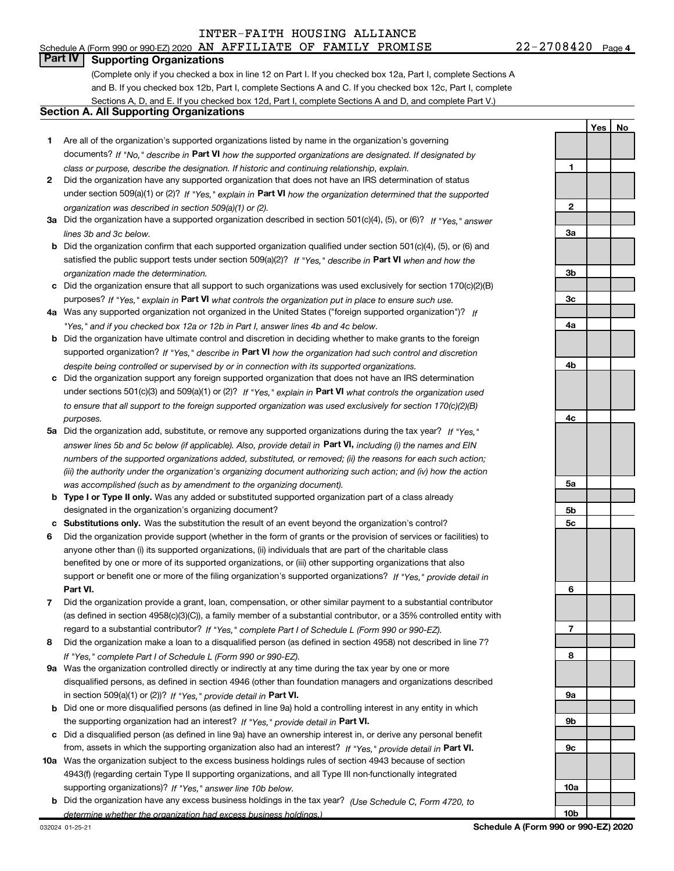## Part IV | Supporting Organizations

(Complete only if you checked a box in line 12 on Part I. If you checked box 12a, Part I, complete Sections A and B. If you checked box 12b, Part I, complete Sections A and C. If you checked box 12c, Part I, complete Sections A, D, and E. If you checked box 12d, Part I, complete Sections A and D, and complete Part V.)

### Section A. All Supporting Organizations

- 1 Are all of the organization's supported organizations listed by name in the organization's governing documents? If "No," describe in Part VI how the supported organizations are designated. If designated by class or purpose, describe the designation. If historic and continuing relationship, explain.
- 2 Did the organization have any supported organization that does not have an IRS determination of status under section 509(a)(1) or (2)? If "Yes," explain in Part VI how the organization determined that the supported organization was described in section 509(a)(1) or (2).
- 3a Did the organization have a supported organization described in section 501(c)(4), (5), or (6)? If "Yes," answer lines 3b and 3c below.
- b Did the organization confirm that each supported organization qualified under section 501(c)(4), (5), or (6) and satisfied the public support tests under section 509(a)(2)? If "Yes," describe in Part VI when and how the organization made the determination.
- c Did the organization ensure that all support to such organizations was used exclusively for section 170(c)(2)(B) purposes? If "Yes," explain in Part VI what controls the organization put in place to ensure such use.
- 4a Was any supported organization not organized in the United States ("foreign supported organization")? If "Yes," and if you checked box 12a or 12b in Part I, answer lines 4b and 4c below.
- b Did the organization have ultimate control and discretion in deciding whether to make grants to the foreign supported organization? If "Yes," describe in Part VI how the organization had such control and discretion despite being controlled or supervised by or in connection with its supported organizations.
- c Did the organization support any foreign supported organization that does not have an IRS determination under sections 501(c)(3) and 509(a)(1) or (2)? If "Yes," explain in Part VI what controls the organization used to ensure that all support to the foreign supported organization was used exclusively for section 170(c)(2)(B) purposes.
- 5a Did the organization add, substitute, or remove any supported organizations during the tax year? If "Yes," answer lines 5b and 5c below (if applicable). Also, provide detail in **Part VI,** including (i) the names and EIN numbers of the supported organizations added, substituted, or removed; (ii) the reasons for each such action; (iii) the authority under the organization's organizing document authorizing such action; and (iv) how the action was accomplished (such as by amendment to the organizing document).
- **b Type I or Type II only.** Was any added or substituted supported organization part of a class already designated in the organization's organizing document?
- c Substitutions only. Was the substitution the result of an event beyond the organization's control?
- 6 Did the organization provide support (whether in the form of grants or the provision of services or facilities) to Part VI. support or benefit one or more of the filing organization's supported organizations? If "Yes," provide detail in anyone other than (i) its supported organizations, (ii) individuals that are part of the charitable class benefited by one or more of its supported organizations, or (iii) other supporting organizations that also
- 7 Did the organization provide a grant, loan, compensation, or other similar payment to a substantial contributor regard to a substantial contributor? If "Yes," complete Part I of Schedule L (Form 990 or 990-EZ). (as defined in section 4958(c)(3)(C)), a family member of a substantial contributor, or a 35% controlled entity with
- 8 Did the organization make a loan to a disqualified person (as defined in section 4958) not described in line 7? If "Yes," complete Part I of Schedule L (Form 990 or 990-EZ).
- **9a** Was the organization controlled directly or indirectly at any time during the tax year by one or more in section 509(a)(1) or (2))? If "Yes," provide detail in Part VI. disqualified persons, as defined in section 4946 (other than foundation managers and organizations described
- b Did one or more disqualified persons (as defined in line 9a) hold a controlling interest in any entity in which the supporting organization had an interest? If "Yes," provide detail in Part VI.
- c Did a disqualified person (as defined in line 9a) have an ownership interest in, or derive any personal benefit from, assets in which the supporting organization also had an interest? If "Yes," provide detail in Part VI.
- 10a Was the organization subject to the excess business holdings rules of section 4943 because of section supporting organizations)? If "Yes," answer line 10b below. 4943(f) (regarding certain Type II supporting organizations, and all Type III non-functionally integrated
	- **b** Did the organization have any excess business holdings in the tax year? (Use Schedule C, Form 4720, to determine whether the organization had excess business holdings.)

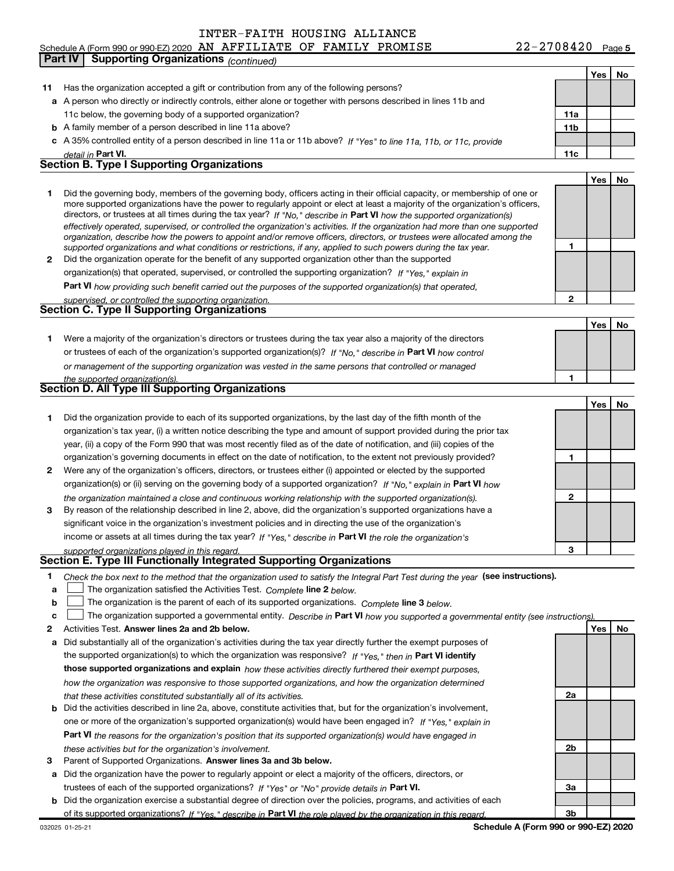### Yes | No 11 Has the organization accepted a gift or contribution from any of the following persons? a A person who directly or indirectly controls, either alone or together with persons described in lines 11b and b A family member of a person described in line 11a above? c A 35% controlled entity of a person described in line 11a or 11b above? If "Yes" to line 11a, 11b, or 11c, provide 11a 11b Part VI. 11c Yes | No 1 2 Did the organization operate for the benefit of any supported organization other than the supported directors, or trustees at all times during the tax year? If "No," describe in Part VI how the supported organization(s) 1 2 Part VI how providing such benefit carried out the purposes of the supported organization(s) that operated, Yes | No 1 Were a majority of the organization's directors or trustees during the tax year also a majority of the directors or trustees of each of the organization's supported organization(s)? If "No," describe in Part VI how control 1 Yes | No 1 Did the organization provide to each of its supported organizations, by the last day of the fifth month of the 2 Were any of the organization's officers, directors, or trustees either (i) appointed or elected by the supported 3 1 2 3 organization(s) or (ii) serving on the governing body of a supported organization? If "No," explain in Part VI how income or assets at all times during the tax year? If "Yes," describe in Part VI the role the organization's 1 2 Activities Test. Answer lines 2a and 2b below. No recorded the control of the control of the control of the control of the control of the control of the control of the control of the control of the control of the contro Check the box next to the method that the organization used to satisfy the Integral Part Test during the year (see instructions). a b c  $\Box$  The organization satisfied the Activities Test. Complete line 2 below. The organization is the parent of each of its supported organizations. Complete line 3 below. The organization supported a governmental entity. Describe in Part VI how you supported a governmental entity (see instructions). detail in **Part VI** effectively operated, supervised, or controlled the organization's activities. If the organization had more than one supported organization, describe how the powers to appoint and/or remove officers, directors, or trustees were allocated among the supported organizations and what conditions or restrictions, if any, applied to such powers during the tax year. organization(s) that operated, supervised, or controlled the supporting organization? If "Yes," explain in upervised, or controlled the supporting organization. or management of the supporting organization was vested in the same persons that controlled or managed the supported organization(s). the organization maintained a close and continuous working relationship with the supported organization(s). supported organizations played in this regard. Schedule A (Form 990 or 990-EZ) 2020 AN AFFILIATE OF FAMILY PROMISE  $22-2708420$  Page 11c below, the governing body of a supported organization? Did the governing body, members of the governing body, officers acting in their official capacity, or membership of one or more supported organizations have the power to regularly appoint or elect at least a majority of the organization's officers, organization's tax year, (i) a written notice describing the type and amount of support provided during the prior tax year, (ii) a copy of the Form 990 that was most recently filed as of the date of notification, and (iii) copies of the organization's governing documents in effect on the date of notification, to the extent not previously provided? By reason of the relationship described in line 2, above, did the organization's supported organizations have a significant voice in the organization's investment policies and in directing the use of the organization's Part **IV** | Supporting Organizations *(continued)* Section B. Type I Supporting Organizations Section C. Type II Supporting Organizations Section D. All Type III Supporting Organizations Section E. Type III Functionally Integrated Supporting Organizations  $\begin{array}{c} \hline \end{array}$  $\begin{array}{c} \hline \end{array}$

- a Did substantially all of the organization's activities during the tax year directly further the exempt purposes of b Did the activities described in line 2a, above, constitute activities that, but for the organization's involvement, the supported organization(s) to which the organization was responsive? If "Yes," then in Part VI identify those supported organizations and explain how these activities directly furthered their exempt purposes, how the organization was responsive to those supported organizations, and how the organization determined that these activities constituted substantially all of its activities.
	- Part VI the reasons for the organization's position that its supported organization(s) would have engaged in one or more of the organization's supported organization(s) would have been engaged in? If "Yes," explain in these activities but for the organization's involvement.
- 3 Parent of Supported Organizations. Answer lines 3a and 3b below.
- a Did the organization have the power to regularly appoint or elect a majority of the officers, directors, or trustees of each of the supported organizations? If "Yes" or "No" provide details in Part VI.
- b Did the organization exercise a substantial degree of direction over the policies, programs, and activities of each of its supported organizations? If "Yes," describe in Part VI the role played by the organization in this regard.

2a

2b

3a

3b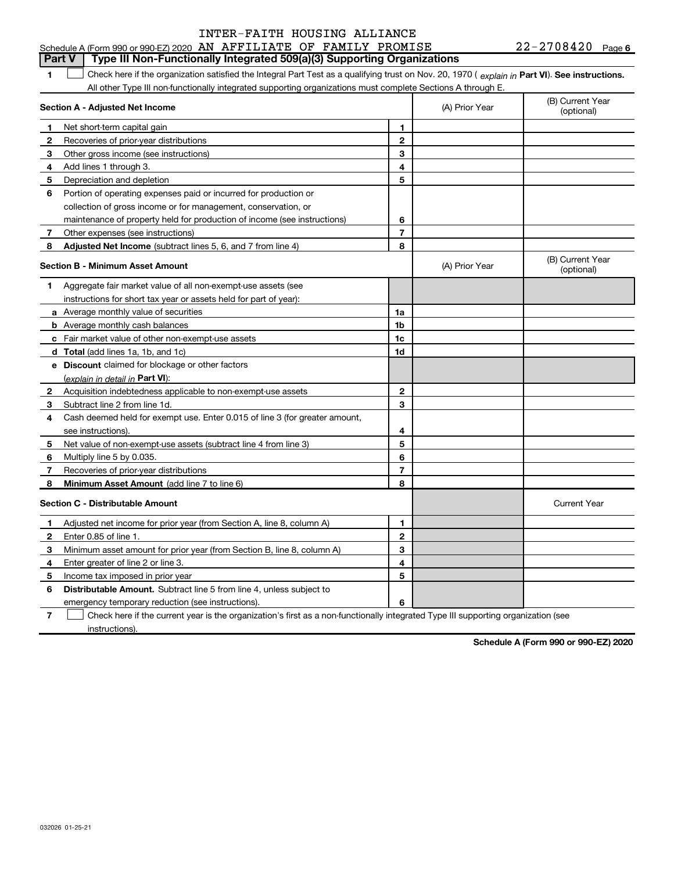### $22 - 2708420$  Page 6 Check here if the organization satisfied the Integral Part Test as a qualifying trust on Nov. 20, 1970 ( explain in Part VI). See instructions. Section A - Adjusted Net Income 1 2 3 Other gross income (see instructions) 4 Add lines 1 through 3. 5 6 Portion of operating expenses paid or incurred for production or 7 Other expenses (see instructions) 8 **Adjusted Net Income** (subtract lines 5, 6, and 7 from line 4) **8 8** 1 2 3 4 5 6 7 Section B - Minimum Asset Amount 1 Aggregate fair market value of all non-exempt-use assets (see 2 Acquisition indebtedness applicable to non-exempt-use assets 3 Subtract line 2 from line 1d. 4 Cash deemed held for exempt use. Enter 0.015 of line 3 (for greater amount, 5 Net value of non-exempt-use assets (subtract line 4 from line 3) 6 7 8 a Average monthly value of securities **b** Average monthly cash balances c Fair market value of other non-exempt-use assets d Total (add lines 1a, 1b, and 1c) e Discount claimed for blockage or other factors 1a 1b 1c 1d 2 3 4 5 6 7 8 <u>(explain in detail in Part VI):</u> Minimum Asset Amount (add line 7 to line 6) Section C - Distributable Amount 1 2 3 4 5 6 1 2 3 4 5 6 Distributable Amount. Subtract line 5 from line 4, unless subject to Schedule A (Form 990 or 990-EZ) 2020 AN AFFILIATE OF FAMILY PROMISE  $22-2708420$  Page All other Type III non-functionally integrated supporting organizations must complete Sections A through E. (B) Current Year (A) Prior Year Net short-term capital gain Recoveries of prior-year distributions Depreciation and depletion collection of gross income or for management, conservation, or maintenance of property held for production of income (see instructions) (B) Current Year  $(A)$  Prior Year  $\left\{\n\begin{array}{ccc}\n\downarrow & \downarrow \\
\downarrow & \downarrow\n\end{array}\n\right.$  (optional) instructions for short tax year or assets held for part of year): see instructions). Multiply line 5 by 0.035. Recoveries of prior-year distributions Current Year Adjusted net income for prior year (from Section A, line 8, column A) Enter 0.85 of line 1. Minimum asset amount for prior year (from Section B, line 8, column A) Enter greater of line 2 or line 3. Income tax imposed in prior year **Part V** Type III Non-Functionally Integrated  $509(a)(3)$  Supporting Organizations  $\begin{array}{c} \hline \end{array}$

emergency temporary reduction (see instructions).

7 Check here if the current year is the organization's first as a non-functionally integrated Type III supporting organization (see instructions).  $\begin{array}{c} \hline \end{array}$ 

Schedule A (Form 990 or 990-EZ) 2020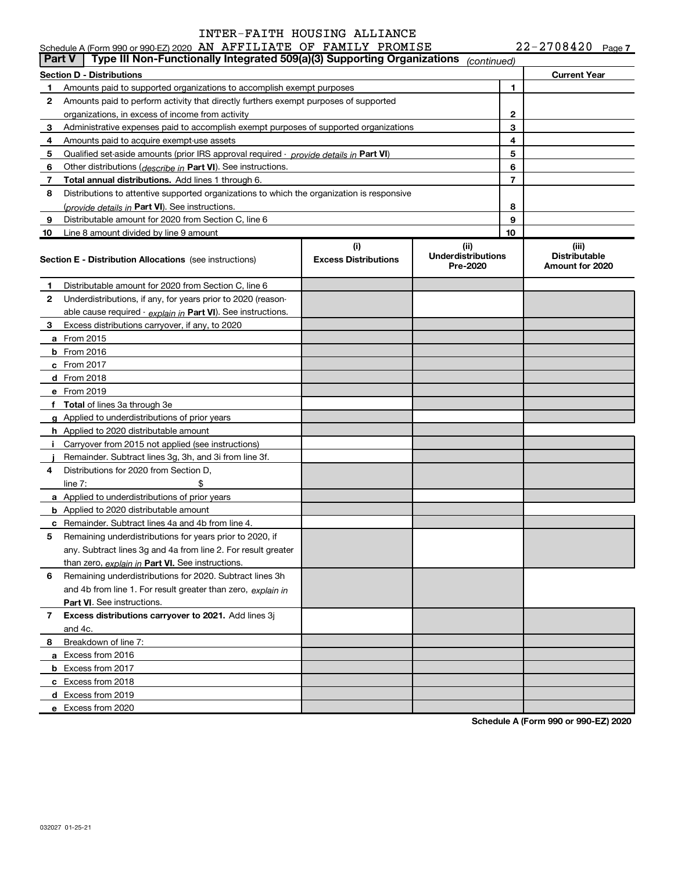|    | Schedule A (Form 990 or 990-EZ) 2020 AN AFFILIATE OF FAMILY PROMISE                        |                                    |                                               |    | $22 - 2708420$ Page 7                            |  |
|----|--------------------------------------------------------------------------------------------|------------------------------------|-----------------------------------------------|----|--------------------------------------------------|--|
|    | Type III Non-Functionally Integrated 509(a)(3) Supporting Organizations<br><b>Part V</b>   |                                    | (continued)                                   |    |                                                  |  |
|    | Section D - Distributions                                                                  |                                    |                                               |    | <b>Current Year</b>                              |  |
| 1  | Amounts paid to supported organizations to accomplish exempt purposes                      |                                    |                                               | 1  |                                                  |  |
| 2  | Amounts paid to perform activity that directly furthers exempt purposes of supported       |                                    |                                               |    |                                                  |  |
|    | organizations, in excess of income from activity                                           |                                    |                                               | 2  |                                                  |  |
| 3  | Administrative expenses paid to accomplish exempt purposes of supported organizations      |                                    |                                               | 3  |                                                  |  |
| 4  | Amounts paid to acquire exempt-use assets                                                  |                                    |                                               | 4  |                                                  |  |
| 5  | Qualified set aside amounts (prior IRS approval required - provide details in Part VI)     |                                    |                                               | 5  |                                                  |  |
| 6  | Other distributions (describe in Part VI). See instructions.                               |                                    |                                               | 6  |                                                  |  |
| 7  | Total annual distributions. Add lines 1 through 6.                                         |                                    |                                               | 7  |                                                  |  |
| 8  | Distributions to attentive supported organizations to which the organization is responsive |                                    |                                               |    |                                                  |  |
|    | ( <i>provide details in</i> Part VI). See instructions.                                    |                                    |                                               | 8  |                                                  |  |
| 9  | Distributable amount for 2020 from Section C, line 6                                       |                                    |                                               | 9  |                                                  |  |
| 10 | Line 8 amount divided by line 9 amount                                                     |                                    |                                               | 10 |                                                  |  |
|    | <b>Section E - Distribution Allocations</b> (see instructions)                             | (i)<br><b>Excess Distributions</b> | (ii)<br><b>Underdistributions</b><br>Pre-2020 |    | (iii)<br><b>Distributable</b><br>Amount for 2020 |  |
| 1  | Distributable amount for 2020 from Section C, line 6                                       |                                    |                                               |    |                                                  |  |
| 2  | Underdistributions, if any, for years prior to 2020 (reason-                               |                                    |                                               |    |                                                  |  |
|    | able cause required - explain in Part VI). See instructions.                               |                                    |                                               |    |                                                  |  |
| 3  | Excess distributions carryover, if any, to 2020                                            |                                    |                                               |    |                                                  |  |
|    | a From 2015                                                                                |                                    |                                               |    |                                                  |  |
|    | <b>b</b> From 2016                                                                         |                                    |                                               |    |                                                  |  |
|    | $c$ From 2017                                                                              |                                    |                                               |    |                                                  |  |
|    | d From 2018                                                                                |                                    |                                               |    |                                                  |  |
|    | e From 2019                                                                                |                                    |                                               |    |                                                  |  |
|    | f Total of lines 3a through 3e                                                             |                                    |                                               |    |                                                  |  |
|    | g Applied to underdistributions of prior years                                             |                                    |                                               |    |                                                  |  |
|    | h Applied to 2020 distributable amount                                                     |                                    |                                               |    |                                                  |  |
|    | Carryover from 2015 not applied (see instructions)                                         |                                    |                                               |    |                                                  |  |
|    | Remainder. Subtract lines 3g, 3h, and 3i from line 3f.                                     |                                    |                                               |    |                                                  |  |
| 4  | Distributions for 2020 from Section D.                                                     |                                    |                                               |    |                                                  |  |
|    | line $7:$                                                                                  |                                    |                                               |    |                                                  |  |
|    | a Applied to underdistributions of prior years                                             |                                    |                                               |    |                                                  |  |
|    | <b>b</b> Applied to 2020 distributable amount                                              |                                    |                                               |    |                                                  |  |
|    | c Remainder. Subtract lines 4a and 4b from line 4.                                         |                                    |                                               |    |                                                  |  |
|    | Remaining underdistributions for years prior to 2020, if                                   |                                    |                                               |    |                                                  |  |
|    | any. Subtract lines 3g and 4a from line 2. For result greater                              |                                    |                                               |    |                                                  |  |
|    | than zero, explain in Part VI. See instructions.                                           |                                    |                                               |    |                                                  |  |
| 6  | Remaining underdistributions for 2020. Subtract lines 3h                                   |                                    |                                               |    |                                                  |  |
|    | and 4b from line 1. For result greater than zero, explain in                               |                                    |                                               |    |                                                  |  |
|    | Part VI. See instructions.                                                                 |                                    |                                               |    |                                                  |  |
| 7  | Excess distributions carryover to 2021. Add lines 3j                                       |                                    |                                               |    |                                                  |  |
|    | and 4c.                                                                                    |                                    |                                               |    |                                                  |  |
| 8  | Breakdown of line 7:                                                                       |                                    |                                               |    |                                                  |  |
|    | a Excess from 2016                                                                         |                                    |                                               |    |                                                  |  |
|    | <b>b</b> Excess from 2017                                                                  |                                    |                                               |    |                                                  |  |
|    | c Excess from 2018                                                                         |                                    |                                               |    |                                                  |  |
|    | d Excess from 2019                                                                         |                                    |                                               |    |                                                  |  |
|    | e Excess from 2020                                                                         |                                    |                                               |    |                                                  |  |
|    |                                                                                            |                                    |                                               |    |                                                  |  |

Schedule A (Form 990 or 990-EZ) 2020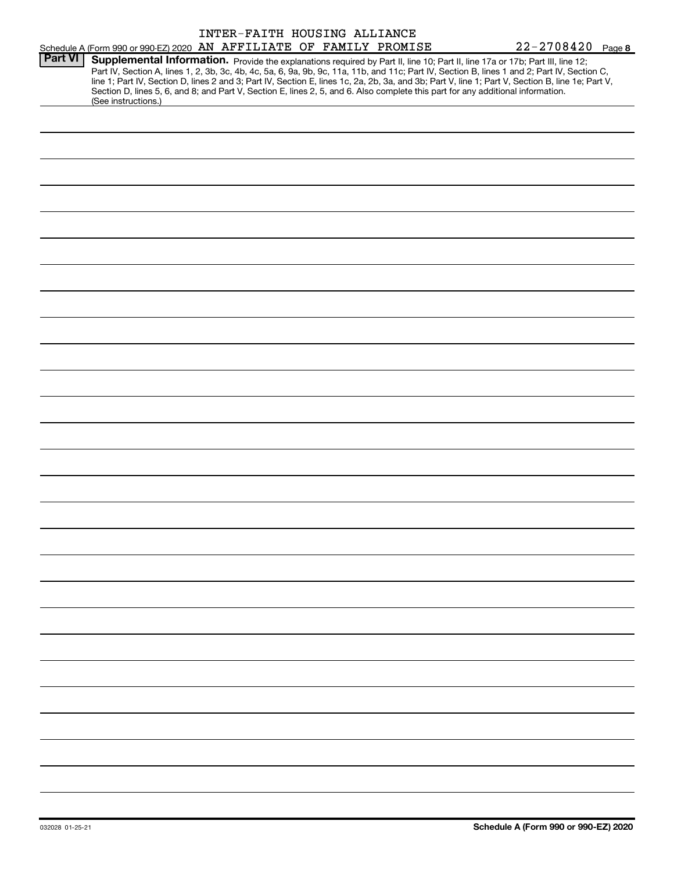|                |                                                                                                                                                                                                                                                                                                                                                                                                                                                                                                                                                                                             | INTER-FAITH HOUSING ALLIANCE |  |  |                       |  |
|----------------|---------------------------------------------------------------------------------------------------------------------------------------------------------------------------------------------------------------------------------------------------------------------------------------------------------------------------------------------------------------------------------------------------------------------------------------------------------------------------------------------------------------------------------------------------------------------------------------------|------------------------------|--|--|-----------------------|--|
|                | Schedule A (Form 990 or 990-EZ) 2020 AN AFFILIATE OF FAMILY PROMISE                                                                                                                                                                                                                                                                                                                                                                                                                                                                                                                         |                              |  |  | $22 - 2708420$ Page 8 |  |
| <b>Part VI</b> | Supplemental Information. Provide the explanations required by Part II, line 10; Part II, line 17a or 17b; Part III, line 12;<br>Part IV, Section A, lines 1, 2, 3b, 3c, 4b, 4c, 5a, 6, 9a, 9b, 9c, 11a, 11b, and 11c; Part IV, Section B, lines 1 and 2; Part IV, Section C,<br>line 1; Part IV, Section D, lines 2 and 3; Part IV, Section E, lines 1c, 2a, 2b, 3a, and 3b; Part V, line 1; Part V, Section B, line 1e; Part V,<br>Section D, lines 5, 6, and 8; and Part V, Section E, lines 2, 5, and 6. Also complete this part for any additional information.<br>(See instructions.) |                              |  |  |                       |  |
|                |                                                                                                                                                                                                                                                                                                                                                                                                                                                                                                                                                                                             |                              |  |  |                       |  |
|                |                                                                                                                                                                                                                                                                                                                                                                                                                                                                                                                                                                                             |                              |  |  |                       |  |
|                |                                                                                                                                                                                                                                                                                                                                                                                                                                                                                                                                                                                             |                              |  |  |                       |  |
|                |                                                                                                                                                                                                                                                                                                                                                                                                                                                                                                                                                                                             |                              |  |  |                       |  |
|                |                                                                                                                                                                                                                                                                                                                                                                                                                                                                                                                                                                                             |                              |  |  |                       |  |
|                |                                                                                                                                                                                                                                                                                                                                                                                                                                                                                                                                                                                             |                              |  |  |                       |  |
|                |                                                                                                                                                                                                                                                                                                                                                                                                                                                                                                                                                                                             |                              |  |  |                       |  |
|                |                                                                                                                                                                                                                                                                                                                                                                                                                                                                                                                                                                                             |                              |  |  |                       |  |
|                |                                                                                                                                                                                                                                                                                                                                                                                                                                                                                                                                                                                             |                              |  |  |                       |  |
|                |                                                                                                                                                                                                                                                                                                                                                                                                                                                                                                                                                                                             |                              |  |  |                       |  |
|                |                                                                                                                                                                                                                                                                                                                                                                                                                                                                                                                                                                                             |                              |  |  |                       |  |
|                |                                                                                                                                                                                                                                                                                                                                                                                                                                                                                                                                                                                             |                              |  |  |                       |  |
|                |                                                                                                                                                                                                                                                                                                                                                                                                                                                                                                                                                                                             |                              |  |  |                       |  |
|                |                                                                                                                                                                                                                                                                                                                                                                                                                                                                                                                                                                                             |                              |  |  |                       |  |
|                |                                                                                                                                                                                                                                                                                                                                                                                                                                                                                                                                                                                             |                              |  |  |                       |  |
|                |                                                                                                                                                                                                                                                                                                                                                                                                                                                                                                                                                                                             |                              |  |  |                       |  |
|                |                                                                                                                                                                                                                                                                                                                                                                                                                                                                                                                                                                                             |                              |  |  |                       |  |
|                |                                                                                                                                                                                                                                                                                                                                                                                                                                                                                                                                                                                             |                              |  |  |                       |  |
|                |                                                                                                                                                                                                                                                                                                                                                                                                                                                                                                                                                                                             |                              |  |  |                       |  |
|                |                                                                                                                                                                                                                                                                                                                                                                                                                                                                                                                                                                                             |                              |  |  |                       |  |
|                |                                                                                                                                                                                                                                                                                                                                                                                                                                                                                                                                                                                             |                              |  |  |                       |  |
|                |                                                                                                                                                                                                                                                                                                                                                                                                                                                                                                                                                                                             |                              |  |  |                       |  |
|                |                                                                                                                                                                                                                                                                                                                                                                                                                                                                                                                                                                                             |                              |  |  |                       |  |
|                |                                                                                                                                                                                                                                                                                                                                                                                                                                                                                                                                                                                             |                              |  |  |                       |  |
|                |                                                                                                                                                                                                                                                                                                                                                                                                                                                                                                                                                                                             |                              |  |  |                       |  |
|                |                                                                                                                                                                                                                                                                                                                                                                                                                                                                                                                                                                                             |                              |  |  |                       |  |
|                |                                                                                                                                                                                                                                                                                                                                                                                                                                                                                                                                                                                             |                              |  |  |                       |  |
|                |                                                                                                                                                                                                                                                                                                                                                                                                                                                                                                                                                                                             |                              |  |  |                       |  |
|                |                                                                                                                                                                                                                                                                                                                                                                                                                                                                                                                                                                                             |                              |  |  |                       |  |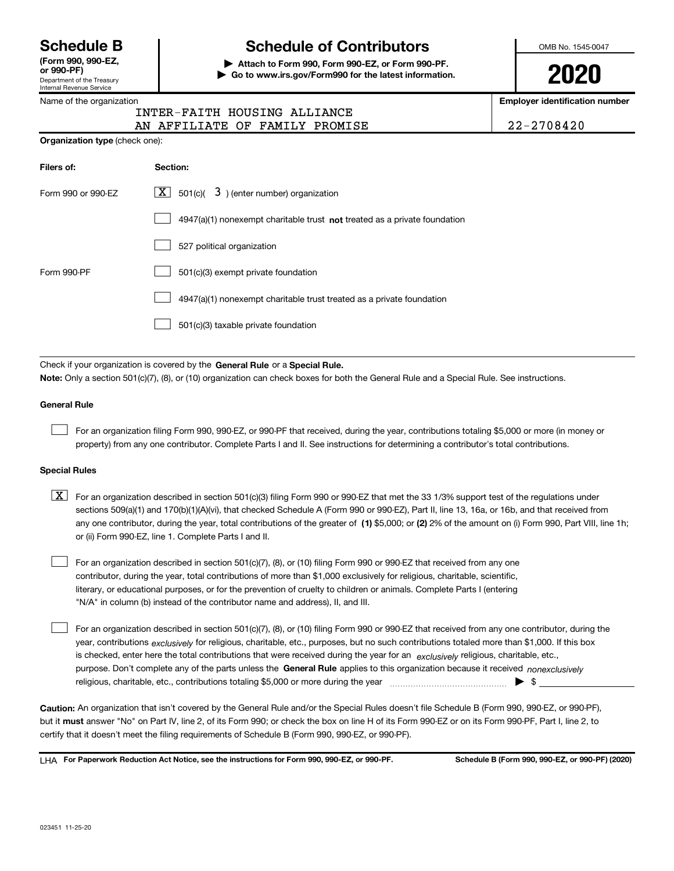Department of the Treasury Internal Revenue Service (Form 990, 990-<mark>EZ,</mark><br>or 990-PF)

# Schedule B The Schedule of Contributors

Attach to Form 990, Form 990-EZ, or Form 990-PF. | Go to www.irs.gov/Form990 for the latest information. OMB No. 1545-0047

2020

Employer identification number

| $22 - 2708420$ |  |  |  |  |
|----------------|--|--|--|--|
|----------------|--|--|--|--|

|  | Name of the organization |  |
|--|--------------------------|--|

### AN AFFILIATE OF FAMILY PROMISE INTER-FAITH HOUSING ALLIANCE

| <b>Organization type (check one):</b> |                                                                           |  |  |  |  |  |
|---------------------------------------|---------------------------------------------------------------------------|--|--|--|--|--|
| Filers of:                            | Section:                                                                  |  |  |  |  |  |
| Form 990 or 990-EZ                    | $ \mathbf{X} $ 501(c)( 3) (enter number) organization                     |  |  |  |  |  |
|                                       | 4947(a)(1) nonexempt charitable trust not treated as a private foundation |  |  |  |  |  |
|                                       | 527 political organization                                                |  |  |  |  |  |
| Form 990-PF                           | 501(c)(3) exempt private foundation                                       |  |  |  |  |  |
|                                       | 4947(a)(1) nonexempt charitable trust treated as a private foundation     |  |  |  |  |  |
|                                       | 501(c)(3) taxable private foundation                                      |  |  |  |  |  |
|                                       |                                                                           |  |  |  |  |  |

Check if your organization is covered by the General Rule or a Special Rule. Note: Only a section 501(c)(7), (8), or (10) organization can check boxes for both the General Rule and a Special Rule. See instructions.

### General Rule

 $\begin{array}{c} \hline \end{array}$ 

For an organization filing Form 990, 990-EZ, or 990-PF that received, during the year, contributions totaling \$5,000 or more (in money or property) from any one contributor. Complete Parts I and II. See instructions for determining a contributor's total contributions.

### Special Rules

- any one contributor, during the year, total contributions of the greater of  $\,$  (1) \$5,000; or (2) 2% of the amount on (i) Form 990, Part VIII, line 1h;  $\boxed{\textbf{X}}$  For an organization described in section 501(c)(3) filing Form 990 or 990-EZ that met the 33 1/3% support test of the regulations under sections 509(a)(1) and 170(b)(1)(A)(vi), that checked Schedule A (Form 990 or 990-EZ), Part II, line 13, 16a, or 16b, and that received from or (ii) Form 990-EZ, line 1. Complete Parts I and II.
- For an organization described in section 501(c)(7), (8), or (10) filing Form 990 or 990-EZ that received from any one contributor, during the year, total contributions of more than \$1,000 exclusively for religious, charitable, scientific, literary, or educational purposes, or for the prevention of cruelty to children or animals. Complete Parts I (entering "N/A" in column (b) instead of the contributor name and address), II, and III.  $\begin{array}{c} \hline \end{array}$

purpose. Don't complete any of the parts unless the General Rule applies to this organization because it received nonexclusively year, contributions <sub>exclusively</sub> for religious, charitable, etc., purposes, but no such contributions totaled more than \$1,000. If this box is checked, enter here the total contributions that were received during the year for an exclusively religious, charitable, etc., For an organization described in section 501(c)(7), (8), or (10) filing Form 990 or 990-EZ that received from any one contributor, during the religious, charitable, etc., contributions totaling \$5,000 or more during the year  $\Box$ — $\Box$ — $\Box$  $\begin{array}{c} \hline \end{array}$ 

Caution: An organization that isn't covered by the General Rule and/or the Special Rules doesn't file Schedule B (Form 990, 990-EZ, or 990-PF), but it **must** answer "No" on Part IV, line 2, of its Form 990; or check the box on line H of its Form 990-EZ or on its Form 990-PF, Part I, line 2, to certify that it doesn't meet the filing requirements of Schedule B (Form 990, 990-EZ, or 990-PF).

LHA For Paperwork Reduction Act Notice, see the instructions for Form 990, 990-EZ, or 990-PF. Schedule B (Form 990, 990-EZ, or 990-PF) (2020)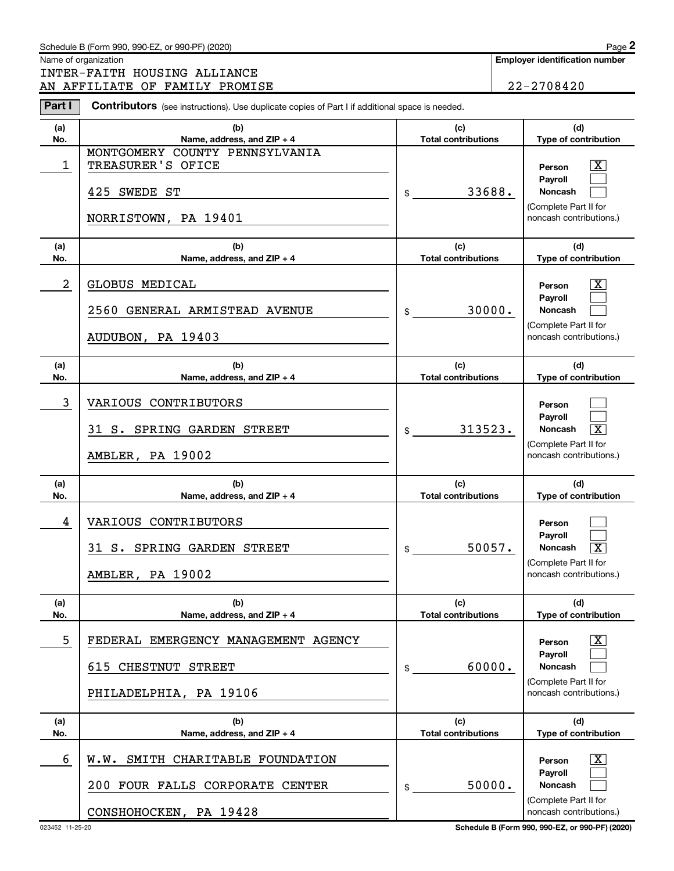### Schedule B (Form 990, 990-EZ, or 990-PF) (2020)

Name of organization

INTER-FAITH HOUSING ALLIANCE AN AFFILIATE OF FAMILY PROMISE 22-2708420

Employer identification number

| Part I     | <b>Contributors</b> (see instructions). Use duplicate copies of Part I if additional space is needed. |                                   |                                                                                                                         |
|------------|-------------------------------------------------------------------------------------------------------|-----------------------------------|-------------------------------------------------------------------------------------------------------------------------|
| (a)<br>No. | (b)<br>Name, address, and ZIP + 4                                                                     | (c)<br><b>Total contributions</b> | (d)<br>Type of contribution                                                                                             |
| 1          | MONTGOMERY COUNTY PENNSYLVANIA<br>TREASURER'S OFICE<br>425 SWEDE ST<br>NORRISTOWN, PA 19401           | 33688.<br>\$                      | $\overline{\text{X}}$<br>Person<br>Pavroll<br><b>Noncash</b><br>(Complete Part II for<br>noncash contributions.)        |
| (a)<br>No. | (b)<br>Name, address, and ZIP + 4                                                                     | (c)<br><b>Total contributions</b> | (d)<br>Type of contribution                                                                                             |
| 2          | GLOBUS MEDICAL<br>2560 GENERAL ARMISTEAD AVENUE<br>AUDUBON, PA 19403                                  | 30000.<br>\$                      | $\overline{\mathbf{X}}$<br>Person<br>Payroll<br><b>Noncash</b><br>(Complete Part II for<br>noncash contributions.)      |
| (a)<br>No. | (b)<br>Name, address, and ZIP + 4                                                                     | (c)<br><b>Total contributions</b> | (d)<br>Type of contribution                                                                                             |
| 3          | VARIOUS CONTRIBUTORS<br>31 S. SPRING GARDEN STREET<br>AMBLER, PA 19002                                | 313523.<br>$\sim$                 | Person<br>Payroll<br>$\overline{\mathbf{X}}$<br><b>Noncash</b><br>(Complete Part II for<br>noncash contributions.)      |
| (a)<br>No. | (b)<br>Name, address, and ZIP + 4                                                                     | (c)<br><b>Total contributions</b> | (d)<br>Type of contribution                                                                                             |
| 4          | VARIOUS CONTRIBUTORS<br>31 S. SPRING GARDEN STREET<br>AMBLER, PA 19002                                | 50057.<br>$\frac{1}{2}$           | Person<br>Payroll<br>$\overline{\mathbf{x}}$<br><b>Noncash</b><br>(Complete Part II for<br>noncash contributions.)      |
| (a)<br>No. | (b)<br>Name, address, and ZIP + 4                                                                     | (c)<br><b>Total contributions</b> | (d)<br>Type of contribution                                                                                             |
| 5          | EMERGENCY MANAGEMENT AGENCY<br>FEDERAL<br>615 CHESTNUT<br><b>STREET</b><br>PHILADELPHIA, PA 19106     | 60000.<br>\$                      | $\overline{\text{X}}$<br>Person<br><b>Pavroll</b><br><b>Noncash</b><br>(Complete Part II for<br>noncash contributions.) |
| (a)<br>No. | (b)<br>Name, address, and ZIP + 4                                                                     | (c)<br><b>Total contributions</b> | (d)<br>Type of contribution                                                                                             |
| 6          | SMITH CHARITABLE FOUNDATION<br>W.W.<br>FOUR FALLS CORPORATE CENTER<br>200<br>CONSHOHOCKEN, PA 19428   | 50000.<br>\$                      | $\overline{\text{X}}$<br>Person<br><b>Payroll</b><br>Noncash<br>(Complete Part II for<br>noncash contributions.)        |

023452 11-25-20 Schedule B (Form 990, 990-EZ, or 990-PF) (2020)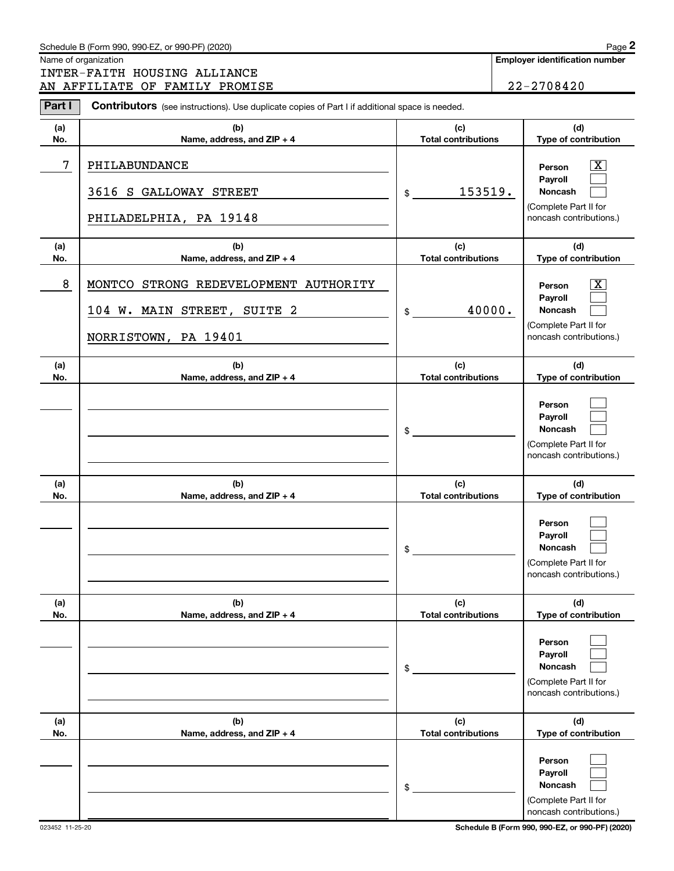### Schedule B (Form 990, 990-EZ, or 990-PF) (2020)

Name of organization

INTER-FAITH HOUSING ALLIANCE AN AFFILIATE OF FAMILY PROMISE 22-2708420

Employer identification number

 $Page 2$ 

| Part I     | Contributors (see instructions). Use duplicate copies of Part I if additional space is needed. |                                   |                                                                                                             |  |  |  |  |
|------------|------------------------------------------------------------------------------------------------|-----------------------------------|-------------------------------------------------------------------------------------------------------------|--|--|--|--|
| (a)<br>No. | (b)<br>Name, address, and ZIP + 4                                                              | (c)<br><b>Total contributions</b> | (d)<br>Type of contribution                                                                                 |  |  |  |  |
| 7          | PHILABUNDANCE<br>3616 S GALLOWAY STREET<br>PHILADELPHIA, PA 19148                              | 153519.<br>\$                     | $\overline{\text{X}}$<br>Person<br>Payroll<br>Noncash<br>(Complete Part II for<br>noncash contributions.)   |  |  |  |  |
| (a)<br>No. | (b)<br>Name, address, and ZIP + 4                                                              | (c)<br><b>Total contributions</b> | (d)<br>Type of contribution                                                                                 |  |  |  |  |
| 8          | MONTCO STRONG REDEVELOPMENT AUTHORITY<br>104 W. MAIN STREET, SUITE 2<br>NORRISTOWN, PA 19401   | 40000.<br>$$\tilde{\phantom{a}}$$ | $\overline{\texttt{x}}$<br>Person<br>Payroll<br>Noncash<br>(Complete Part II for<br>noncash contributions.) |  |  |  |  |
| (a)<br>No. | (b)<br>Name, address, and ZIP + 4                                                              | (c)<br><b>Total contributions</b> | (d)<br>Type of contribution                                                                                 |  |  |  |  |
|            |                                                                                                | \$                                | Person<br>Payroll<br>Noncash<br>(Complete Part II for<br>noncash contributions.)                            |  |  |  |  |
| (a)<br>No. | (b)<br>Name, address, and ZIP + 4                                                              | (c)<br><b>Total contributions</b> | (d)<br>Type of contribution                                                                                 |  |  |  |  |
|            |                                                                                                | \$                                | Person<br>Payroll<br>Noncash<br>(Complete Part II for<br>noncash contributions.)                            |  |  |  |  |
| (a)<br>No. | (b)<br>Name, address, and ZIP + 4                                                              | (c)<br><b>Total contributions</b> | (d)<br>Type of contribution                                                                                 |  |  |  |  |
|            |                                                                                                | \$                                | Person<br>Payroll<br>Noncash<br>(Complete Part II for<br>noncash contributions.)                            |  |  |  |  |
| (a)<br>No. | (b)<br>Name, address, and ZIP + 4                                                              | (c)<br><b>Total contributions</b> | (d)<br>Type of contribution                                                                                 |  |  |  |  |
|            |                                                                                                | \$                                | Person<br>Payroll<br>Noncash<br>(Complete Part II for<br>noncash contributions.)                            |  |  |  |  |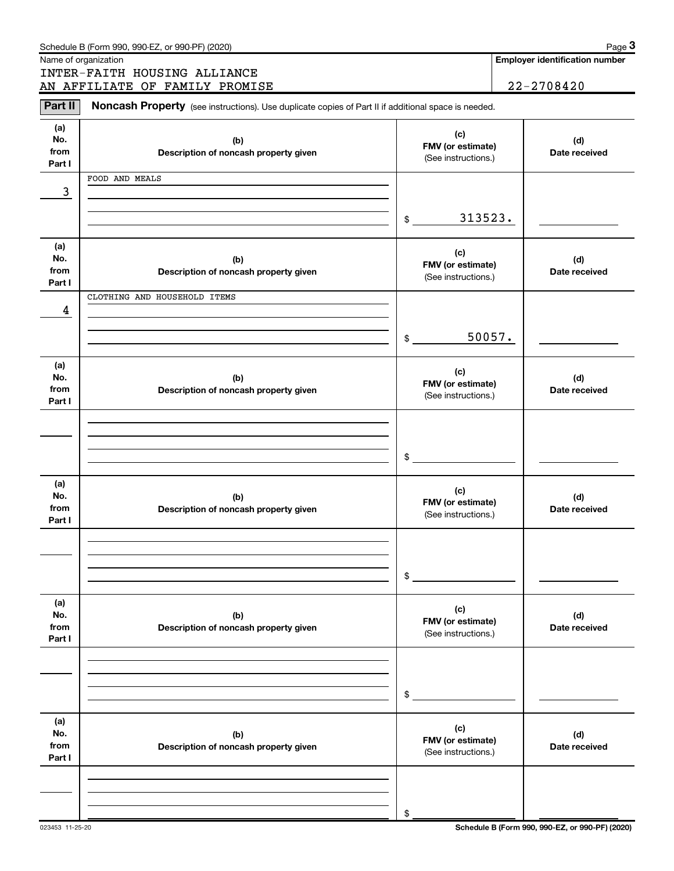|                      | Schedule B (Form 990, 990-EZ, or 990-PF) (2020)                                                     |                                          |                | Page 3                                |  |
|----------------------|-----------------------------------------------------------------------------------------------------|------------------------------------------|----------------|---------------------------------------|--|
| Name of organization |                                                                                                     |                                          |                | <b>Employer identification number</b> |  |
|                      | INTER-FAITH HOUSING ALLIANCE                                                                        |                                          | $22 - 2708420$ |                                       |  |
|                      | AN AFFILIATE OF FAMILY PROMISE                                                                      |                                          |                |                                       |  |
| Part II              | Noncash Property (see instructions). Use duplicate copies of Part II if additional space is needed. |                                          |                |                                       |  |
| (a)                  |                                                                                                     | (c)                                      |                |                                       |  |
| No.                  | (b)                                                                                                 | FMV (or estimate)                        |                | (d)                                   |  |
| from<br>Part I       | Description of noncash property given                                                               | (See instructions.)                      |                | Date received                         |  |
|                      | FOOD AND MEALS                                                                                      |                                          |                |                                       |  |
| 3                    |                                                                                                     |                                          |                |                                       |  |
|                      |                                                                                                     |                                          |                |                                       |  |
|                      |                                                                                                     | 313523.<br>\$                            |                |                                       |  |
|                      |                                                                                                     |                                          |                |                                       |  |
| (a)                  |                                                                                                     | (c)                                      |                |                                       |  |
| No.<br>from          | (b)                                                                                                 | FMV (or estimate)                        |                | (d)                                   |  |
| Part I               | Description of noncash property given                                                               | (See instructions.)                      |                | Date received                         |  |
|                      | CLOTHING AND HOUSEHOLD ITEMS                                                                        |                                          |                |                                       |  |
| 4                    |                                                                                                     |                                          |                |                                       |  |
|                      |                                                                                                     |                                          |                |                                       |  |
|                      |                                                                                                     | \$                                       | 50057.         |                                       |  |
|                      |                                                                                                     |                                          |                |                                       |  |
| (a)<br>No.           | (b)                                                                                                 | (c)                                      |                | (d)                                   |  |
| from                 | Description of noncash property given                                                               | FMV (or estimate)                        |                | Date received                         |  |
| Part I               |                                                                                                     | (See instructions.)                      |                |                                       |  |
|                      |                                                                                                     |                                          |                |                                       |  |
|                      |                                                                                                     |                                          |                |                                       |  |
|                      |                                                                                                     |                                          |                |                                       |  |
|                      |                                                                                                     | \$                                       |                |                                       |  |
| (a)                  |                                                                                                     |                                          |                |                                       |  |
| No.                  | (b)                                                                                                 | (c)<br>FMV (or estimate)                 |                | (d)                                   |  |
| from                 | Description of noncash property given                                                               | (See instructions.)                      |                | Date received                         |  |
| Part I               |                                                                                                     |                                          |                |                                       |  |
|                      |                                                                                                     |                                          |                |                                       |  |
|                      |                                                                                                     |                                          |                |                                       |  |
|                      |                                                                                                     | \$                                       |                |                                       |  |
|                      |                                                                                                     |                                          |                |                                       |  |
| (a)                  |                                                                                                     | (c)                                      |                |                                       |  |
| No.<br>from          | (b)<br>Description of noncash property given                                                        | FMV (or estimate)                        |                | (d)<br>Date received                  |  |
| Part I               |                                                                                                     | (See instructions.)                      |                |                                       |  |
|                      |                                                                                                     |                                          |                |                                       |  |
|                      |                                                                                                     |                                          |                |                                       |  |
|                      |                                                                                                     |                                          |                |                                       |  |
|                      |                                                                                                     | \$                                       |                |                                       |  |
| (a)                  |                                                                                                     |                                          |                |                                       |  |
| No.                  | (b)                                                                                                 | (c)                                      |                | (d)                                   |  |
| from                 | Description of noncash property given                                                               | FMV (or estimate)<br>(See instructions.) |                | Date received                         |  |
| Part I               |                                                                                                     |                                          |                |                                       |  |
|                      |                                                                                                     |                                          |                |                                       |  |
|                      |                                                                                                     |                                          |                |                                       |  |
|                      |                                                                                                     | \$                                       |                |                                       |  |
|                      |                                                                                                     |                                          |                |                                       |  |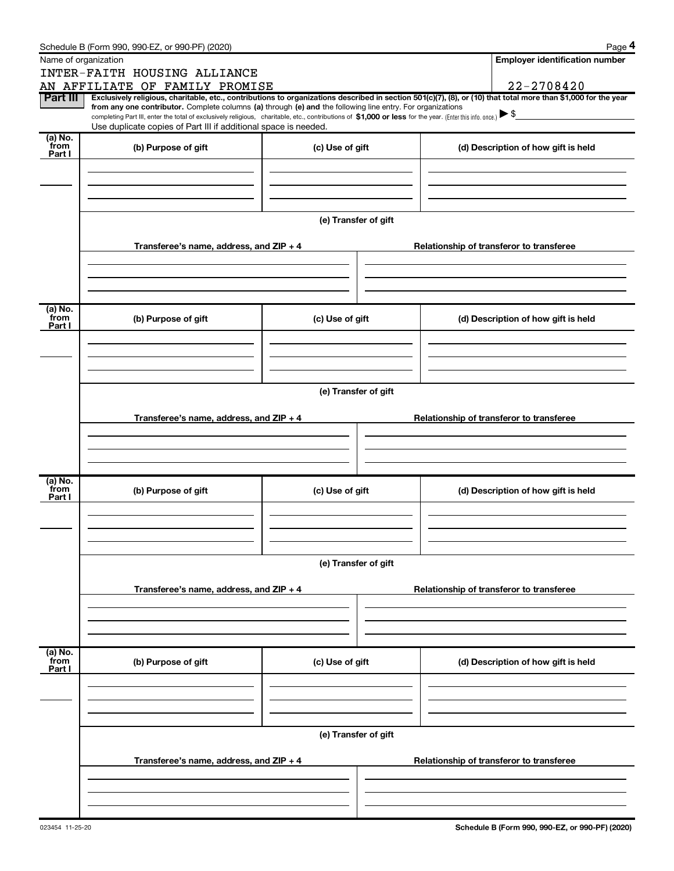|                           | Schedule B (Form 990, 990-EZ, or 990-PF) (2020)                                                            |                      | Page 4                                                                                                                                                                                                                                                                                                                                         |  |  |  |  |
|---------------------------|------------------------------------------------------------------------------------------------------------|----------------------|------------------------------------------------------------------------------------------------------------------------------------------------------------------------------------------------------------------------------------------------------------------------------------------------------------------------------------------------|--|--|--|--|
|                           | Name of organization                                                                                       |                      | <b>Employer identification number</b>                                                                                                                                                                                                                                                                                                          |  |  |  |  |
|                           | INTER-FAITH HOUSING ALLIANCE                                                                               |                      |                                                                                                                                                                                                                                                                                                                                                |  |  |  |  |
|                           | AN AFFILIATE OF FAMILY PROMISE                                                                             |                      | $22 - 2708420$                                                                                                                                                                                                                                                                                                                                 |  |  |  |  |
| Part III                  | from any one contributor. Complete columns (a) through (e) and the following line entry. For organizations |                      | Exclusively religious, charitable, etc., contributions to organizations described in section 501(c)(7), (8), or (10) that total more than \$1,000 for the year<br>completing Part III, enter the total of exclusively religious, charitable, etc., contributions of \$1,000 or less for the year. (Enter this info. once.) $\triangleright$ \$ |  |  |  |  |
|                           | Use duplicate copies of Part III if additional space is needed.                                            |                      |                                                                                                                                                                                                                                                                                                                                                |  |  |  |  |
| (a) No.<br>from<br>Part I | (b) Purpose of gift                                                                                        | (c) Use of gift      | (d) Description of how gift is held                                                                                                                                                                                                                                                                                                            |  |  |  |  |
|                           |                                                                                                            |                      |                                                                                                                                                                                                                                                                                                                                                |  |  |  |  |
|                           |                                                                                                            |                      |                                                                                                                                                                                                                                                                                                                                                |  |  |  |  |
|                           |                                                                                                            | (e) Transfer of gift |                                                                                                                                                                                                                                                                                                                                                |  |  |  |  |
|                           | Transferee's name, address, and $ZIP + 4$                                                                  |                      | Relationship of transferor to transferee                                                                                                                                                                                                                                                                                                       |  |  |  |  |
|                           |                                                                                                            |                      |                                                                                                                                                                                                                                                                                                                                                |  |  |  |  |
| (a) No.<br>from<br>Part I | (b) Purpose of gift                                                                                        | (c) Use of gift      | (d) Description of how gift is held                                                                                                                                                                                                                                                                                                            |  |  |  |  |
|                           |                                                                                                            |                      |                                                                                                                                                                                                                                                                                                                                                |  |  |  |  |
|                           |                                                                                                            |                      |                                                                                                                                                                                                                                                                                                                                                |  |  |  |  |
|                           | (e) Transfer of gift                                                                                       |                      |                                                                                                                                                                                                                                                                                                                                                |  |  |  |  |
|                           | Transferee's name, address, and $ZIP + 4$                                                                  |                      | Relationship of transferor to transferee                                                                                                                                                                                                                                                                                                       |  |  |  |  |
|                           |                                                                                                            |                      |                                                                                                                                                                                                                                                                                                                                                |  |  |  |  |
| (a) No.<br>from<br>Part I | (b) Purpose of gift                                                                                        | (c) Use of gift      | (d) Description of how gift is held                                                                                                                                                                                                                                                                                                            |  |  |  |  |
|                           |                                                                                                            |                      |                                                                                                                                                                                                                                                                                                                                                |  |  |  |  |
|                           |                                                                                                            |                      |                                                                                                                                                                                                                                                                                                                                                |  |  |  |  |
|                           |                                                                                                            | (e) Transfer of gift |                                                                                                                                                                                                                                                                                                                                                |  |  |  |  |
|                           | Transferee's name, address, and ZIP + 4                                                                    |                      | Relationship of transferor to transferee                                                                                                                                                                                                                                                                                                       |  |  |  |  |
|                           |                                                                                                            |                      |                                                                                                                                                                                                                                                                                                                                                |  |  |  |  |
| (a) No.<br>from           | (b) Purpose of gift                                                                                        | (c) Use of gift      | (d) Description of how gift is held                                                                                                                                                                                                                                                                                                            |  |  |  |  |
| Part I                    |                                                                                                            |                      |                                                                                                                                                                                                                                                                                                                                                |  |  |  |  |
|                           |                                                                                                            |                      |                                                                                                                                                                                                                                                                                                                                                |  |  |  |  |
|                           |                                                                                                            | (e) Transfer of gift |                                                                                                                                                                                                                                                                                                                                                |  |  |  |  |
|                           | Transferee's name, address, and ZIP + 4                                                                    |                      | Relationship of transferor to transferee                                                                                                                                                                                                                                                                                                       |  |  |  |  |
|                           |                                                                                                            |                      |                                                                                                                                                                                                                                                                                                                                                |  |  |  |  |
|                           |                                                                                                            |                      |                                                                                                                                                                                                                                                                                                                                                |  |  |  |  |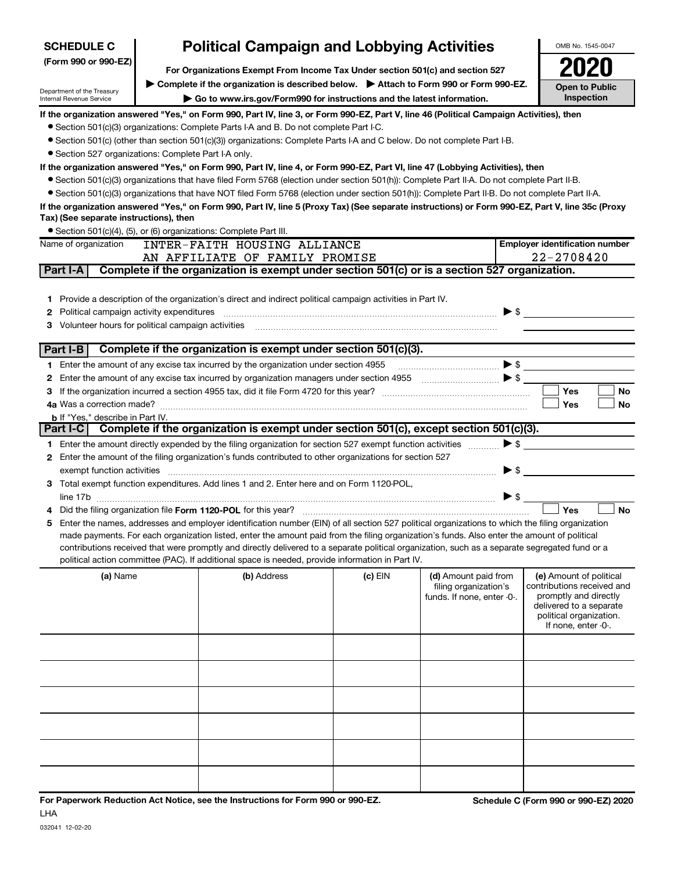| <b>SCHEDULE C</b>                                       |                                                                                        | <b>Political Campaign and Lobbying Activities</b>                                                                                                |         |                                                     |                          | OMB No. 1545-0047                                   |
|---------------------------------------------------------|----------------------------------------------------------------------------------------|--------------------------------------------------------------------------------------------------------------------------------------------------|---------|-----------------------------------------------------|--------------------------|-----------------------------------------------------|
| (Form 990 or 990-EZ)                                    |                                                                                        |                                                                                                                                                  |         |                                                     |                          |                                                     |
|                                                         | For Organizations Exempt From Income Tax Under section 501(c) and section 527          |                                                                                                                                                  |         |                                                     |                          |                                                     |
| Department of the Treasury                              | Complete if the organization is described below.<br>Attach to Form 990 or Form 990-EZ. |                                                                                                                                                  |         |                                                     |                          | <b>Open to Public</b>                               |
| Internal Revenue Service                                |                                                                                        | Go to www.irs.gov/Form990 for instructions and the latest information.                                                                           |         |                                                     |                          | Inspection                                          |
|                                                         |                                                                                        | If the organization answered "Yes," on Form 990, Part IV, line 3, or Form 990-EZ, Part V, line 46 (Political Campaign Activities), then          |         |                                                     |                          |                                                     |
|                                                         |                                                                                        | • Section 501(c)(3) organizations: Complete Parts I-A and B. Do not complete Part I-C.                                                           |         |                                                     |                          |                                                     |
|                                                         |                                                                                        | • Section 501(c) (other than section 501(c)(3)) organizations: Complete Parts I-A and C below. Do not complete Part I-B.                         |         |                                                     |                          |                                                     |
| • Section 527 organizations: Complete Part I-A only.    |                                                                                        |                                                                                                                                                  |         |                                                     |                          |                                                     |
|                                                         |                                                                                        | If the organization answered "Yes," on Form 990, Part IV, line 4, or Form 990-EZ, Part VI, line 47 (Lobbying Activities), then                   |         |                                                     |                          |                                                     |
|                                                         |                                                                                        | • Section 501(c)(3) organizations that have filed Form 5768 (election under section 501(h)): Complete Part II-A. Do not complete Part II-B.      |         |                                                     |                          |                                                     |
|                                                         |                                                                                        | • Section 501(c)(3) organizations that have NOT filed Form 5768 (election under section 501(h)): Complete Part II-B. Do not complete Part II-A.  |         |                                                     |                          |                                                     |
|                                                         |                                                                                        | If the organization answered "Yes," on Form 990, Part IV, line 5 (Proxy Tax) (See separate instructions) or Form 990-EZ, Part V, line 35c (Proxy |         |                                                     |                          |                                                     |
| Tax) (See separate instructions), then                  |                                                                                        |                                                                                                                                                  |         |                                                     |                          |                                                     |
|                                                         |                                                                                        | Section 501(c)(4), (5), or (6) organizations: Complete Part III.                                                                                 |         |                                                     |                          |                                                     |
| Name of organization                                    |                                                                                        | INTER-FAITH HOUSING ALLIANCE                                                                                                                     |         |                                                     |                          | <b>Employer identification number</b>               |
| Part I-A                                                |                                                                                        | AN AFFILIATE OF FAMILY PROMISE<br>Complete if the organization is exempt under section 501(c) or is a section 527 organization.                  |         |                                                     |                          | 22-2708420                                          |
|                                                         |                                                                                        |                                                                                                                                                  |         |                                                     |                          |                                                     |
|                                                         |                                                                                        |                                                                                                                                                  |         |                                                     |                          |                                                     |
|                                                         |                                                                                        | 1 Provide a description of the organization's direct and indirect political campaign activities in Part IV.                                      |         |                                                     |                          |                                                     |
| Political campaign activity expenditures<br>2           |                                                                                        |                                                                                                                                                  |         |                                                     | $\blacktriangleright$ \$ |                                                     |
| Volunteer hours for political campaign activities<br>3. |                                                                                        |                                                                                                                                                  |         |                                                     |                          |                                                     |
| Part I-B                                                |                                                                                        | Complete if the organization is exempt under section 501(c)(3).                                                                                  |         |                                                     |                          |                                                     |
|                                                         |                                                                                        | 1 Enter the amount of any excise tax incurred by the organization under section 4955                                                             |         |                                                     | $\blacktriangleright$ \$ |                                                     |
| 2                                                       |                                                                                        |                                                                                                                                                  |         |                                                     |                          |                                                     |
|                                                         |                                                                                        |                                                                                                                                                  |         |                                                     |                          | <b>Yes</b><br>No                                    |
| 4a Was a correction made?                               |                                                                                        |                                                                                                                                                  |         |                                                     |                          | Yes<br>No                                           |
| <b>b</b> If "Yes," describe in Part IV.                 |                                                                                        |                                                                                                                                                  |         |                                                     |                          |                                                     |
| Part I-C                                                |                                                                                        | Complete if the organization is exempt under section 501(c), except section 501(c)(3).                                                           |         |                                                     |                          |                                                     |
|                                                         |                                                                                        | 1 Enter the amount directly expended by the filing organization for section 527 exempt function activities                                       |         | 1.1.1.1.1.1.1.1                                     | $\blacktriangleright$ \$ |                                                     |
|                                                         |                                                                                        | 2 Enter the amount of the filing organization's funds contributed to other organizations for section 527                                         |         |                                                     |                          |                                                     |
|                                                         |                                                                                        |                                                                                                                                                  |         |                                                     | $\triangleright$ \$      |                                                     |
|                                                         |                                                                                        | 3 Total exempt function expenditures. Add lines 1 and 2. Enter here and on Form 1120-POL,                                                        |         |                                                     |                          |                                                     |
|                                                         |                                                                                        | line 17b                                                                                                                                         |         |                                                     | $\triangleright$ \$      |                                                     |
|                                                         |                                                                                        |                                                                                                                                                  |         |                                                     |                          | <b>Yes</b><br>No                                    |
| 5                                                       |                                                                                        | Enter the names, addresses and employer identification number (EIN) of all section 527 political organizations to which the filing organization  |         |                                                     |                          |                                                     |
|                                                         |                                                                                        | made payments. For each organization listed, enter the amount paid from the filing organization's funds. Also enter the amount of political      |         |                                                     |                          |                                                     |
|                                                         |                                                                                        | contributions received that were promptly and directly delivered to a separate political organization, such as a separate segregated fund or a   |         |                                                     |                          |                                                     |
|                                                         |                                                                                        | political action committee (PAC). If additional space is needed, provide information in Part IV.                                                 |         |                                                     |                          |                                                     |
| (a) Name                                                |                                                                                        | (b) Address                                                                                                                                      | (c) EIN | (d) Amount paid from                                |                          | (e) Amount of political                             |
|                                                         |                                                                                        |                                                                                                                                                  |         | filing organization's<br>funds. If none, enter -0-. |                          | contributions received and<br>promptly and directly |
|                                                         |                                                                                        |                                                                                                                                                  |         |                                                     |                          | delivered to a separate                             |
|                                                         |                                                                                        |                                                                                                                                                  |         |                                                     |                          | political organization.                             |
|                                                         |                                                                                        |                                                                                                                                                  |         |                                                     |                          | If none, enter -0-.                                 |
|                                                         |                                                                                        |                                                                                                                                                  |         |                                                     |                          |                                                     |
|                                                         |                                                                                        |                                                                                                                                                  |         |                                                     |                          |                                                     |
|                                                         |                                                                                        |                                                                                                                                                  |         |                                                     |                          |                                                     |
|                                                         |                                                                                        |                                                                                                                                                  |         |                                                     |                          |                                                     |
|                                                         |                                                                                        |                                                                                                                                                  |         |                                                     |                          |                                                     |
|                                                         |                                                                                        |                                                                                                                                                  |         |                                                     |                          |                                                     |
|                                                         |                                                                                        |                                                                                                                                                  |         |                                                     |                          |                                                     |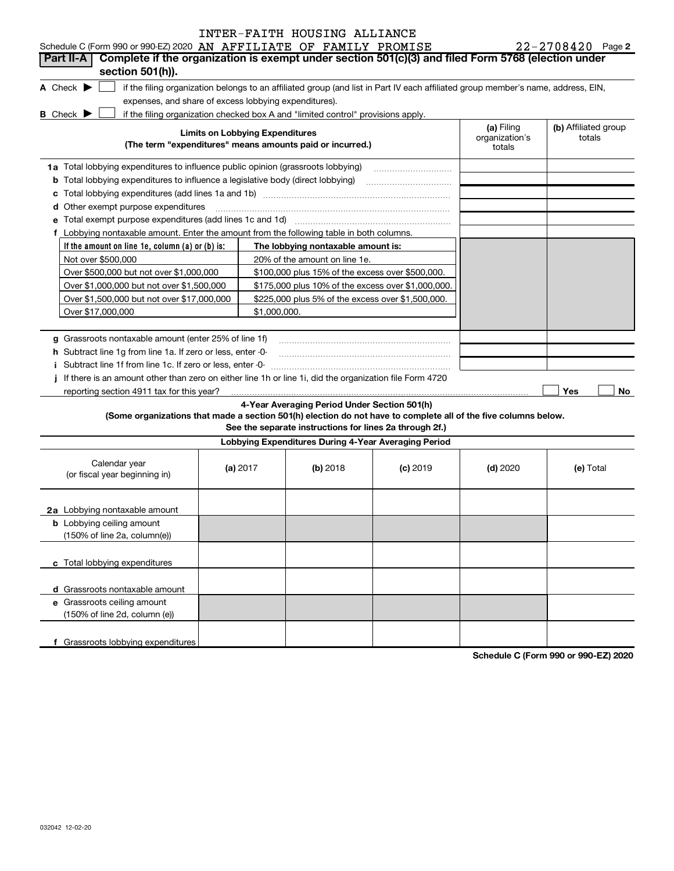| Schedule C (Form 990 or 990-EZ) 2020 AN AFFILIATE OF FAMILY PROMISE                                                                                                |                                        |                                                                                                         |            |                                        | $22 - 2708420$ Page 2          |
|--------------------------------------------------------------------------------------------------------------------------------------------------------------------|----------------------------------------|---------------------------------------------------------------------------------------------------------|------------|----------------------------------------|--------------------------------|
| Complete if the organization is exempt under section 501(c)(3) and filed Form 5768 (election under<br>Part II-A I<br>section 501(h)).                              |                                        |                                                                                                         |            |                                        |                                |
| A Check $\blacktriangleright$<br>if the filing organization belongs to an affiliated group (and list in Part IV each affiliated group member's name, address, EIN, |                                        |                                                                                                         |            |                                        |                                |
| expenses, and share of excess lobbying expenditures).                                                                                                              |                                        |                                                                                                         |            |                                        |                                |
| if the filing organization checked box A and "limited control" provisions apply.<br><b>B</b> Check ▶                                                               |                                        |                                                                                                         |            |                                        |                                |
| (The term "expenditures" means amounts paid or incurred.)                                                                                                          | <b>Limits on Lobbying Expenditures</b> |                                                                                                         |            | (a) Filing<br>organization's<br>totals | (b) Affiliated group<br>totals |
| 1a Total lobbying expenditures to influence public opinion (grassroots lobbying)                                                                                   |                                        |                                                                                                         |            |                                        |                                |
| <b>b</b> Total lobbying expenditures to influence a legislative body (direct lobbying)                                                                             |                                        |                                                                                                         |            |                                        |                                |
|                                                                                                                                                                    |                                        |                                                                                                         |            |                                        |                                |
| <b>d</b> Other exempt purpose expenditures                                                                                                                         |                                        |                                                                                                         |            |                                        |                                |
| e Total exempt purpose expenditures (add lines 1c and 1d) [11] [12] [13] [13] [14] [15] [15] [16] [15] [16] [1                                                     |                                        |                                                                                                         |            |                                        |                                |
| f Lobbying nontaxable amount. Enter the amount from the following table in both columns.                                                                           |                                        |                                                                                                         |            |                                        |                                |
| If the amount on line 1e, column (a) or (b) is:                                                                                                                    |                                        | The lobbying nontaxable amount is:                                                                      |            |                                        |                                |
| Not over \$500,000                                                                                                                                                 |                                        | 20% of the amount on line 1e.                                                                           |            |                                        |                                |
| Over \$500,000 but not over \$1,000,000                                                                                                                            |                                        | \$100,000 plus 15% of the excess over \$500,000.                                                        |            |                                        |                                |
| Over \$1,000,000 but not over \$1,500,000                                                                                                                          |                                        | \$175,000 plus 10% of the excess over \$1,000,000.                                                      |            |                                        |                                |
| Over \$1,500,000 but not over \$17,000,000                                                                                                                         |                                        | \$225,000 plus 5% of the excess over \$1,500,000.                                                       |            |                                        |                                |
| Over \$17,000,000                                                                                                                                                  | \$1,000,000.                           |                                                                                                         |            |                                        |                                |
|                                                                                                                                                                    |                                        |                                                                                                         |            |                                        |                                |
| g Grassroots nontaxable amount (enter 25% of line 1f)                                                                                                              |                                        |                                                                                                         |            |                                        |                                |
| h Subtract line 1g from line 1a. If zero or less, enter -0-                                                                                                        |                                        |                                                                                                         |            |                                        |                                |
| i Subtract line 1f from line 1c. If zero or less, enter -0-                                                                                                        |                                        |                                                                                                         |            |                                        |                                |
| If there is an amount other than zero on either line 1h or line 1i, did the organization file Form 4720<br>Î.                                                      |                                        |                                                                                                         |            |                                        |                                |
| reporting section 4911 tax for this year?                                                                                                                          |                                        |                                                                                                         |            |                                        | Yes<br>No                      |
| (Some organizations that made a section 501(h) election do not have to complete all of the five columns below.                                                     |                                        | 4-Year Averaging Period Under Section 501(h)<br>See the separate instructions for lines 2a through 2f.) |            |                                        |                                |
|                                                                                                                                                                    |                                        | Lobbying Expenditures During 4-Year Averaging Period                                                    |            |                                        |                                |
| Calendar year<br>(or fiscal year beginning in)                                                                                                                     | (a) 2017                               | (b) 2018                                                                                                | $(c)$ 2019 | $(d)$ 2020                             | (e) Total                      |
| 2a Lobbying nontaxable amount                                                                                                                                      |                                        |                                                                                                         |            |                                        |                                |
| <b>b</b> Lobbying ceiling amount                                                                                                                                   |                                        |                                                                                                         |            |                                        |                                |
| $(150\% \text{ of line } 2a, \text{ column}(e))$                                                                                                                   |                                        |                                                                                                         |            |                                        |                                |
| c Total lobbying expenditures                                                                                                                                      |                                        |                                                                                                         |            |                                        |                                |
| d Grassroots nontaxable amount                                                                                                                                     |                                        |                                                                                                         |            |                                        |                                |
| e Grassroots ceiling amount                                                                                                                                        |                                        |                                                                                                         |            |                                        |                                |
| (150% of line 2d, column (e))                                                                                                                                      |                                        |                                                                                                         |            |                                        |                                |
| f Grassroots lobbying expenditures                                                                                                                                 |                                        |                                                                                                         |            |                                        |                                |

Schedule C (Form 990 or 990-EZ) 2020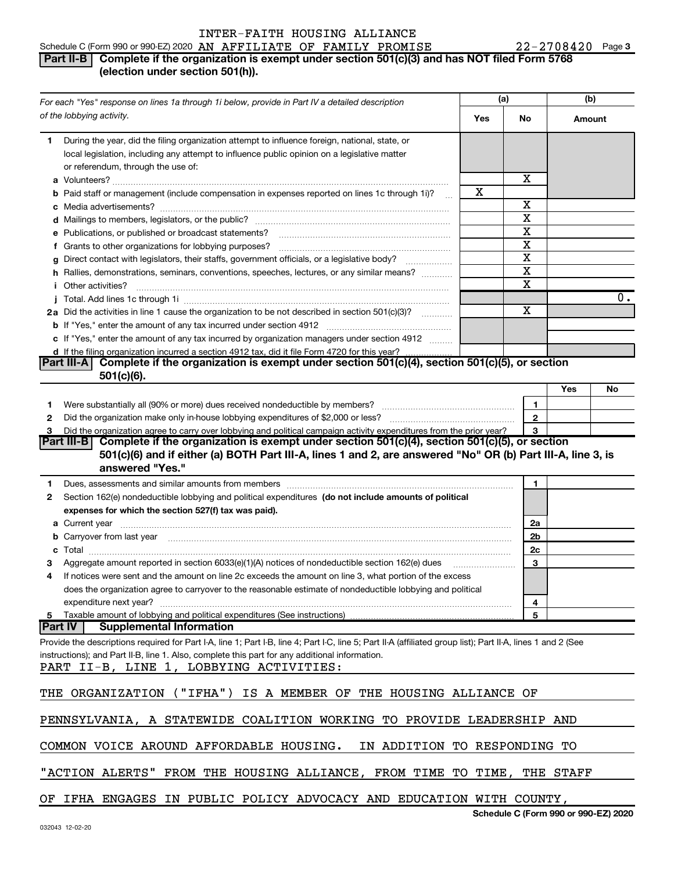### 3 AN AFFILIATE OF FAMILY PROMISE 22-2708420 Schedule C (Form 990 or 990-EZ) 2020 AN AFFILIATE OF FAMILY PROMISE **Part II-B** Complete if the organization is exempt under section 501(c)(3) and has NOT filed Form 5768 (election under section 501(h)).

|    | For each "Yes" response on lines 1a through 1i below, provide in Part IV a detailed description                                                                                                                                      |     | (a)            | (b)    |                  |
|----|--------------------------------------------------------------------------------------------------------------------------------------------------------------------------------------------------------------------------------------|-----|----------------|--------|------------------|
|    | of the lobbying activity.                                                                                                                                                                                                            | Yes | No             | Amount |                  |
| 1. | During the year, did the filing organization attempt to influence foreign, national, state, or<br>local legislation, including any attempt to influence public opinion on a legislative matter<br>or referendum, through the use of: |     | х              |        |                  |
|    | <b>b</b> Paid staff or management (include compensation in expenses reported on lines 1c through 1i)?                                                                                                                                | x   |                |        |                  |
|    |                                                                                                                                                                                                                                      |     | X              |        |                  |
|    |                                                                                                                                                                                                                                      |     | X              |        |                  |
|    | e Publications, or published or broadcast statements?                                                                                                                                                                                |     | Χ              |        |                  |
|    | f Grants to other organizations for lobbying purposes?                                                                                                                                                                               |     | X              |        |                  |
|    | g Direct contact with legislators, their staffs, government officials, or a legislative body?                                                                                                                                        |     | X              |        |                  |
|    | h Rallies, demonstrations, seminars, conventions, speeches, lectures, or any similar means?                                                                                                                                          |     | X              |        |                  |
|    | <i>i</i> Other activities?                                                                                                                                                                                                           |     | X              |        |                  |
|    |                                                                                                                                                                                                                                      |     |                |        | $\overline{0}$ . |
|    | 2a Did the activities in line 1 cause the organization to be not described in section 501(c)(3)?                                                                                                                                     |     | X              |        |                  |
|    |                                                                                                                                                                                                                                      |     |                |        |                  |
|    | c If "Yes," enter the amount of any tax incurred by organization managers under section 4912                                                                                                                                         |     |                |        |                  |
|    | d If the filing organization incurred a section 4912 tax, did it file Form 4720 for this year?                                                                                                                                       |     |                |        |                  |
|    | Complete if the organization is exempt under section $501(c)(4)$ , section $501(c)(5)$ , or section<br><b>Part III-AI</b>                                                                                                            |     |                |        |                  |
|    | $501(c)(6)$ .                                                                                                                                                                                                                        |     |                |        |                  |
|    |                                                                                                                                                                                                                                      |     |                | Yes    | No               |
| 1  |                                                                                                                                                                                                                                      |     | 1              |        |                  |
| 2  |                                                                                                                                                                                                                                      |     | $\mathbf{2}$   |        |                  |
| З  | Did the organization agree to carry over lobbying and political campaign activity expenditures from the prior year?                                                                                                                  |     | 3              |        |                  |
|    | Complete if the organization is exempt under section $501(c)(4)$ , section $501(c)(5)$ , or section<br> Part III-B                                                                                                                   |     |                |        |                  |
|    | 501(c)(6) and if either (a) BOTH Part III-A, lines 1 and 2, are answered "No" OR (b) Part III-A, line 3, is<br>answered "Yes."                                                                                                       |     |                |        |                  |
|    |                                                                                                                                                                                                                                      |     |                |        |                  |
| 1  | Dues, assessments and similar amounts from members [11] matter continuum matter and similar and similar amounts from members [11] matter continuum matter and similar amounts from members [11] matter and similar and similar       |     | 1              |        |                  |
| 2  | Section 162(e) nondeductible lobbying and political expenditures (do not include amounts of political                                                                                                                                |     |                |        |                  |
|    | expenses for which the section 527(f) tax was paid).                                                                                                                                                                                 |     |                |        |                  |
|    |                                                                                                                                                                                                                                      |     | 2a             |        |                  |
|    | <b>b</b> Carryover from last year 2000 minimum construction continuum construction and the carryover from last year                                                                                                                  |     | 2 <sub>b</sub> |        |                  |
|    |                                                                                                                                                                                                                                      |     | 2c             |        |                  |
| з  | Aggregate amount reported in section 6033(e)(1)(A) notices of nondeductible section 162(e) dues                                                                                                                                      |     | 3              |        |                  |
| 4  | If notices were sent and the amount on line 2c exceeds the amount on line 3, what portion of the excess                                                                                                                              |     |                |        |                  |
|    | does the organization agree to carryover to the reasonable estimate of nondeductible lobbying and political                                                                                                                          |     |                |        |                  |
|    | expenditure next year?                                                                                                                                                                                                               |     | 4              |        |                  |
|    | 5 Taxable amount of lobbying and political expenditures (See instructions)<br><b>Supplemental Information</b>                                                                                                                        |     | 5              |        |                  |
|    | <b>Part IV</b>                                                                                                                                                                                                                       |     |                |        |                  |
|    | Provide the descriptions required for Part I-A, line 1; Part I-B, line 4; Part I-C, line 5; Part II-A (affiliated group list); Part II-A, lines 1 and 2 (See                                                                         |     |                |        |                  |
|    | instructions); and Part II-B, line 1. Also, complete this part for any additional information.                                                                                                                                       |     |                |        |                  |
|    | PART II-B, LINE 1, LOBBYING ACTIVITIES:                                                                                                                                                                                              |     |                |        |                  |
|    |                                                                                                                                                                                                                                      |     |                |        |                  |
|    | THE ORGANIZATION ("IFHA") IS A MEMBER OF THE HOUSING ALLIANCE OF                                                                                                                                                                     |     |                |        |                  |
|    | PENNSYLVANIA, A STATEWIDE COALITION WORKING TO PROVIDE LEADERSHIP AND                                                                                                                                                                |     |                |        |                  |
|    | COMMON VOICE AROUND AFFORDABLE HOUSING.<br>IN ADDITION TO RESPONDING TO                                                                                                                                                              |     |                |        |                  |
|    | "ACTION ALERTS" FROM THE HOUSING ALLIANCE, FROM TIME TO TIME, THE STAFF                                                                                                                                                              |     |                |        |                  |
|    | OF IFHA ENGAGES IN PUBLIC POLICY ADVOCACY AND EDUCATION WITH COUNTY,                                                                                                                                                                 |     |                |        |                  |

|  | TNIAN TUITIN NOODING UNBIINGA      |  |  |
|--|------------------------------------|--|--|
|  | 2020 AN AFFILIATE OF FAMILY PROMIS |  |  |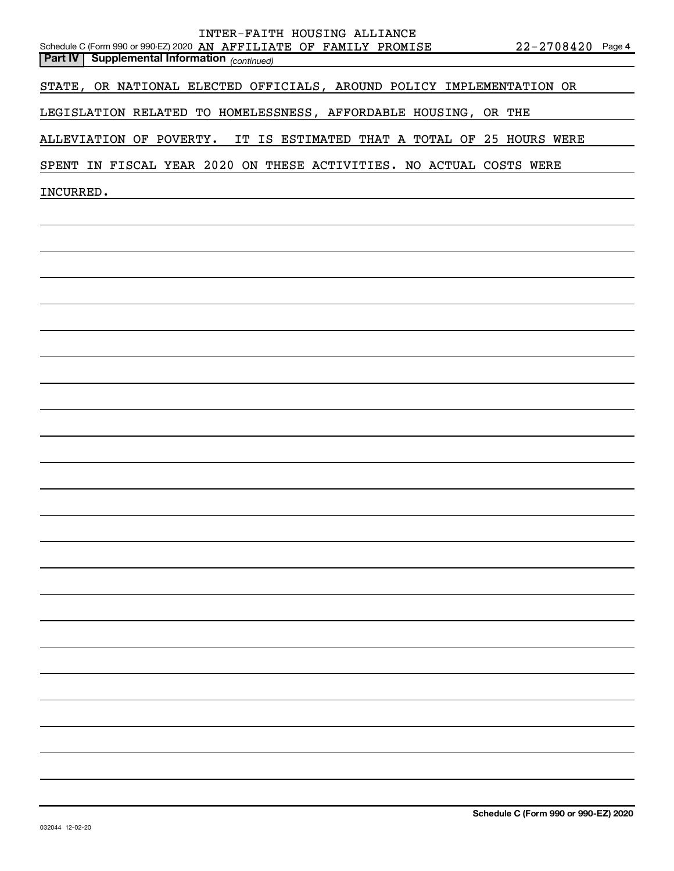| <b>Part IV   Supplemental Information</b> (continued)<br>STATE, OR NATIONAL ELECTED OFFICIALS, AROUND POLICY IMPLEMENTATION OR<br>LEGISLATION RELATED TO HOMELESSNESS, AFFORDABLE HOUSING, OR THE<br>IT IS ESTIMATED THAT A TOTAL OF 25 HOURS WERE<br>ALLEVIATION OF POVERTY.<br>SPENT IN FISCAL YEAR 2020 ON THESE ACTIVITIES. NO ACTUAL COSTS WERE |
|------------------------------------------------------------------------------------------------------------------------------------------------------------------------------------------------------------------------------------------------------------------------------------------------------------------------------------------------------|
|                                                                                                                                                                                                                                                                                                                                                      |
|                                                                                                                                                                                                                                                                                                                                                      |
|                                                                                                                                                                                                                                                                                                                                                      |
|                                                                                                                                                                                                                                                                                                                                                      |
|                                                                                                                                                                                                                                                                                                                                                      |
| INCURRED.                                                                                                                                                                                                                                                                                                                                            |
|                                                                                                                                                                                                                                                                                                                                                      |
|                                                                                                                                                                                                                                                                                                                                                      |
|                                                                                                                                                                                                                                                                                                                                                      |
|                                                                                                                                                                                                                                                                                                                                                      |
|                                                                                                                                                                                                                                                                                                                                                      |
|                                                                                                                                                                                                                                                                                                                                                      |
|                                                                                                                                                                                                                                                                                                                                                      |
|                                                                                                                                                                                                                                                                                                                                                      |
|                                                                                                                                                                                                                                                                                                                                                      |
|                                                                                                                                                                                                                                                                                                                                                      |
|                                                                                                                                                                                                                                                                                                                                                      |
|                                                                                                                                                                                                                                                                                                                                                      |
|                                                                                                                                                                                                                                                                                                                                                      |
|                                                                                                                                                                                                                                                                                                                                                      |
|                                                                                                                                                                                                                                                                                                                                                      |
|                                                                                                                                                                                                                                                                                                                                                      |
|                                                                                                                                                                                                                                                                                                                                                      |
|                                                                                                                                                                                                                                                                                                                                                      |
|                                                                                                                                                                                                                                                                                                                                                      |
|                                                                                                                                                                                                                                                                                                                                                      |
|                                                                                                                                                                                                                                                                                                                                                      |
|                                                                                                                                                                                                                                                                                                                                                      |
|                                                                                                                                                                                                                                                                                                                                                      |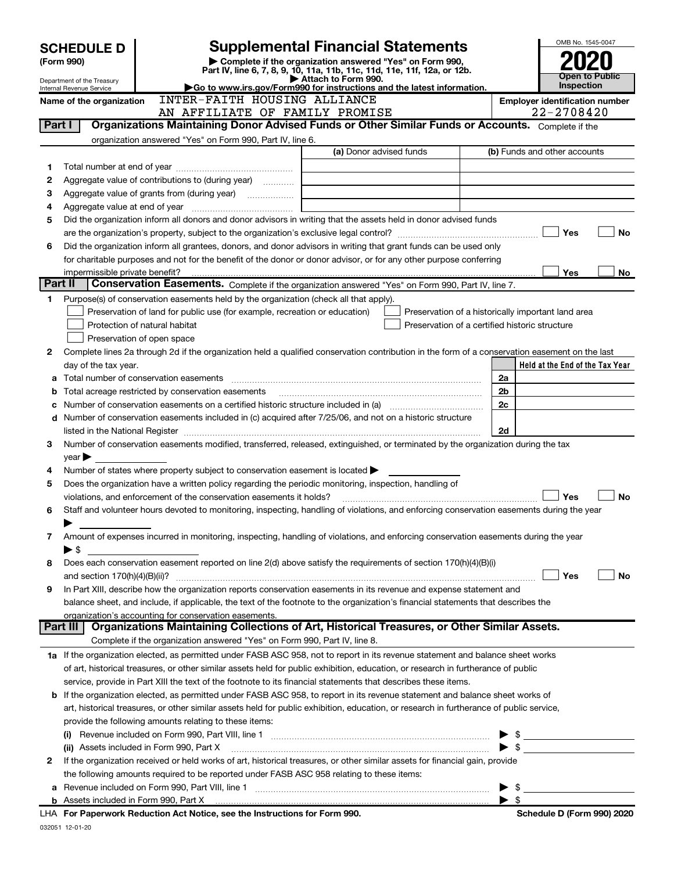|         | <b>SCHEDULE D</b>                                    |                                                                                                                                                                     | <b>Supplemental Financial Statements</b>                                                                                                                                                                                      |            | OMB No. 1545-0047                                       |  |  |
|---------|------------------------------------------------------|---------------------------------------------------------------------------------------------------------------------------------------------------------------------|-------------------------------------------------------------------------------------------------------------------------------------------------------------------------------------------------------------------------------|------------|---------------------------------------------------------|--|--|
|         | (Form 990)                                           |                                                                                                                                                                     |                                                                                                                                                                                                                               |            |                                                         |  |  |
|         | Department of the Treasury                           |                                                                                                                                                                     | Part IV, line 6, 7, 8, 9, 10, 11a, 11b, 11c, 11d, 11e, 11f, 12a, or 12b.<br>Attach to Form 990.                                                                                                                               |            | <b>Public</b><br>Open to<br><b>Inspection</b>           |  |  |
|         | Internal Revenue Service<br>Name of the organization | INTER-FAITH HOUSING ALLIANCE                                                                                                                                        | $\blacktriangleright$ Go to www.irs.gov/Form990 for instructions and the latest information.                                                                                                                                  |            | <b>Employer identification number</b>                   |  |  |
|         |                                                      | AN AFFILIATE OF FAMILY PROMISE                                                                                                                                      |                                                                                                                                                                                                                               | 22-2708420 |                                                         |  |  |
| Part I  |                                                      |                                                                                                                                                                     | Organizations Maintaining Donor Advised Funds or Other Similar Funds or Accounts. Complete if the                                                                                                                             |            |                                                         |  |  |
|         |                                                      | organization answered "Yes" on Form 990, Part IV, line 6.                                                                                                           |                                                                                                                                                                                                                               |            |                                                         |  |  |
|         |                                                      |                                                                                                                                                                     | (a) Donor advised funds                                                                                                                                                                                                       |            | (b) Funds and other accounts                            |  |  |
| 1       |                                                      |                                                                                                                                                                     |                                                                                                                                                                                                                               |            |                                                         |  |  |
| 2       |                                                      | Aggregate value of contributions to (during year)                                                                                                                   |                                                                                                                                                                                                                               |            |                                                         |  |  |
| З       |                                                      |                                                                                                                                                                     |                                                                                                                                                                                                                               |            |                                                         |  |  |
| 4       |                                                      |                                                                                                                                                                     |                                                                                                                                                                                                                               |            |                                                         |  |  |
| 5       |                                                      |                                                                                                                                                                     | Did the organization inform all donors and donor advisors in writing that the assets held in donor advised funds                                                                                                              |            |                                                         |  |  |
|         |                                                      |                                                                                                                                                                     |                                                                                                                                                                                                                               |            | Yes<br>No                                               |  |  |
| 6       |                                                      |                                                                                                                                                                     | Did the organization inform all grantees, donors, and donor advisors in writing that grant funds can be used only                                                                                                             |            |                                                         |  |  |
|         |                                                      |                                                                                                                                                                     | for charitable purposes and not for the benefit of the donor or donor advisor, or for any other purpose conferring                                                                                                            |            |                                                         |  |  |
| Part II | impermissible private benefit?                       |                                                                                                                                                                     | Conservation Easements. Complete if the organization answered "Yes" on Form 990, Part IV, line 7.                                                                                                                             |            | Yes<br>No.                                              |  |  |
| 1       |                                                      |                                                                                                                                                                     |                                                                                                                                                                                                                               |            |                                                         |  |  |
|         |                                                      | Purpose(s) of conservation easements held by the organization (check all that apply).<br>Preservation of land for public use (for example, recreation or education) | Preservation of a historically important land area                                                                                                                                                                            |            |                                                         |  |  |
|         |                                                      | Protection of natural habitat                                                                                                                                       | Preservation of a certified historic structure                                                                                                                                                                                |            |                                                         |  |  |
|         |                                                      | Preservation of open space                                                                                                                                          |                                                                                                                                                                                                                               |            |                                                         |  |  |
| 2       |                                                      |                                                                                                                                                                     | Complete lines 2a through 2d if the organization held a qualified conservation contribution in the form of a conservation easement on the last                                                                                |            |                                                         |  |  |
|         | day of the tax year.                                 |                                                                                                                                                                     |                                                                                                                                                                                                                               |            | Held at the End of the Tax Year                         |  |  |
| a       |                                                      |                                                                                                                                                                     |                                                                                                                                                                                                                               | 2a         |                                                         |  |  |
| b       |                                                      | Total acreage restricted by conservation easements                                                                                                                  |                                                                                                                                                                                                                               | 2b         |                                                         |  |  |
| с       |                                                      |                                                                                                                                                                     | Number of conservation easements on a certified historic structure included in (a) manufacture of conservation                                                                                                                | 2c         |                                                         |  |  |
| d       |                                                      |                                                                                                                                                                     | Number of conservation easements included in (c) acquired after 7/25/06, and not on a historic structure                                                                                                                      |            |                                                         |  |  |
|         |                                                      |                                                                                                                                                                     | listed in the National Register [111] Marshall Register [11] Marshall Register [11] Marshall Register [11] Marshall Register [11] Marshall Register [11] Marshall Register [11] Marshall Register [11] Marshall Register [11] | 2d         |                                                         |  |  |
| 3       |                                                      |                                                                                                                                                                     | Number of conservation easements modified, transferred, released, extinguished, or terminated by the organization during the tax                                                                                              |            |                                                         |  |  |
|         | $\mathsf{year}$                                      |                                                                                                                                                                     |                                                                                                                                                                                                                               |            |                                                         |  |  |
| 4       |                                                      | Number of states where property subject to conservation easement is located $\blacktriangleright$                                                                   |                                                                                                                                                                                                                               |            |                                                         |  |  |
| 5       |                                                      | Does the organization have a written policy regarding the periodic monitoring, inspection, handling of                                                              |                                                                                                                                                                                                                               |            |                                                         |  |  |
|         |                                                      | violations, and enforcement of the conservation easements it holds?                                                                                                 |                                                                                                                                                                                                                               |            | Yes<br>No                                               |  |  |
| 6       |                                                      |                                                                                                                                                                     | Staff and volunteer hours devoted to monitoring, inspecting, handling of violations, and enforcing conservation easements during the year                                                                                     |            |                                                         |  |  |
|         |                                                      |                                                                                                                                                                     |                                                                                                                                                                                                                               |            |                                                         |  |  |
| 7       |                                                      |                                                                                                                                                                     | Amount of expenses incurred in monitoring, inspecting, handling of violations, and enforcing conservation easements during the year                                                                                           |            |                                                         |  |  |
|         | $\blacktriangleright$ \$                             |                                                                                                                                                                     |                                                                                                                                                                                                                               |            |                                                         |  |  |
| 8       |                                                      |                                                                                                                                                                     | Does each conservation easement reported on line 2(d) above satisfy the requirements of section 170(h)(4)(B)(i)                                                                                                               |            |                                                         |  |  |
|         |                                                      |                                                                                                                                                                     |                                                                                                                                                                                                                               |            | Yes<br>No                                               |  |  |
| 9       |                                                      |                                                                                                                                                                     | In Part XIII, describe how the organization reports conservation easements in its revenue and expense statement and                                                                                                           |            |                                                         |  |  |
|         |                                                      |                                                                                                                                                                     | balance sheet, and include, if applicable, the text of the footnote to the organization's financial statements that describes the                                                                                             |            |                                                         |  |  |
|         | ∣ Part III                                           | organization's accounting for conservation easements.                                                                                                               | Organizations Maintaining Collections of Art, Historical Treasures, or Other Similar Assets.                                                                                                                                  |            |                                                         |  |  |
|         |                                                      |                                                                                                                                                                     |                                                                                                                                                                                                                               |            |                                                         |  |  |
|         |                                                      | Complete if the organization answered "Yes" on Form 990, Part IV, line 8.                                                                                           |                                                                                                                                                                                                                               |            |                                                         |  |  |
|         |                                                      |                                                                                                                                                                     | 1a If the organization elected, as permitted under FASB ASC 958, not to report in its revenue statement and balance sheet works                                                                                               |            |                                                         |  |  |
|         |                                                      |                                                                                                                                                                     | of art, historical treasures, or other similar assets held for public exhibition, education, or research in furtherance of public                                                                                             |            |                                                         |  |  |
|         |                                                      |                                                                                                                                                                     | service, provide in Part XIII the text of the footnote to its financial statements that describes these items.                                                                                                                |            |                                                         |  |  |
| b       |                                                      |                                                                                                                                                                     | If the organization elected, as permitted under FASB ASC 958, to report in its revenue statement and balance sheet works of                                                                                                   |            |                                                         |  |  |
|         |                                                      |                                                                                                                                                                     | art, historical treasures, or other similar assets held for public exhibition, education, or research in furtherance of public service,                                                                                       |            |                                                         |  |  |
|         |                                                      | provide the following amounts relating to these items:                                                                                                              |                                                                                                                                                                                                                               |            |                                                         |  |  |
|         |                                                      |                                                                                                                                                                     |                                                                                                                                                                                                                               |            |                                                         |  |  |
|         |                                                      | (ii) Assets included in Form 990, Part X                                                                                                                            |                                                                                                                                                                                                                               |            | $\triangleright$ \$                                     |  |  |
| 2       |                                                      |                                                                                                                                                                     | If the organization received or held works of art, historical treasures, or other similar assets for financial gain, provide                                                                                                  |            |                                                         |  |  |
|         |                                                      | the following amounts required to be reported under FASB ASC 958 relating to these items:                                                                           |                                                                                                                                                                                                                               |            |                                                         |  |  |
|         |                                                      |                                                                                                                                                                     |                                                                                                                                                                                                                               |            | \$<br><u> 1989 - Johann Barbara, martxa alemaniar a</u> |  |  |
|         |                                                      | LHA For Paperwork Reduction Act Notice, see the Instructions for Form 990.                                                                                          |                                                                                                                                                                                                                               |            | Schedule D (Form 990) 2020                              |  |  |
|         |                                                      |                                                                                                                                                                     |                                                                                                                                                                                                                               |            |                                                         |  |  |

032051 12-01-20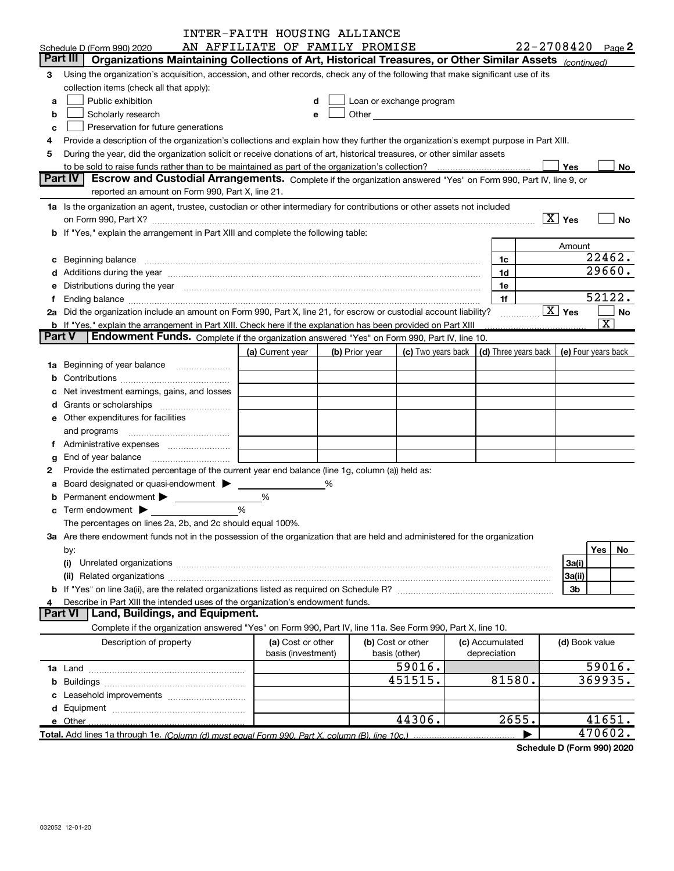|               |                                                                                                                                                                                                                                     | INTER-FAITH HOUSING ALLIANCE   |   |                |                                                                                                                                                                                                                               |                                            |                    |                         |
|---------------|-------------------------------------------------------------------------------------------------------------------------------------------------------------------------------------------------------------------------------------|--------------------------------|---|----------------|-------------------------------------------------------------------------------------------------------------------------------------------------------------------------------------------------------------------------------|--------------------------------------------|--------------------|-------------------------|
|               | Schedule D (Form 990) 2020                                                                                                                                                                                                          | AN AFFILIATE OF FAMILY PROMISE |   |                |                                                                                                                                                                                                                               |                                            |                    | $22 - 2708420$ Page 2   |
|               | Part III<br>Organizations Maintaining Collections of Art, Historical Treasures, or Other Similar Assets (continued)                                                                                                                 |                                |   |                |                                                                                                                                                                                                                               |                                            |                    |                         |
| 3             | Using the organization's acquisition, accession, and other records, check any of the following that make significant use of its                                                                                                     |                                |   |                |                                                                                                                                                                                                                               |                                            |                    |                         |
|               | collection items (check all that apply):                                                                                                                                                                                            |                                |   |                |                                                                                                                                                                                                                               |                                            |                    |                         |
| а             | Public exhibition                                                                                                                                                                                                                   |                                | d |                | Loan or exchange program                                                                                                                                                                                                      |                                            |                    |                         |
| b             | Scholarly research                                                                                                                                                                                                                  |                                | е |                | Other and the contract of the contract of the contract of the contract of the contract of the contract of the contract of the contract of the contract of the contract of the contract of the contract of the contract of the |                                            |                    |                         |
| с             | Preservation for future generations                                                                                                                                                                                                 |                                |   |                |                                                                                                                                                                                                                               |                                            |                    |                         |
| 4             | Provide a description of the organization's collections and explain how they further the organization's exempt purpose in Part XIII.                                                                                                |                                |   |                |                                                                                                                                                                                                                               |                                            |                    |                         |
| 5             | During the year, did the organization solicit or receive donations of art, historical treasures, or other similar assets                                                                                                            |                                |   |                |                                                                                                                                                                                                                               |                                            |                    |                         |
|               | to be sold to raise funds rather than to be maintained as part of the organization's collection?                                                                                                                                    |                                |   |                |                                                                                                                                                                                                                               |                                            | Yes                | No                      |
|               | Part IV<br>Escrow and Custodial Arrangements. Complete if the organization answered "Yes" on Form 990, Part IV, line 9, or                                                                                                          |                                |   |                |                                                                                                                                                                                                                               |                                            |                    |                         |
|               | reported an amount on Form 990, Part X, line 21.                                                                                                                                                                                    |                                |   |                |                                                                                                                                                                                                                               |                                            |                    |                         |
|               | 1a Is the organization an agent, trustee, custodian or other intermediary for contributions or other assets not included                                                                                                            |                                |   |                |                                                                                                                                                                                                                               |                                            |                    |                         |
|               | on Form 990, Part X? [11] matter contracts and contracts and contracts are contracted as a function of the set of the set of the set of the set of the set of the set of the set of the set of the set of the set of the set o      |                                |   |                |                                                                                                                                                                                                                               |                                            | $\overline{X}$ Yes | <b>No</b>               |
|               | b If "Yes," explain the arrangement in Part XIII and complete the following table:                                                                                                                                                  |                                |   |                |                                                                                                                                                                                                                               |                                            |                    |                         |
|               |                                                                                                                                                                                                                                     |                                |   |                |                                                                                                                                                                                                                               |                                            | Amount             |                         |
|               | c Beginning balance measurements and the contract of the contract of the contract of the contract of the contract of the contract of the contract of the contract of the contract of the contract of the contract of the contr      |                                |   |                |                                                                                                                                                                                                                               | 1c                                         |                    | 22462.                  |
|               |                                                                                                                                                                                                                                     |                                |   |                |                                                                                                                                                                                                                               | 1d                                         |                    | 29660.                  |
| е             | Distributions during the year manufactured and continuum control of the year manufactured and the year manufactured and the year manufactured and the year manufactured and the year manufactured and the year manufactured an      |                                |   |                |                                                                                                                                                                                                                               | 1e                                         |                    |                         |
| f             |                                                                                                                                                                                                                                     |                                |   |                |                                                                                                                                                                                                                               | 1f                                         |                    | 52122.                  |
|               | 2a Did the organization include an amount on Form 990, Part X, line 21, for escrow or custodial account liability?                                                                                                                  |                                |   |                |                                                                                                                                                                                                                               |                                            | $\overline{X}$ Yes | <b>No</b>               |
|               | <b>b</b> If "Yes," explain the arrangement in Part XIII. Check here if the explanation has been provided on Part XIII                                                                                                               |                                |   |                |                                                                                                                                                                                                                               |                                            |                    | $\overline{\mathbf{X}}$ |
| <b>Part V</b> | Endowment Funds. Complete if the organization answered "Yes" on Form 990, Part IV, line 10.                                                                                                                                         |                                |   |                |                                                                                                                                                                                                                               |                                            |                    |                         |
|               |                                                                                                                                                                                                                                     | (a) Current year               |   | (b) Prior year | (c) Two years back                                                                                                                                                                                                            | (d) Three years back   (e) Four years back |                    |                         |
|               | 1a Beginning of year balance                                                                                                                                                                                                        |                                |   |                |                                                                                                                                                                                                                               |                                            |                    |                         |
| b             |                                                                                                                                                                                                                                     |                                |   |                |                                                                                                                                                                                                                               |                                            |                    |                         |
| с             | Net investment earnings, gains, and losses                                                                                                                                                                                          |                                |   |                |                                                                                                                                                                                                                               |                                            |                    |                         |
| d             |                                                                                                                                                                                                                                     |                                |   |                |                                                                                                                                                                                                                               |                                            |                    |                         |
|               | e Other expenditures for facilities                                                                                                                                                                                                 |                                |   |                |                                                                                                                                                                                                                               |                                            |                    |                         |
|               | and programs                                                                                                                                                                                                                        |                                |   |                |                                                                                                                                                                                                                               |                                            |                    |                         |
| f             | Administrative expenses <i>manually communication</i>                                                                                                                                                                               |                                |   |                |                                                                                                                                                                                                                               |                                            |                    |                         |
|               | End of year balance <i>manually contained</i>                                                                                                                                                                                       |                                |   |                |                                                                                                                                                                                                                               |                                            |                    |                         |
| g<br>2        | Provide the estimated percentage of the current year end balance (line 1g, column (a)) held as:                                                                                                                                     |                                |   |                |                                                                                                                                                                                                                               |                                            |                    |                         |
|               | Board designated or quasi-endowment                                                                                                                                                                                                 |                                | % |                |                                                                                                                                                                                                                               |                                            |                    |                         |
| a             | Permanent endowment >                                                                                                                                                                                                               | %                              |   |                |                                                                                                                                                                                                                               |                                            |                    |                         |
|               | $\mathbf c$ Term endowment $\blacktriangleright$                                                                                                                                                                                    | %                              |   |                |                                                                                                                                                                                                                               |                                            |                    |                         |
|               |                                                                                                                                                                                                                                     |                                |   |                |                                                                                                                                                                                                                               |                                            |                    |                         |
|               | The percentages on lines 2a, 2b, and 2c should equal 100%.                                                                                                                                                                          |                                |   |                |                                                                                                                                                                                                                               |                                            |                    |                         |
|               | 3a Are there endowment funds not in the possession of the organization that are held and administered for the organization                                                                                                          |                                |   |                |                                                                                                                                                                                                                               |                                            |                    |                         |
|               | by:                                                                                                                                                                                                                                 |                                |   |                |                                                                                                                                                                                                                               |                                            |                    | Yes<br>No               |
|               | (i)                                                                                                                                                                                                                                 |                                |   |                |                                                                                                                                                                                                                               |                                            | 3a(i)              |                         |
|               | (ii) Related organizations <b>communications</b> and continuum and continuum and continuum and continuum and continuum and continuum and continuum and continuum and continuum and continuum and continuum and continuum and contin |                                |   |                |                                                                                                                                                                                                                               |                                            | 3a(ii)             |                         |
|               |                                                                                                                                                                                                                                     |                                |   |                |                                                                                                                                                                                                                               |                                            | 3b                 |                         |
| 4             | Describe in Part XIII the intended uses of the organization's endowment funds.<br><b>Part VI</b><br>Land, Buildings, and Equipment.                                                                                                 |                                |   |                |                                                                                                                                                                                                                               |                                            |                    |                         |
|               |                                                                                                                                                                                                                                     |                                |   |                |                                                                                                                                                                                                                               |                                            |                    |                         |
|               | Complete if the organization answered "Yes" on Form 990, Part IV, line 11a. See Form 990, Part X, line 10.                                                                                                                          |                                |   |                |                                                                                                                                                                                                                               |                                            |                    |                         |
|               | Description of property                                                                                                                                                                                                             | (a) Cost or other              |   |                | (b) Cost or other                                                                                                                                                                                                             | (c) Accumulated                            | (d) Book value     |                         |
|               |                                                                                                                                                                                                                                     | basis (investment)             |   |                | basis (other)                                                                                                                                                                                                                 | depreciation                               |                    |                         |
|               |                                                                                                                                                                                                                                     |                                |   |                | 59016.                                                                                                                                                                                                                        |                                            |                    | 59016.                  |
| b             |                                                                                                                                                                                                                                     |                                |   |                | 451515.                                                                                                                                                                                                                       | 81580.                                     |                    | 369935.                 |
| с             |                                                                                                                                                                                                                                     |                                |   |                |                                                                                                                                                                                                                               |                                            |                    |                         |
| d             |                                                                                                                                                                                                                                     |                                |   |                |                                                                                                                                                                                                                               |                                            |                    |                         |
|               | e Other                                                                                                                                                                                                                             |                                |   |                | 44306.                                                                                                                                                                                                                        | 2655.                                      |                    | 41651.                  |
|               | Total. Add lines 1a through 1e. (Column (d) must equal Form 990. Part X, column (B), line 10c.)                                                                                                                                     |                                |   |                |                                                                                                                                                                                                                               |                                            |                    | 470602.                 |

Schedule D (Form 990) 2020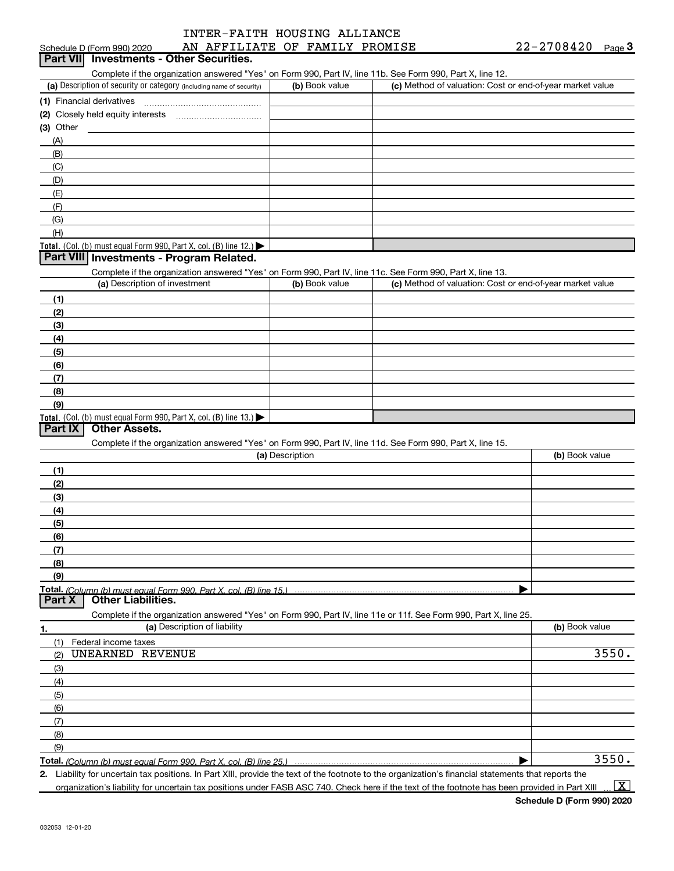|                            | INTER-FAITH HOUSING ALLIANCE   |            |      |
|----------------------------|--------------------------------|------------|------|
| Schedule D (Form 990) 2020 | AN AFFILIATE OF FAMILY PROMISE | 22-2708420 | Page |

| <b>Part VII</b> Investments - Other Securities.                                                                   |                 |                                                           |                |
|-------------------------------------------------------------------------------------------------------------------|-----------------|-----------------------------------------------------------|----------------|
| Complete if the organization answered "Yes" on Form 990, Part IV, line 11b. See Form 990, Part X, line 12.        |                 |                                                           |                |
| (a) Description of security or category (including name of security)                                              | (b) Book value  | (c) Method of valuation: Cost or end-of-year market value |                |
|                                                                                                                   |                 |                                                           |                |
|                                                                                                                   |                 |                                                           |                |
| $(3)$ Other                                                                                                       |                 |                                                           |                |
| (A)                                                                                                               |                 |                                                           |                |
| (B)                                                                                                               |                 |                                                           |                |
| (C)                                                                                                               |                 |                                                           |                |
| (D)                                                                                                               |                 |                                                           |                |
| (E)                                                                                                               |                 |                                                           |                |
| (F)                                                                                                               |                 |                                                           |                |
| (G)                                                                                                               |                 |                                                           |                |
| (H)                                                                                                               |                 |                                                           |                |
| Total. (Col. (b) must equal Form 990, Part X, col. (B) line $12$ .)                                               |                 |                                                           |                |
| Part VIII Investments - Program Related.                                                                          |                 |                                                           |                |
| Complete if the organization answered "Yes" on Form 990, Part IV, line 11c. See Form 990, Part X, line 13.        | (b) Book value  | (c) Method of valuation: Cost or end-of-year market value |                |
| (a) Description of investment                                                                                     |                 |                                                           |                |
| (1)                                                                                                               |                 |                                                           |                |
| (2)                                                                                                               |                 |                                                           |                |
| (3)                                                                                                               |                 |                                                           |                |
| (4)                                                                                                               |                 |                                                           |                |
| (5)                                                                                                               |                 |                                                           |                |
| (6)                                                                                                               |                 |                                                           |                |
| (7)                                                                                                               |                 |                                                           |                |
| (8)                                                                                                               |                 |                                                           |                |
| (9)                                                                                                               |                 |                                                           |                |
| Total. (Col. (b) must equal Form 990, Part X, col. (B) line $13.1$<br><b>Other Assets.</b><br>Part IX             |                 |                                                           |                |
| Complete if the organization answered "Yes" on Form 990, Part IV, line 11d. See Form 990, Part X, line 15.        |                 |                                                           |                |
|                                                                                                                   | (a) Description |                                                           | (b) Book value |
| (1)                                                                                                               |                 |                                                           |                |
| (2)                                                                                                               |                 |                                                           |                |
| (3)                                                                                                               |                 |                                                           |                |
| (4)                                                                                                               |                 |                                                           |                |
| (5)                                                                                                               |                 |                                                           |                |
| (6)                                                                                                               |                 |                                                           |                |
| (7)                                                                                                               |                 |                                                           |                |
| (8)                                                                                                               |                 |                                                           |                |
| (9)                                                                                                               |                 |                                                           |                |
| Total. (Column (b) must equal Form 990. Part X, col. (B) line 15.)                                                |                 |                                                           |                |
| <b>Other Liabilities.</b><br>Part X                                                                               |                 |                                                           |                |
| Complete if the organization answered "Yes" on Form 990, Part IV, line 11e or 11f. See Form 990, Part X, line 25. |                 |                                                           |                |
| (a) Description of liability<br><u>1.</u>                                                                         |                 |                                                           | (b) Book value |
| Federal income taxes<br>(1)                                                                                       |                 |                                                           |                |
| UNEARNED REVENUE<br>(2)                                                                                           |                 |                                                           | 3550.          |
| (3)                                                                                                               |                 |                                                           |                |
| (4)                                                                                                               |                 |                                                           |                |
| (5)                                                                                                               |                 |                                                           |                |
| (6)                                                                                                               |                 |                                                           |                |
| (7)                                                                                                               |                 |                                                           |                |
| (8)                                                                                                               |                 |                                                           |                |
| (9)                                                                                                               |                 |                                                           |                |
| Total. (Column (b) must equal Form 990, Part X, col. (B) line 25.)                                                |                 |                                                           | 3550.          |

2. Liability for uncertain tax positions. In Part XIII, provide the text of the footnote to the organization's financial statements that reports the organization's liability for uncertain tax positions under FASB ASC 740. Check here if the text of the footnote has been provided in Part XIII

Schedule D (Form 990) 2020

 $\boxed{\text{X}}$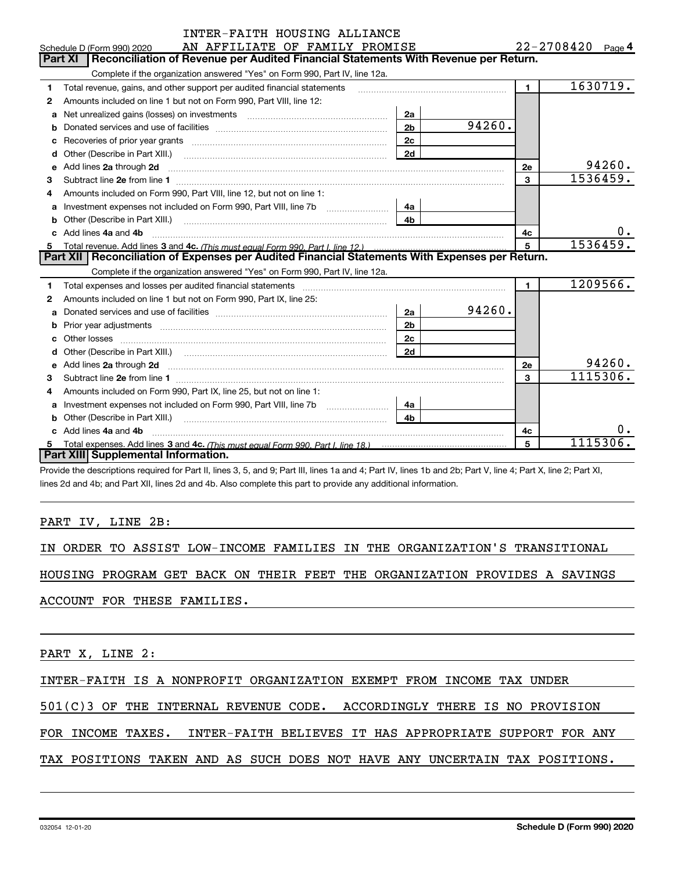|              | INTER-FAITH HOUSING ALLIANCE                                                                                                                                                                                                         |                |        |                |                       |
|--------------|--------------------------------------------------------------------------------------------------------------------------------------------------------------------------------------------------------------------------------------|----------------|--------|----------------|-----------------------|
|              | AN AFFILIATE OF FAMILY PROMISE<br>Schedule D (Form 990) 2020                                                                                                                                                                         |                |        |                | $22 - 2708420$ Page 4 |
|              | Reconciliation of Revenue per Audited Financial Statements With Revenue per Return.<br><b>Part XI</b>                                                                                                                                |                |        |                |                       |
|              | Complete if the organization answered "Yes" on Form 990, Part IV, line 12a.                                                                                                                                                          |                |        |                |                       |
| 1            | Total revenue, gains, and other support per audited financial statements                                                                                                                                                             |                |        | $\mathbf{1}$   | 1630719.              |
| 2            | Amounts included on line 1 but not on Form 990, Part VIII, line 12:                                                                                                                                                                  |                |        |                |                       |
| a            | Net unrealized gains (losses) on investments [11] matter contracts and the unrealized gains (losses) on investments                                                                                                                  | 2a             |        |                |                       |
| b            |                                                                                                                                                                                                                                      | 2 <sub>b</sub> | 94260. |                |                       |
| c            |                                                                                                                                                                                                                                      | 2c             |        |                |                       |
| d            | Other (Describe in Part XIII.)                                                                                                                                                                                                       | 2d             |        |                |                       |
| е            | Add lines 2a through 2d                                                                                                                                                                                                              |                |        | 2е             | 94260.                |
| 3            |                                                                                                                                                                                                                                      |                |        | $\mathbf{3}$   | 1536459.              |
| 4            | Amounts included on Form 990, Part VIII, line 12, but not on line 1:                                                                                                                                                                 |                |        |                |                       |
| a            |                                                                                                                                                                                                                                      | 4a             |        |                |                       |
| b            | Other (Describe in Part XIII.) <b>Construction Contract Construction</b> Chemistry Chemistry Chemistry Chemistry Chemistry                                                                                                           | 4b             |        |                |                       |
|              | Add lines 4a and 4b                                                                                                                                                                                                                  |                |        | 4c             | 0.                    |
| 5            |                                                                                                                                                                                                                                      |                |        | 5              | 1536459.              |
|              | Part XII   Reconciliation of Expenses per Audited Financial Statements With Expenses per Return.                                                                                                                                     |                |        |                |                       |
|              | Complete if the organization answered "Yes" on Form 990, Part IV, line 12a.                                                                                                                                                          |                |        |                |                       |
| 1            |                                                                                                                                                                                                                                      |                |        | $\blacksquare$ | 1209566.              |
| 2            | Amounts included on line 1 but not on Form 990, Part IX, line 25:                                                                                                                                                                    |                |        |                |                       |
| $\mathbf{a}$ |                                                                                                                                                                                                                                      | 2a             | 94260. |                |                       |
| b            |                                                                                                                                                                                                                                      | 2 <sub>b</sub> |        |                |                       |
|              |                                                                                                                                                                                                                                      | 2c             |        |                |                       |
| d            |                                                                                                                                                                                                                                      | 2d             |        |                |                       |
| e            | Add lines 2a through 2d <b>continuum contract and all contract and all contract and all contract and all contract and all contract and all contract and all contract and all contract and all contract and all contract and all </b> |                |        | 2e             | 94260.                |
| З            |                                                                                                                                                                                                                                      |                |        | 3              | 1115306.              |
| 4            | Amounts included on Form 990, Part IX, line 25, but not on line 1:                                                                                                                                                                   |                |        |                |                       |
| a            |                                                                                                                                                                                                                                      | 4a             |        |                |                       |
| b            |                                                                                                                                                                                                                                      | 4 <sub>h</sub> |        |                |                       |
|              | Add lines 4a and 4b                                                                                                                                                                                                                  |                |        | 4c             | 0.                    |
|              |                                                                                                                                                                                                                                      |                |        | 5              | 1115306.              |
|              | Part XIII Supplemental Information.                                                                                                                                                                                                  |                |        |                |                       |

Provide the descriptions required for Part II, lines 3, 5, and 9; Part III, lines 1a and 4; Part IV, lines 1b and 2b; Part V, line 4; Part X, line 2; Part XI, lines 2d and 4b; and Part XII, lines 2d and 4b. Also complete this part to provide any additional information.

### PART IV, LINE 2B:

IN ORDER TO ASSIST LOW-INCOME FAMILIES IN THE ORGANIZATION'S TRANSITIONAL

HOUSING PROGRAM GET BACK ON THEIR FEET THE ORGANIZATION PROVIDES A SAVINGS

ACCOUNT FOR THESE FAMILIES.

PART X, LINE 2:

INTER-FAITH IS A NONPROFIT ORGANIZATION EXEMPT FROM INCOME TAX UNDER

501(C)3 OF THE INTERNAL REVENUE CODE. ACCORDINGLY THERE IS NO PROVISION

FOR INCOME TAXES. INTER-FAITH BELIEVES IT HAS APPROPRIATE SUPPORT FOR ANY

## TAX POSITIONS TAKEN AND AS SUCH DOES NOT HAVE ANY UNCERTAIN TAX POSITIONS.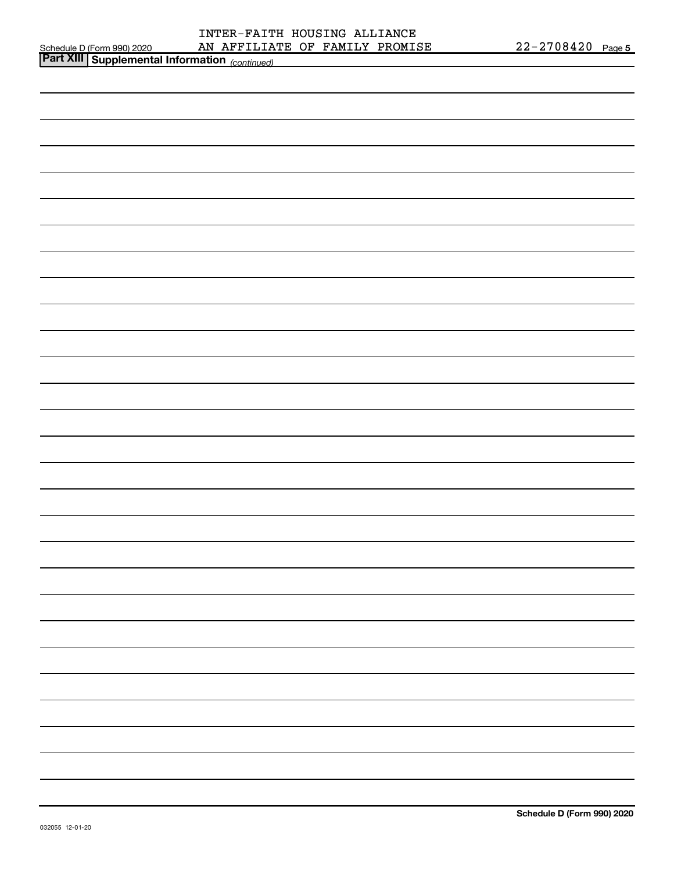| Schedule D (Form 990) 2020 |  |
|----------------------------|--|

| <b>Part XIII Supplemental Information</b> (continued) |  |
|-------------------------------------------------------|--|
|                                                       |  |
|                                                       |  |
|                                                       |  |
|                                                       |  |
|                                                       |  |
|                                                       |  |
|                                                       |  |
|                                                       |  |
|                                                       |  |
|                                                       |  |
|                                                       |  |
|                                                       |  |
|                                                       |  |
|                                                       |  |
|                                                       |  |
|                                                       |  |
|                                                       |  |
|                                                       |  |
|                                                       |  |
|                                                       |  |
|                                                       |  |
|                                                       |  |
|                                                       |  |
|                                                       |  |
|                                                       |  |
|                                                       |  |
|                                                       |  |
|                                                       |  |
|                                                       |  |
|                                                       |  |
|                                                       |  |
|                                                       |  |
|                                                       |  |
|                                                       |  |
|                                                       |  |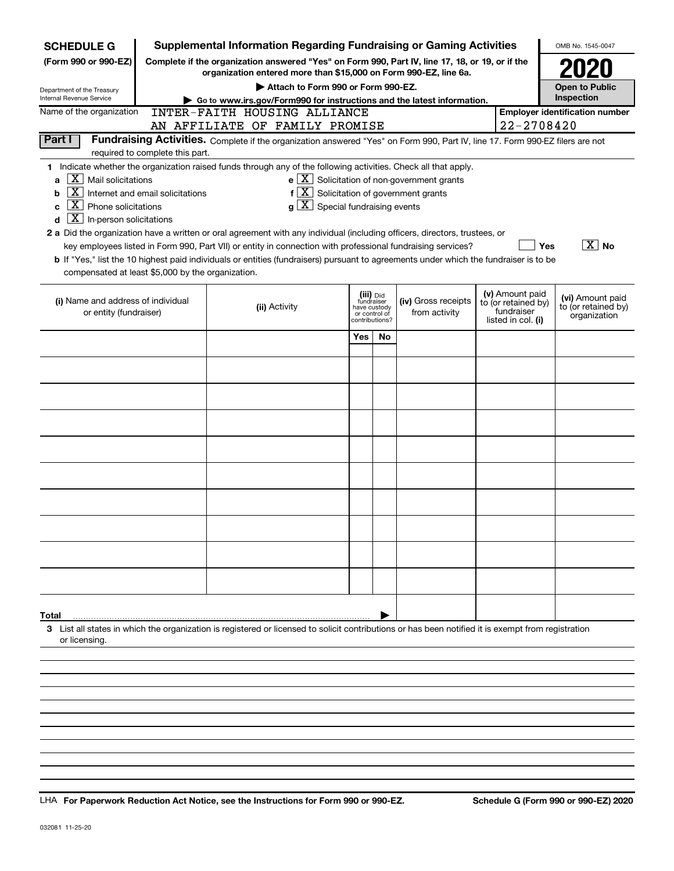| <b>SCHEDULE G</b>                                 |                                  | Supplemental Information Regarding Fundraising or Gaming Activities                                                                                                 |     |                               |                                                              |                                   | OMB No. 1545-0047                     |
|---------------------------------------------------|----------------------------------|---------------------------------------------------------------------------------------------------------------------------------------------------------------------|-----|-------------------------------|--------------------------------------------------------------|-----------------------------------|---------------------------------------|
| (Form 990 or 990-EZ)                              |                                  | Complete if the organization answered "Yes" on Form 990, Part IV, line 17, 18, or 19, or if the<br>organization entered more than \$15,000 on Form 990-EZ, line 6a. |     |                               |                                                              |                                   |                                       |
| Department of the Treasury                        |                                  | Attach to Form 990 or Form 990-EZ.                                                                                                                                  |     |                               |                                                              |                                   | <b>Open to Public</b>                 |
| Internal Revenue Service                          |                                  | Go to www.irs.gov/Form990 for instructions and the latest information.                                                                                              |     |                               |                                                              |                                   | Inspection                            |
| Name of the organization                          |                                  | INTER-FAITH HOUSING ALLIANCE                                                                                                                                        |     |                               |                                                              | 22-2708420                        | <b>Employer identification number</b> |
| Part I                                            |                                  | AN AFFILIATE OF FAMILY PROMISE<br>Fundraising Activities. Complete if the organization answered "Yes" on Form 990, Part IV, line 17. Form 990-EZ filers are not     |     |                               |                                                              |                                   |                                       |
|                                                   | required to complete this part.  |                                                                                                                                                                     |     |                               |                                                              |                                   |                                       |
|                                                   |                                  | 1 Indicate whether the organization raised funds through any of the following activities. Check all that apply.                                                     |     |                               |                                                              |                                   |                                       |
| $X$   Mail solicitations<br>a                     |                                  |                                                                                                                                                                     |     |                               | $e$ $\boxed{\text{X}}$ Solicitation of non-government grants |                                   |                                       |
| X  <br>b                                          | Internet and email solicitations | $f[X]$ Solicitation of government grants                                                                                                                            |     |                               |                                                              |                                   |                                       |
| X<br>Phone solicitations<br>C                     |                                  | $g\mid X$ Special fundraising events                                                                                                                                |     |                               |                                                              |                                   |                                       |
| $X$ In-person solicitations<br>d                  |                                  |                                                                                                                                                                     |     |                               |                                                              |                                   |                                       |
|                                                   |                                  | 2 a Did the organization have a written or oral agreement with any individual (including officers, directors, trustees, or                                          |     |                               |                                                              |                                   |                                       |
|                                                   |                                  | key employees listed in Form 990, Part VII) or entity in connection with professional fundraising services?                                                         |     |                               |                                                              |                                   | $ \overline{X} $ No<br>Yes            |
|                                                   |                                  | b If "Yes," list the 10 highest paid individuals or entities (fundraisers) pursuant to agreements under which the fundraiser is to be                               |     |                               |                                                              |                                   |                                       |
| compensated at least \$5,000 by the organization. |                                  |                                                                                                                                                                     |     |                               |                                                              |                                   |                                       |
| (i) Name and address of individual                |                                  |                                                                                                                                                                     |     | (iii) Did<br>fundraiser       | (iv) Gross receipts                                          | (v) Amount paid                   | (vi) Amount paid                      |
| or entity (fundraiser)                            |                                  | (ii) Activity                                                                                                                                                       |     | have custody<br>or control of | from activity                                                | to (or retained by)<br>fundraiser | to (or retained by)<br>organization   |
|                                                   |                                  |                                                                                                                                                                     |     | contributions?                |                                                              | listed in col. (i)                |                                       |
|                                                   |                                  |                                                                                                                                                                     | Yes | No.                           |                                                              |                                   |                                       |
|                                                   |                                  |                                                                                                                                                                     |     |                               |                                                              |                                   |                                       |
|                                                   |                                  |                                                                                                                                                                     |     |                               |                                                              |                                   |                                       |
|                                                   |                                  |                                                                                                                                                                     |     |                               |                                                              |                                   |                                       |
|                                                   |                                  |                                                                                                                                                                     |     |                               |                                                              |                                   |                                       |
|                                                   |                                  |                                                                                                                                                                     |     |                               |                                                              |                                   |                                       |
|                                                   |                                  |                                                                                                                                                                     |     |                               |                                                              |                                   |                                       |
|                                                   |                                  |                                                                                                                                                                     |     |                               |                                                              |                                   |                                       |
|                                                   |                                  |                                                                                                                                                                     |     |                               |                                                              |                                   |                                       |
|                                                   |                                  |                                                                                                                                                                     |     |                               |                                                              |                                   |                                       |
|                                                   |                                  |                                                                                                                                                                     |     |                               |                                                              |                                   |                                       |
|                                                   |                                  |                                                                                                                                                                     |     |                               |                                                              |                                   |                                       |
|                                                   |                                  |                                                                                                                                                                     |     |                               |                                                              |                                   |                                       |
|                                                   |                                  |                                                                                                                                                                     |     |                               |                                                              |                                   |                                       |
|                                                   |                                  |                                                                                                                                                                     |     |                               |                                                              |                                   |                                       |
|                                                   |                                  |                                                                                                                                                                     |     |                               |                                                              |                                   |                                       |
|                                                   |                                  |                                                                                                                                                                     |     |                               |                                                              |                                   |                                       |
|                                                   |                                  |                                                                                                                                                                     |     |                               |                                                              |                                   |                                       |
|                                                   |                                  |                                                                                                                                                                     |     |                               |                                                              |                                   |                                       |
| Total                                             |                                  |                                                                                                                                                                     |     |                               |                                                              |                                   |                                       |
| or licensing.                                     |                                  | 3 List all states in which the organization is registered or licensed to solicit contributions or has been notified it is exempt from registration                  |     |                               |                                                              |                                   |                                       |
|                                                   |                                  |                                                                                                                                                                     |     |                               |                                                              |                                   |                                       |
|                                                   |                                  |                                                                                                                                                                     |     |                               |                                                              |                                   |                                       |
|                                                   |                                  |                                                                                                                                                                     |     |                               |                                                              |                                   |                                       |
|                                                   |                                  |                                                                                                                                                                     |     |                               |                                                              |                                   |                                       |
|                                                   |                                  |                                                                                                                                                                     |     |                               |                                                              |                                   |                                       |

LHA For Paperwork Reduction Act Notice, see the Instructions for Form 990 or 990-EZ. Schedule G (Form 990 or 990-EZ) 2020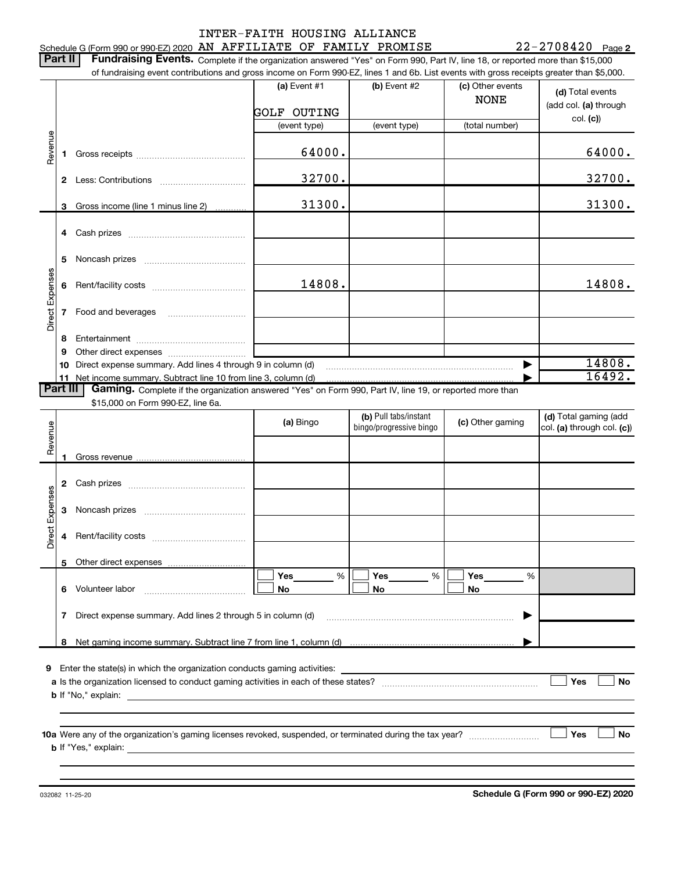# Schedule G (Form 990 or 990-EZ) 2020 AN AFFILIATE OF FAMILY PROMISE  $22-2708420$  Page INTER-FAITH HOUSING ALLIANCE

22-2708420 Page 2

Part II | Fundraising Events. Complete if the organization answered "Yes" on Form 990, Part IV, line 18, or reported more than \$15,000

|                 |    | of fundraising event contributions and gross income on Form 990-EZ, lines 1 and 6b. List events with gross receipts greater than \$5,000. |                    |                                                  |                  |                                                     |
|-----------------|----|-------------------------------------------------------------------------------------------------------------------------------------------|--------------------|--------------------------------------------------|------------------|-----------------------------------------------------|
|                 |    |                                                                                                                                           | (a) Event #1       | (b) Event #2                                     | (c) Other events | (d) Total events                                    |
|                 |    |                                                                                                                                           |                    |                                                  | <b>NONE</b>      | (add col. (a) through                               |
|                 |    |                                                                                                                                           | <b>GOLF OUTING</b> |                                                  |                  | col. (c)                                            |
|                 |    |                                                                                                                                           | (event type)       | (event type)                                     | (total number)   |                                                     |
| Revenue         |    |                                                                                                                                           |                    |                                                  |                  |                                                     |
|                 | 1. |                                                                                                                                           | 64000.             |                                                  |                  | 64000.                                              |
|                 |    |                                                                                                                                           |                    |                                                  |                  |                                                     |
|                 |    |                                                                                                                                           | 32700.             |                                                  |                  | 32700.                                              |
|                 |    |                                                                                                                                           |                    |                                                  |                  |                                                     |
|                 | 3. | Gross income (line 1 minus line 2)                                                                                                        | 31300.             |                                                  |                  | 31300.                                              |
|                 |    |                                                                                                                                           |                    |                                                  |                  |                                                     |
|                 |    |                                                                                                                                           |                    |                                                  |                  |                                                     |
|                 |    |                                                                                                                                           |                    |                                                  |                  |                                                     |
|                 | 5  |                                                                                                                                           |                    |                                                  |                  |                                                     |
|                 |    |                                                                                                                                           |                    |                                                  |                  |                                                     |
|                 | 6  |                                                                                                                                           | 14808.             |                                                  |                  | 14808.                                              |
|                 |    |                                                                                                                                           |                    |                                                  |                  |                                                     |
| Direct Expenses | 7  | Food and beverages                                                                                                                        |                    |                                                  |                  |                                                     |
|                 |    |                                                                                                                                           |                    |                                                  |                  |                                                     |
|                 | 8  |                                                                                                                                           |                    |                                                  |                  |                                                     |
|                 | 9  |                                                                                                                                           |                    |                                                  |                  |                                                     |
|                 | 10 | Direct expense summary. Add lines 4 through 9 in column (d)                                                                               |                    |                                                  |                  | 14808.                                              |
|                 |    | 11 Net income summary. Subtract line 10 from line 3, column (d)                                                                           |                    |                                                  |                  | 16492.                                              |
| <b>Part III</b> |    | Gaming. Complete if the organization answered "Yes" on Form 990, Part IV, line 19, or reported more than                                  |                    |                                                  |                  |                                                     |
|                 |    | \$15,000 on Form 990-EZ, line 6a.                                                                                                         |                    |                                                  |                  |                                                     |
|                 |    |                                                                                                                                           | (a) Bingo          | (b) Pull tabs/instant<br>bingo/progressive bingo | (c) Other gaming | (d) Total gaming (add<br>col. (a) through col. (c)) |
|                 |    |                                                                                                                                           |                    |                                                  |                  |                                                     |
| Revenue         |    |                                                                                                                                           |                    |                                                  |                  |                                                     |
|                 |    |                                                                                                                                           |                    |                                                  |                  |                                                     |
|                 |    |                                                                                                                                           |                    |                                                  |                  |                                                     |
|                 | 2  |                                                                                                                                           |                    |                                                  |                  |                                                     |
| Expenses        |    |                                                                                                                                           |                    |                                                  |                  |                                                     |
|                 | 3  |                                                                                                                                           |                    |                                                  |                  |                                                     |
|                 |    |                                                                                                                                           |                    |                                                  |                  |                                                     |
| Direct          | 4  |                                                                                                                                           |                    |                                                  |                  |                                                     |
|                 |    |                                                                                                                                           |                    |                                                  |                  |                                                     |
|                 |    | 5 Other direct expenses                                                                                                                   |                    |                                                  |                  |                                                     |
|                 |    |                                                                                                                                           | Yes<br>%           | Yes<br>%                                         | Yes<br>%         |                                                     |
|                 |    | 6 Volunteer labor                                                                                                                         | No                 | No                                               | No               |                                                     |
|                 |    |                                                                                                                                           |                    |                                                  |                  |                                                     |
|                 | 7  | Direct expense summary. Add lines 2 through 5 in column (d)                                                                               |                    |                                                  | ▶                |                                                     |
|                 |    |                                                                                                                                           |                    |                                                  |                  |                                                     |
|                 |    |                                                                                                                                           |                    |                                                  |                  |                                                     |
|                 |    |                                                                                                                                           |                    |                                                  |                  |                                                     |
|                 |    | <b>9</b> Enter the state(s) in which the organization conducts gaming activities:                                                         |                    |                                                  |                  |                                                     |
|                 |    |                                                                                                                                           |                    |                                                  |                  | Yes<br>No                                           |
|                 |    |                                                                                                                                           |                    |                                                  |                  |                                                     |
|                 |    |                                                                                                                                           |                    |                                                  |                  |                                                     |
|                 |    |                                                                                                                                           |                    |                                                  |                  |                                                     |
|                 |    |                                                                                                                                           |                    |                                                  |                  | <b>Yes</b><br>No                                    |
|                 |    |                                                                                                                                           |                    |                                                  |                  |                                                     |
|                 |    |                                                                                                                                           |                    |                                                  |                  |                                                     |

032082 11-25-20

Schedule G (Form 990 or 990-EZ) 2020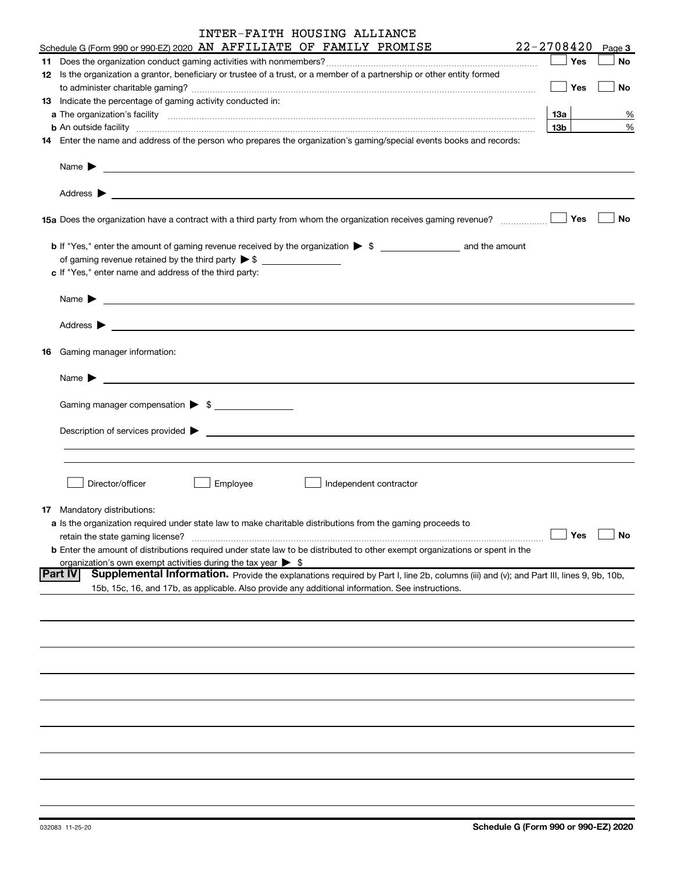| 22-2708420<br>Schedule G (Form 990 or 990-EZ) 2020 AN AFFILIATE OF FAMILY PROMISE<br>Page 3<br>No<br>12 Is the organization a grantor, beneficiary or trustee of a trust, or a member of a partnership or other entity formed<br>$\blacksquare$ Yes<br>No<br>13 Indicate the percentage of gaming activity conducted in:<br>13a  <br>13 <sub>b</sub><br>14 Enter the name and address of the person who prepares the organization's gaming/special events books and records:<br>No<br>of gaming revenue retained by the third party $\triangleright$ \$<br>c If "Yes," enter name and address of the third party:<br><b>16</b> Gaming manager information:<br><u> 1989 - Johann Barbara, martin amerikan basal dan berasal dan berasal dalam basal dan berasal dan berasal dan</u><br>Name $\blacktriangleright$<br>Gaming manager compensation > \$<br>$Description of services provided$ $\triangleright$<br>Director/officer<br>Employee<br>Independent contractor<br>17 Mandatory distributions:<br>a Is the organization required under state law to make charitable distributions from the gaming proceeds to<br>Yes<br>No<br>retain the state gaming license?<br><b>b</b> Enter the amount of distributions required under state law to be distributed to other exempt organizations or spent in the<br>organization's own exempt activities during the tax year $\triangleright$ \$<br><b>Part IV</b><br>Supplemental Information. Provide the explanations required by Part I, line 2b, columns (iii) and (v); and Part III, lines 9, 9b, 10b,<br>15b, 15c, 16, and 17b, as applicable. Also provide any additional information. See instructions. | INTER-FAITH HOUSING ALLIANCE |  |  |
|-------------------------------------------------------------------------------------------------------------------------------------------------------------------------------------------------------------------------------------------------------------------------------------------------------------------------------------------------------------------------------------------------------------------------------------------------------------------------------------------------------------------------------------------------------------------------------------------------------------------------------------------------------------------------------------------------------------------------------------------------------------------------------------------------------------------------------------------------------------------------------------------------------------------------------------------------------------------------------------------------------------------------------------------------------------------------------------------------------------------------------------------------------------------------------------------------------------------------------------------------------------------------------------------------------------------------------------------------------------------------------------------------------------------------------------------------------------------------------------------------------------------------------------------------------------------------------------------------------------------------------------------------------------|------------------------------|--|--|
|                                                                                                                                                                                                                                                                                                                                                                                                                                                                                                                                                                                                                                                                                                                                                                                                                                                                                                                                                                                                                                                                                                                                                                                                                                                                                                                                                                                                                                                                                                                                                                                                                                                             |                              |  |  |
|                                                                                                                                                                                                                                                                                                                                                                                                                                                                                                                                                                                                                                                                                                                                                                                                                                                                                                                                                                                                                                                                                                                                                                                                                                                                                                                                                                                                                                                                                                                                                                                                                                                             |                              |  |  |
| %<br>%                                                                                                                                                                                                                                                                                                                                                                                                                                                                                                                                                                                                                                                                                                                                                                                                                                                                                                                                                                                                                                                                                                                                                                                                                                                                                                                                                                                                                                                                                                                                                                                                                                                      |                              |  |  |
|                                                                                                                                                                                                                                                                                                                                                                                                                                                                                                                                                                                                                                                                                                                                                                                                                                                                                                                                                                                                                                                                                                                                                                                                                                                                                                                                                                                                                                                                                                                                                                                                                                                             |                              |  |  |
|                                                                                                                                                                                                                                                                                                                                                                                                                                                                                                                                                                                                                                                                                                                                                                                                                                                                                                                                                                                                                                                                                                                                                                                                                                                                                                                                                                                                                                                                                                                                                                                                                                                             |                              |  |  |
|                                                                                                                                                                                                                                                                                                                                                                                                                                                                                                                                                                                                                                                                                                                                                                                                                                                                                                                                                                                                                                                                                                                                                                                                                                                                                                                                                                                                                                                                                                                                                                                                                                                             |                              |  |  |
|                                                                                                                                                                                                                                                                                                                                                                                                                                                                                                                                                                                                                                                                                                                                                                                                                                                                                                                                                                                                                                                                                                                                                                                                                                                                                                                                                                                                                                                                                                                                                                                                                                                             |                              |  |  |
|                                                                                                                                                                                                                                                                                                                                                                                                                                                                                                                                                                                                                                                                                                                                                                                                                                                                                                                                                                                                                                                                                                                                                                                                                                                                                                                                                                                                                                                                                                                                                                                                                                                             |                              |  |  |
|                                                                                                                                                                                                                                                                                                                                                                                                                                                                                                                                                                                                                                                                                                                                                                                                                                                                                                                                                                                                                                                                                                                                                                                                                                                                                                                                                                                                                                                                                                                                                                                                                                                             |                              |  |  |
|                                                                                                                                                                                                                                                                                                                                                                                                                                                                                                                                                                                                                                                                                                                                                                                                                                                                                                                                                                                                                                                                                                                                                                                                                                                                                                                                                                                                                                                                                                                                                                                                                                                             |                              |  |  |
|                                                                                                                                                                                                                                                                                                                                                                                                                                                                                                                                                                                                                                                                                                                                                                                                                                                                                                                                                                                                                                                                                                                                                                                                                                                                                                                                                                                                                                                                                                                                                                                                                                                             |                              |  |  |
|                                                                                                                                                                                                                                                                                                                                                                                                                                                                                                                                                                                                                                                                                                                                                                                                                                                                                                                                                                                                                                                                                                                                                                                                                                                                                                                                                                                                                                                                                                                                                                                                                                                             |                              |  |  |
|                                                                                                                                                                                                                                                                                                                                                                                                                                                                                                                                                                                                                                                                                                                                                                                                                                                                                                                                                                                                                                                                                                                                                                                                                                                                                                                                                                                                                                                                                                                                                                                                                                                             |                              |  |  |
|                                                                                                                                                                                                                                                                                                                                                                                                                                                                                                                                                                                                                                                                                                                                                                                                                                                                                                                                                                                                                                                                                                                                                                                                                                                                                                                                                                                                                                                                                                                                                                                                                                                             |                              |  |  |
|                                                                                                                                                                                                                                                                                                                                                                                                                                                                                                                                                                                                                                                                                                                                                                                                                                                                                                                                                                                                                                                                                                                                                                                                                                                                                                                                                                                                                                                                                                                                                                                                                                                             |                              |  |  |
|                                                                                                                                                                                                                                                                                                                                                                                                                                                                                                                                                                                                                                                                                                                                                                                                                                                                                                                                                                                                                                                                                                                                                                                                                                                                                                                                                                                                                                                                                                                                                                                                                                                             |                              |  |  |
|                                                                                                                                                                                                                                                                                                                                                                                                                                                                                                                                                                                                                                                                                                                                                                                                                                                                                                                                                                                                                                                                                                                                                                                                                                                                                                                                                                                                                                                                                                                                                                                                                                                             |                              |  |  |
|                                                                                                                                                                                                                                                                                                                                                                                                                                                                                                                                                                                                                                                                                                                                                                                                                                                                                                                                                                                                                                                                                                                                                                                                                                                                                                                                                                                                                                                                                                                                                                                                                                                             |                              |  |  |
|                                                                                                                                                                                                                                                                                                                                                                                                                                                                                                                                                                                                                                                                                                                                                                                                                                                                                                                                                                                                                                                                                                                                                                                                                                                                                                                                                                                                                                                                                                                                                                                                                                                             |                              |  |  |
|                                                                                                                                                                                                                                                                                                                                                                                                                                                                                                                                                                                                                                                                                                                                                                                                                                                                                                                                                                                                                                                                                                                                                                                                                                                                                                                                                                                                                                                                                                                                                                                                                                                             |                              |  |  |
|                                                                                                                                                                                                                                                                                                                                                                                                                                                                                                                                                                                                                                                                                                                                                                                                                                                                                                                                                                                                                                                                                                                                                                                                                                                                                                                                                                                                                                                                                                                                                                                                                                                             |                              |  |  |
|                                                                                                                                                                                                                                                                                                                                                                                                                                                                                                                                                                                                                                                                                                                                                                                                                                                                                                                                                                                                                                                                                                                                                                                                                                                                                                                                                                                                                                                                                                                                                                                                                                                             |                              |  |  |
|                                                                                                                                                                                                                                                                                                                                                                                                                                                                                                                                                                                                                                                                                                                                                                                                                                                                                                                                                                                                                                                                                                                                                                                                                                                                                                                                                                                                                                                                                                                                                                                                                                                             |                              |  |  |
|                                                                                                                                                                                                                                                                                                                                                                                                                                                                                                                                                                                                                                                                                                                                                                                                                                                                                                                                                                                                                                                                                                                                                                                                                                                                                                                                                                                                                                                                                                                                                                                                                                                             |                              |  |  |
|                                                                                                                                                                                                                                                                                                                                                                                                                                                                                                                                                                                                                                                                                                                                                                                                                                                                                                                                                                                                                                                                                                                                                                                                                                                                                                                                                                                                                                                                                                                                                                                                                                                             |                              |  |  |
|                                                                                                                                                                                                                                                                                                                                                                                                                                                                                                                                                                                                                                                                                                                                                                                                                                                                                                                                                                                                                                                                                                                                                                                                                                                                                                                                                                                                                                                                                                                                                                                                                                                             |                              |  |  |
|                                                                                                                                                                                                                                                                                                                                                                                                                                                                                                                                                                                                                                                                                                                                                                                                                                                                                                                                                                                                                                                                                                                                                                                                                                                                                                                                                                                                                                                                                                                                                                                                                                                             |                              |  |  |
|                                                                                                                                                                                                                                                                                                                                                                                                                                                                                                                                                                                                                                                                                                                                                                                                                                                                                                                                                                                                                                                                                                                                                                                                                                                                                                                                                                                                                                                                                                                                                                                                                                                             |                              |  |  |
|                                                                                                                                                                                                                                                                                                                                                                                                                                                                                                                                                                                                                                                                                                                                                                                                                                                                                                                                                                                                                                                                                                                                                                                                                                                                                                                                                                                                                                                                                                                                                                                                                                                             |                              |  |  |
|                                                                                                                                                                                                                                                                                                                                                                                                                                                                                                                                                                                                                                                                                                                                                                                                                                                                                                                                                                                                                                                                                                                                                                                                                                                                                                                                                                                                                                                                                                                                                                                                                                                             |                              |  |  |
|                                                                                                                                                                                                                                                                                                                                                                                                                                                                                                                                                                                                                                                                                                                                                                                                                                                                                                                                                                                                                                                                                                                                                                                                                                                                                                                                                                                                                                                                                                                                                                                                                                                             |                              |  |  |
|                                                                                                                                                                                                                                                                                                                                                                                                                                                                                                                                                                                                                                                                                                                                                                                                                                                                                                                                                                                                                                                                                                                                                                                                                                                                                                                                                                                                                                                                                                                                                                                                                                                             |                              |  |  |
|                                                                                                                                                                                                                                                                                                                                                                                                                                                                                                                                                                                                                                                                                                                                                                                                                                                                                                                                                                                                                                                                                                                                                                                                                                                                                                                                                                                                                                                                                                                                                                                                                                                             |                              |  |  |
|                                                                                                                                                                                                                                                                                                                                                                                                                                                                                                                                                                                                                                                                                                                                                                                                                                                                                                                                                                                                                                                                                                                                                                                                                                                                                                                                                                                                                                                                                                                                                                                                                                                             |                              |  |  |
|                                                                                                                                                                                                                                                                                                                                                                                                                                                                                                                                                                                                                                                                                                                                                                                                                                                                                                                                                                                                                                                                                                                                                                                                                                                                                                                                                                                                                                                                                                                                                                                                                                                             |                              |  |  |
|                                                                                                                                                                                                                                                                                                                                                                                                                                                                                                                                                                                                                                                                                                                                                                                                                                                                                                                                                                                                                                                                                                                                                                                                                                                                                                                                                                                                                                                                                                                                                                                                                                                             |                              |  |  |
|                                                                                                                                                                                                                                                                                                                                                                                                                                                                                                                                                                                                                                                                                                                                                                                                                                                                                                                                                                                                                                                                                                                                                                                                                                                                                                                                                                                                                                                                                                                                                                                                                                                             |                              |  |  |
|                                                                                                                                                                                                                                                                                                                                                                                                                                                                                                                                                                                                                                                                                                                                                                                                                                                                                                                                                                                                                                                                                                                                                                                                                                                                                                                                                                                                                                                                                                                                                                                                                                                             |                              |  |  |
|                                                                                                                                                                                                                                                                                                                                                                                                                                                                                                                                                                                                                                                                                                                                                                                                                                                                                                                                                                                                                                                                                                                                                                                                                                                                                                                                                                                                                                                                                                                                                                                                                                                             |                              |  |  |
|                                                                                                                                                                                                                                                                                                                                                                                                                                                                                                                                                                                                                                                                                                                                                                                                                                                                                                                                                                                                                                                                                                                                                                                                                                                                                                                                                                                                                                                                                                                                                                                                                                                             |                              |  |  |
|                                                                                                                                                                                                                                                                                                                                                                                                                                                                                                                                                                                                                                                                                                                                                                                                                                                                                                                                                                                                                                                                                                                                                                                                                                                                                                                                                                                                                                                                                                                                                                                                                                                             |                              |  |  |
|                                                                                                                                                                                                                                                                                                                                                                                                                                                                                                                                                                                                                                                                                                                                                                                                                                                                                                                                                                                                                                                                                                                                                                                                                                                                                                                                                                                                                                                                                                                                                                                                                                                             |                              |  |  |
|                                                                                                                                                                                                                                                                                                                                                                                                                                                                                                                                                                                                                                                                                                                                                                                                                                                                                                                                                                                                                                                                                                                                                                                                                                                                                                                                                                                                                                                                                                                                                                                                                                                             |                              |  |  |
|                                                                                                                                                                                                                                                                                                                                                                                                                                                                                                                                                                                                                                                                                                                                                                                                                                                                                                                                                                                                                                                                                                                                                                                                                                                                                                                                                                                                                                                                                                                                                                                                                                                             |                              |  |  |
|                                                                                                                                                                                                                                                                                                                                                                                                                                                                                                                                                                                                                                                                                                                                                                                                                                                                                                                                                                                                                                                                                                                                                                                                                                                                                                                                                                                                                                                                                                                                                                                                                                                             |                              |  |  |
|                                                                                                                                                                                                                                                                                                                                                                                                                                                                                                                                                                                                                                                                                                                                                                                                                                                                                                                                                                                                                                                                                                                                                                                                                                                                                                                                                                                                                                                                                                                                                                                                                                                             |                              |  |  |
|                                                                                                                                                                                                                                                                                                                                                                                                                                                                                                                                                                                                                                                                                                                                                                                                                                                                                                                                                                                                                                                                                                                                                                                                                                                                                                                                                                                                                                                                                                                                                                                                                                                             |                              |  |  |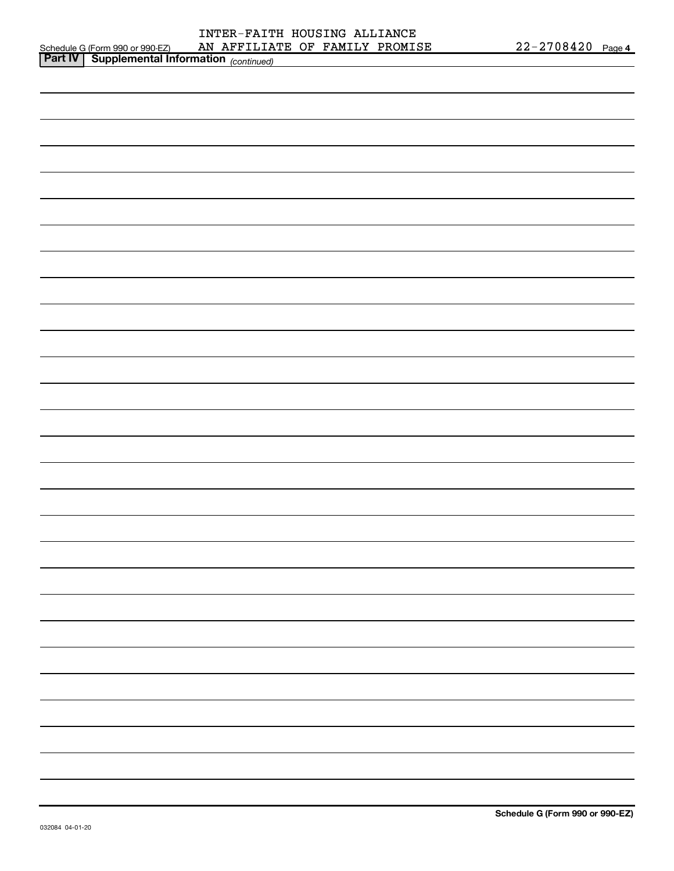| INTER-FAITH HOUSING ALLIANCE   |  |  |
|--------------------------------|--|--|
| AN AFFILIATE OF FAMILY PROMISE |  |  |

|  |                                                                                                                                    |  | 22-2708420 Page 4 |
|--|------------------------------------------------------------------------------------------------------------------------------------|--|-------------------|
|  | Schedule G (Form 990 or 990-EZ) AN AFFILIATE OF FAMILY PROMISE<br><b>Part IV   Supplemental Information</b> <sub>(continued)</sub> |  |                   |
|  |                                                                                                                                    |  |                   |
|  |                                                                                                                                    |  |                   |
|  |                                                                                                                                    |  |                   |
|  |                                                                                                                                    |  |                   |
|  |                                                                                                                                    |  |                   |
|  |                                                                                                                                    |  |                   |
|  |                                                                                                                                    |  |                   |
|  |                                                                                                                                    |  |                   |
|  |                                                                                                                                    |  |                   |
|  |                                                                                                                                    |  |                   |
|  |                                                                                                                                    |  |                   |
|  |                                                                                                                                    |  |                   |
|  |                                                                                                                                    |  |                   |
|  |                                                                                                                                    |  |                   |
|  |                                                                                                                                    |  |                   |
|  |                                                                                                                                    |  |                   |
|  |                                                                                                                                    |  |                   |
|  |                                                                                                                                    |  |                   |
|  |                                                                                                                                    |  |                   |
|  |                                                                                                                                    |  |                   |
|  |                                                                                                                                    |  |                   |
|  |                                                                                                                                    |  |                   |
|  |                                                                                                                                    |  |                   |
|  |                                                                                                                                    |  |                   |
|  |                                                                                                                                    |  |                   |
|  |                                                                                                                                    |  |                   |
|  |                                                                                                                                    |  |                   |
|  |                                                                                                                                    |  |                   |
|  |                                                                                                                                    |  |                   |
|  |                                                                                                                                    |  |                   |
|  |                                                                                                                                    |  |                   |
|  |                                                                                                                                    |  |                   |
|  |                                                                                                                                    |  |                   |
|  |                                                                                                                                    |  |                   |
|  |                                                                                                                                    |  |                   |
|  |                                                                                                                                    |  |                   |
|  |                                                                                                                                    |  |                   |
|  |                                                                                                                                    |  |                   |
|  |                                                                                                                                    |  |                   |
|  |                                                                                                                                    |  |                   |
|  |                                                                                                                                    |  |                   |
|  |                                                                                                                                    |  |                   |
|  |                                                                                                                                    |  |                   |
|  |                                                                                                                                    |  |                   |
|  |                                                                                                                                    |  |                   |
|  |                                                                                                                                    |  |                   |
|  |                                                                                                                                    |  |                   |
|  |                                                                                                                                    |  |                   |
|  |                                                                                                                                    |  |                   |
|  |                                                                                                                                    |  |                   |
|  |                                                                                                                                    |  |                   |
|  |                                                                                                                                    |  |                   |
|  |                                                                                                                                    |  |                   |
|  |                                                                                                                                    |  |                   |
|  |                                                                                                                                    |  |                   |
|  |                                                                                                                                    |  |                   |
|  |                                                                                                                                    |  |                   |
|  |                                                                                                                                    |  |                   |
|  |                                                                                                                                    |  |                   |
|  |                                                                                                                                    |  |                   |
|  |                                                                                                                                    |  |                   |
|  |                                                                                                                                    |  |                   |
|  |                                                                                                                                    |  |                   |
|  |                                                                                                                                    |  |                   |
|  |                                                                                                                                    |  |                   |
|  |                                                                                                                                    |  |                   |
|  |                                                                                                                                    |  |                   |
|  |                                                                                                                                    |  |                   |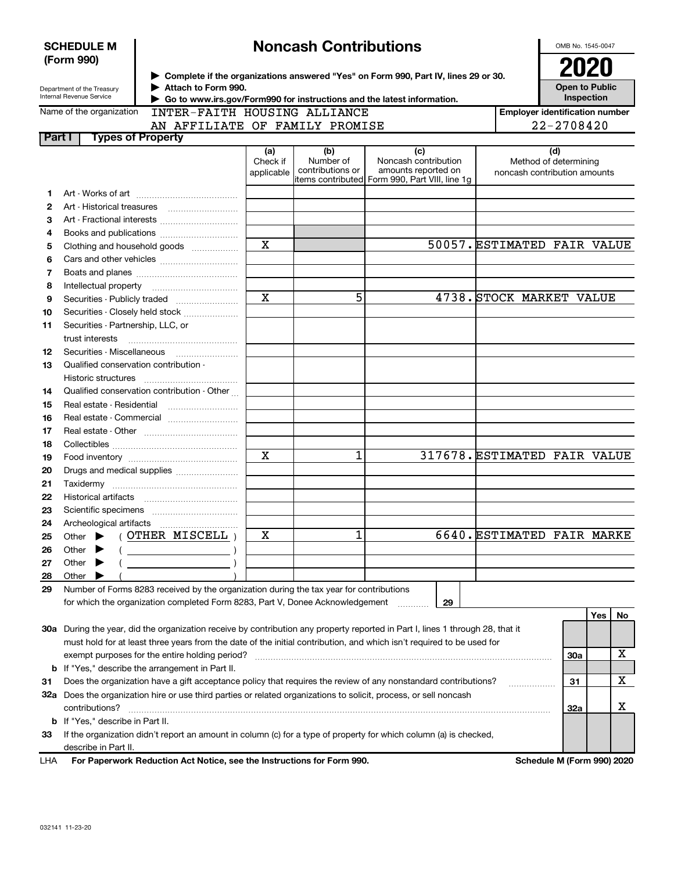| <b>SCHEDULE M</b><br>(Form 990)                        |                                                                                                                      | <b>Noncash Contributions</b>                                                                                                                                                          |                               |                                      |                                                                                                                                |                                       |                                                              | OMB No. 1545-0047 |    |  |
|--------------------------------------------------------|----------------------------------------------------------------------------------------------------------------------|---------------------------------------------------------------------------------------------------------------------------------------------------------------------------------------|-------------------------------|--------------------------------------|--------------------------------------------------------------------------------------------------------------------------------|---------------------------------------|--------------------------------------------------------------|-------------------|----|--|
| Department of the Treasury<br>Internal Revenue Service |                                                                                                                      | > Complete if the organizations answered "Yes" on Form 990, Part IV, lines 29 or 30.<br>Attach to Form 990.<br>Go to www.irs.gov/Form990 for instructions and the latest information. |                               |                                      | 2020<br><b>Open to Public</b><br>Inspection                                                                                    |                                       |                                                              |                   |    |  |
|                                                        | Name of the organization                                                                                             | INTER-FAITH HOUSING ALLIANCE                                                                                                                                                          |                               |                                      |                                                                                                                                | <b>Employer identification number</b> |                                                              |                   |    |  |
|                                                        |                                                                                                                      | AN AFFILIATE OF FAMILY PROMISE                                                                                                                                                        |                               |                                      |                                                                                                                                | 22-2708420                            |                                                              |                   |    |  |
| Part I                                                 | <b>Types of Property</b>                                                                                             |                                                                                                                                                                                       |                               |                                      |                                                                                                                                |                                       |                                                              |                   |    |  |
|                                                        |                                                                                                                      |                                                                                                                                                                                       | (a)<br>Check if<br>applicable | (b)<br>Number of<br>contributions or | (c)<br>Noncash contribution<br>amounts reported on<br>items contributed  Form 990, Part VIII, line 1g                          |                                       | (d)<br>Method of determining<br>noncash contribution amounts |                   |    |  |
| 1                                                      |                                                                                                                      |                                                                                                                                                                                       |                               |                                      |                                                                                                                                |                                       |                                                              |                   |    |  |
| 2                                                      |                                                                                                                      |                                                                                                                                                                                       |                               |                                      |                                                                                                                                |                                       |                                                              |                   |    |  |
| 3                                                      |                                                                                                                      |                                                                                                                                                                                       |                               |                                      |                                                                                                                                |                                       |                                                              |                   |    |  |
| 4                                                      |                                                                                                                      |                                                                                                                                                                                       |                               |                                      |                                                                                                                                |                                       |                                                              |                   |    |  |
| 5                                                      |                                                                                                                      | Clothing and household goods                                                                                                                                                          | $\overline{\mathbf{x}}$       |                                      |                                                                                                                                |                                       | 50057. ESTIMATED FAIR VALUE                                  |                   |    |  |
| 6                                                      |                                                                                                                      |                                                                                                                                                                                       |                               |                                      |                                                                                                                                |                                       |                                                              |                   |    |  |
| 7                                                      |                                                                                                                      |                                                                                                                                                                                       |                               |                                      |                                                                                                                                |                                       |                                                              |                   |    |  |
| 8                                                      |                                                                                                                      |                                                                                                                                                                                       |                               |                                      |                                                                                                                                |                                       |                                                              |                   |    |  |
| 9                                                      |                                                                                                                      |                                                                                                                                                                                       | $\overline{\mathbf{x}}$       | 5                                    |                                                                                                                                |                                       | 4738. STOCK MARKET VALUE                                     |                   |    |  |
| 10                                                     |                                                                                                                      | Securities - Closely held stock                                                                                                                                                       |                               |                                      |                                                                                                                                |                                       |                                                              |                   |    |  |
| 11                                                     | Securities - Partnership, LLC, or                                                                                    |                                                                                                                                                                                       |                               |                                      |                                                                                                                                |                                       |                                                              |                   |    |  |
|                                                        | trust interests                                                                                                      |                                                                                                                                                                                       |                               |                                      |                                                                                                                                |                                       |                                                              |                   |    |  |
| 12                                                     | Securities - Miscellaneous                                                                                           |                                                                                                                                                                                       |                               |                                      |                                                                                                                                |                                       |                                                              |                   |    |  |
| 13                                                     | Qualified conservation contribution -                                                                                |                                                                                                                                                                                       |                               |                                      |                                                                                                                                |                                       |                                                              |                   |    |  |
|                                                        | Historic structures                                                                                                  |                                                                                                                                                                                       |                               |                                      |                                                                                                                                |                                       |                                                              |                   |    |  |
| 14                                                     |                                                                                                                      | Qualified conservation contribution - Other                                                                                                                                           |                               |                                      |                                                                                                                                |                                       |                                                              |                   |    |  |
| 15                                                     |                                                                                                                      |                                                                                                                                                                                       |                               |                                      |                                                                                                                                |                                       |                                                              |                   |    |  |
| 16                                                     | Real estate - Commercial                                                                                             |                                                                                                                                                                                       |                               |                                      |                                                                                                                                |                                       |                                                              |                   |    |  |
| 17                                                     |                                                                                                                      |                                                                                                                                                                                       |                               |                                      |                                                                                                                                |                                       |                                                              |                   |    |  |
| 18                                                     |                                                                                                                      |                                                                                                                                                                                       |                               |                                      |                                                                                                                                |                                       |                                                              |                   |    |  |
| 19                                                     |                                                                                                                      | $\overline{\mathbf{x}}$                                                                                                                                                               | 1                             |                                      |                                                                                                                                | 317678. ESTIMATED FAIR VALUE          |                                                              |                   |    |  |
| 20                                                     |                                                                                                                      |                                                                                                                                                                                       |                               |                                      |                                                                                                                                |                                       |                                                              |                   |    |  |
| 21                                                     |                                                                                                                      |                                                                                                                                                                                       |                               |                                      |                                                                                                                                |                                       |                                                              |                   |    |  |
| 22                                                     |                                                                                                                      |                                                                                                                                                                                       |                               |                                      |                                                                                                                                |                                       |                                                              |                   |    |  |
| 23                                                     |                                                                                                                      |                                                                                                                                                                                       |                               |                                      |                                                                                                                                |                                       |                                                              |                   |    |  |
| 24                                                     | Archeological artifacts                                                                                              |                                                                                                                                                                                       |                               |                                      |                                                                                                                                |                                       |                                                              |                   |    |  |
| 25                                                     | Other                                                                                                                | OTHER MISCELL                                                                                                                                                                         | X                             | 1                                    |                                                                                                                                |                                       | 6640. ESTIMATED FAIR MARKE                                   |                   |    |  |
| 26                                                     | Other                                                                                                                |                                                                                                                                                                                       |                               |                                      |                                                                                                                                |                                       |                                                              |                   |    |  |
| 27                                                     | Other                                                                                                                |                                                                                                                                                                                       |                               |                                      |                                                                                                                                |                                       |                                                              |                   |    |  |
| 28                                                     | Other                                                                                                                |                                                                                                                                                                                       |                               |                                      |                                                                                                                                |                                       |                                                              |                   |    |  |
| 29                                                     |                                                                                                                      | Number of Forms 8283 received by the organization during the tax year for contributions                                                                                               |                               |                                      |                                                                                                                                |                                       |                                                              |                   |    |  |
|                                                        |                                                                                                                      | for which the organization completed Form 8283, Part V, Donee Acknowledgement                                                                                                         |                               |                                      | 29                                                                                                                             |                                       |                                                              |                   |    |  |
|                                                        |                                                                                                                      |                                                                                                                                                                                       |                               |                                      |                                                                                                                                |                                       |                                                              | Yes               | No |  |
|                                                        |                                                                                                                      |                                                                                                                                                                                       |                               |                                      | 30a During the year, did the organization receive by contribution any property reported in Part I, lines 1 through 28, that it |                                       |                                                              |                   |    |  |
|                                                        |                                                                                                                      |                                                                                                                                                                                       |                               |                                      | must hold for at least three years from the date of the initial contribution, and which isn't required to be used for          |                                       |                                                              |                   |    |  |
|                                                        |                                                                                                                      | exempt purposes for the entire holding period?                                                                                                                                        |                               |                                      |                                                                                                                                |                                       | 30a                                                          |                   | х  |  |
|                                                        | <b>b</b> If "Yes," describe the arrangement in Part II.                                                              |                                                                                                                                                                                       |                               |                                      |                                                                                                                                |                                       |                                                              |                   |    |  |
| 31                                                     | Does the organization have a gift acceptance policy that requires the review of any nonstandard contributions?<br>31 |                                                                                                                                                                                       |                               |                                      |                                                                                                                                |                                       |                                                              | X                 |    |  |
|                                                        | 32a Does the organization hire or use third parties or related organizations to solicit, process, or sell noncash    |                                                                                                                                                                                       |                               |                                      |                                                                                                                                |                                       |                                                              |                   |    |  |
|                                                        | contributions?                                                                                                       |                                                                                                                                                                                       |                               |                                      |                                                                                                                                |                                       | 32a                                                          |                   | х  |  |
|                                                        | <b>b</b> If "Yes," describe in Part II.                                                                              |                                                                                                                                                                                       |                               |                                      |                                                                                                                                |                                       |                                                              |                   |    |  |
| 33                                                     | If the organization didn't report an amount in column (c) for a type of property for which column (a) is checked,    |                                                                                                                                                                                       |                               |                                      |                                                                                                                                |                                       |                                                              |                   |    |  |
|                                                        | describe in Part II.                                                                                                 |                                                                                                                                                                                       |                               |                                      |                                                                                                                                |                                       |                                                              |                   |    |  |
| LHA                                                    |                                                                                                                      | For Paperwork Reduction Act Notice, see the Instructions for Form 990.                                                                                                                |                               |                                      |                                                                                                                                |                                       | Schedule M (Form 990) 2020                                   |                   |    |  |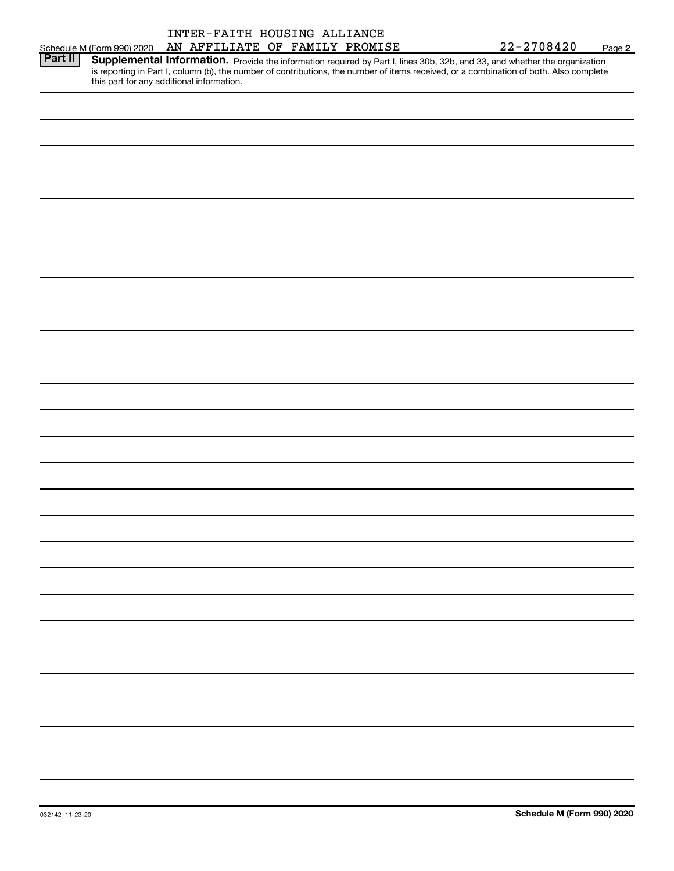|                |                            | INTER-FAITH HOUSING ALLIANCE                                                                                                                                                                                                                                                     |  |                |        |
|----------------|----------------------------|----------------------------------------------------------------------------------------------------------------------------------------------------------------------------------------------------------------------------------------------------------------------------------|--|----------------|--------|
|                | Schedule M (Form 990) 2020 | AN AFFILIATE OF FAMILY PROMISE                                                                                                                                                                                                                                                   |  | $22 - 2708420$ | Page 2 |
| <b>Part II</b> |                            | <b>Supplemental Information.</b> Provide the information required by Part I, lines 30b, 32b, and 33, and whether the organization is reporting in Part I, column (b), the number of contributions, the number of items received, or<br>this part for any additional information. |  |                |        |
|                |                            |                                                                                                                                                                                                                                                                                  |  |                |        |
|                |                            |                                                                                                                                                                                                                                                                                  |  |                |        |
|                |                            |                                                                                                                                                                                                                                                                                  |  |                |        |
|                |                            |                                                                                                                                                                                                                                                                                  |  |                |        |
|                |                            |                                                                                                                                                                                                                                                                                  |  |                |        |
|                |                            |                                                                                                                                                                                                                                                                                  |  |                |        |
|                |                            |                                                                                                                                                                                                                                                                                  |  |                |        |
|                |                            |                                                                                                                                                                                                                                                                                  |  |                |        |
|                |                            |                                                                                                                                                                                                                                                                                  |  |                |        |
|                |                            |                                                                                                                                                                                                                                                                                  |  |                |        |
|                |                            |                                                                                                                                                                                                                                                                                  |  |                |        |
|                |                            |                                                                                                                                                                                                                                                                                  |  |                |        |
|                |                            |                                                                                                                                                                                                                                                                                  |  |                |        |
|                |                            |                                                                                                                                                                                                                                                                                  |  |                |        |
|                |                            |                                                                                                                                                                                                                                                                                  |  |                |        |
|                |                            |                                                                                                                                                                                                                                                                                  |  |                |        |
|                |                            |                                                                                                                                                                                                                                                                                  |  |                |        |
|                |                            |                                                                                                                                                                                                                                                                                  |  |                |        |
|                |                            |                                                                                                                                                                                                                                                                                  |  |                |        |
|                |                            |                                                                                                                                                                                                                                                                                  |  |                |        |
|                |                            |                                                                                                                                                                                                                                                                                  |  |                |        |
|                |                            |                                                                                                                                                                                                                                                                                  |  |                |        |
|                |                            |                                                                                                                                                                                                                                                                                  |  |                |        |
|                |                            |                                                                                                                                                                                                                                                                                  |  |                |        |
|                |                            |                                                                                                                                                                                                                                                                                  |  |                |        |
|                |                            |                                                                                                                                                                                                                                                                                  |  |                |        |
|                |                            |                                                                                                                                                                                                                                                                                  |  |                |        |
|                |                            |                                                                                                                                                                                                                                                                                  |  |                |        |
|                |                            |                                                                                                                                                                                                                                                                                  |  |                |        |
|                |                            |                                                                                                                                                                                                                                                                                  |  |                |        |
|                |                            |                                                                                                                                                                                                                                                                                  |  |                |        |
|                |                            |                                                                                                                                                                                                                                                                                  |  |                |        |
|                |                            |                                                                                                                                                                                                                                                                                  |  |                |        |
|                |                            |                                                                                                                                                                                                                                                                                  |  |                |        |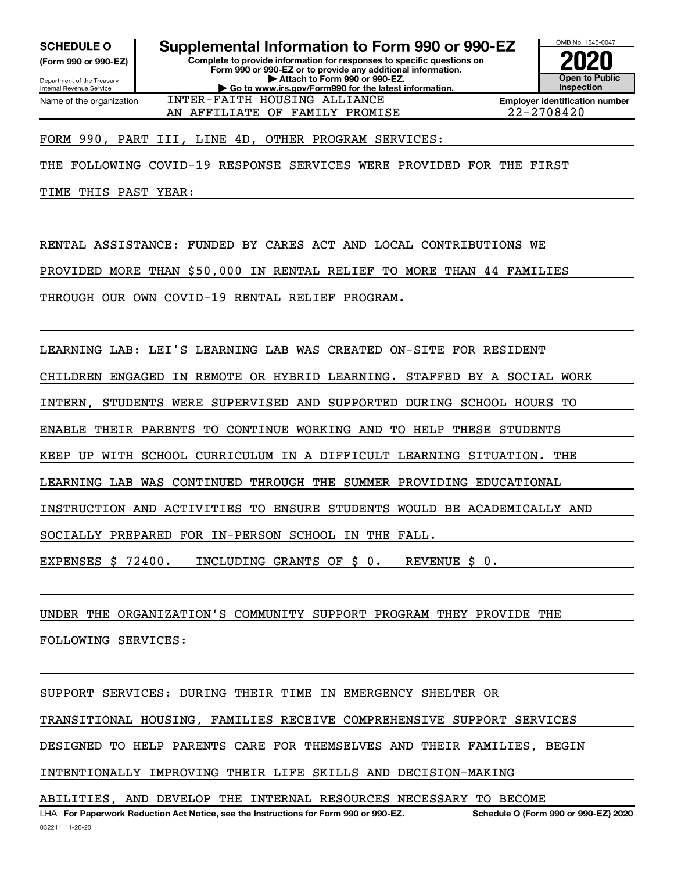(Form 990 or 990-EZ)

Department of the Treasury Internal Revenue Service Name of the organization

Complete to provide information for responses to specific questions on SCHEDULE 0 | Supplemental Information to Form 990 or 990-EZ

Form 990 or 990-EZ or to provide any additional information. | Attach to Form 990 or 990-EZ. | Go to www.irs.gov/Form990 for the latest information. INTER-FAITH HOUSING ALLIANCE



Employer identification number AN AFFILIATE OF FAMILY PROMISE  $\vert$  22-2708420

FORM 990, PART III, LINE 4D, OTHER PROGRAM SERVICES:

THE FOLLOWING COVID-19 RESPONSE SERVICES WERE PROVIDED FOR THE FIRST

TIME THIS PAST YEAR:

RENTAL ASSISTANCE: FUNDED BY CARES ACT AND LOCAL CONTRIBUTIONS WE

PROVIDED MORE THAN \$50,000 IN RENTAL RELIEF TO MORE THAN 44 FAMILIES

THROUGH OUR OWN COVID-19 RENTAL RELIEF PROGRAM.

LEARNING LAB: LEI'S LEARNING LAB WAS CREATED ON-SITE FOR RESIDENT

CHILDREN ENGAGED IN REMOTE OR HYBRID LEARNING. STAFFED BY A SOCIAL WORK

INTERN, STUDENTS WERE SUPERVISED AND SUPPORTED DURING SCHOOL HOURS TO

ENABLE THEIR PARENTS TO CONTINUE WORKING AND TO HELP THESE STUDENTS

KEEP UP WITH SCHOOL CURRICULUM IN A DIFFICULT LEARNING SITUATION. THE

LEARNING LAB WAS CONTINUED THROUGH THE SUMMER PROVIDING EDUCATIONAL

INSTRUCTION AND ACTIVITIES TO ENSURE STUDENTS WOULD BE ACADEMICALLY AND

SOCIALLY PREPARED FOR IN-PERSON SCHOOL IN THE FALL.

EXPENSES \$ 72400. INCLUDING GRANTS OF \$ 0. REVENUE \$ 0.

UNDER THE ORGANIZATION'S COMMUNITY SUPPORT PROGRAM THEY PROVIDE THE

FOLLOWING SERVICES:

SUPPORT SERVICES: DURING THEIR TIME IN EMERGENCY SHELTER OR TRANSITIONAL HOUSING, FAMILIES RECEIVE COMPREHENSIVE SUPPORT SERVICES DESIGNED TO HELP PARENTS CARE FOR THEMSELVES AND THEIR FAMILIES, BEGIN INTENTIONALLY IMPROVING THEIR LIFE SKILLS AND DECISION-MAKING ABILITIES, AND DEVELOP THE INTERNAL RESOURCES NECESSARY TO BECOME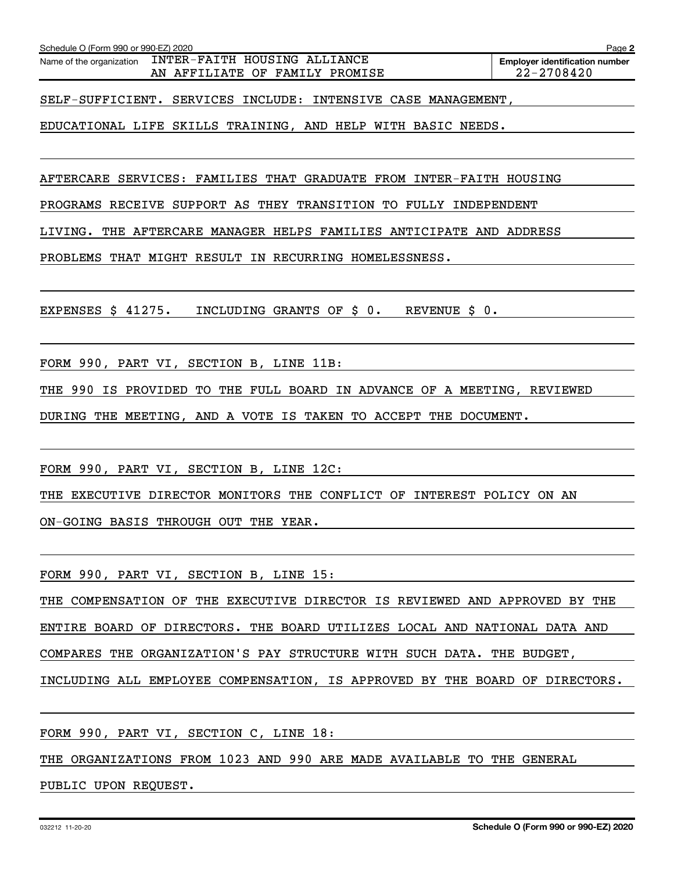AN AFFILIATE OF FAMILY PROMISE  $\vert$  22-2708420

EDUCATIONAL LIFE SKILLS TRAINING, AND HELP WITH BASIC NEEDS.

AFTERCARE SERVICES: FAMILIES THAT GRADUATE FROM INTER-FAITH HOUSING

PROGRAMS RECEIVE SUPPORT AS THEY TRANSITION TO FULLY INDEPENDENT

LIVING. THE AFTERCARE MANAGER HELPS FAMILIES ANTICIPATE AND ADDRESS

PROBLEMS THAT MIGHT RESULT IN RECURRING HOMELESSNESS.

EXPENSES \$ 41275. INCLUDING GRANTS OF \$ 0. REVENUE \$ 0.

FORM 990, PART VI, SECTION B, LINE 11B:

Name of the organization INTER-FAITH HOUSING ALLIANCE

Schedule O (Form 990 or 990-EZ) 2020

THE 990 IS PROVIDED TO THE FULL BOARD IN ADVANCE OF A MEETING, REVIEWED

DURING THE MEETING, AND A VOTE IS TAKEN TO ACCEPT THE DOCUMENT.

FORM 990, PART VI, SECTION B, LINE 12C:

THE EXECUTIVE DIRECTOR MONITORS THE CONFLICT OF INTEREST POLICY ON AN

ON-GOING BASIS THROUGH OUT THE YEAR.

FORM 990, PART VI, SECTION B, LINE 15:

THE COMPENSATION OF THE EXECUTIVE DIRECTOR IS REVIEWED AND APPROVED BY THE ENTIRE BOARD OF DIRECTORS. THE BOARD UTILIZES LOCAL AND NATIONAL DATA AND

COMPARES THE ORGANIZATION'S PAY STRUCTURE WITH SUCH DATA. THE BUDGET,

INCLUDING ALL EMPLOYEE COMPENSATION, IS APPROVED BY THE BOARD OF DIRECTORS.

FORM 990, PART VI, SECTION C, LINE 18:

THE ORGANIZATIONS FROM 1023 AND 990 ARE MADE AVAILABLE TO THE GENERAL

PUBLIC UPON REQUEST.

Page 2

Employer identification number